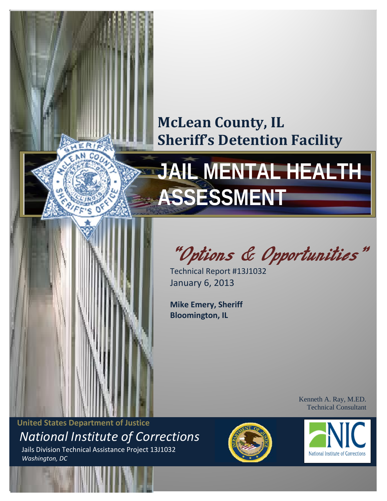# **McLean County, IL Sheriff's Detention Facility**

# **JAIL MENTAL HEALTH ASSESSMENT**



"Options & Opportunities"

Technical Report #13J1032 January 6, 2013

**Mike Emery, Sheriff Bloomington, IL**

> Kenneth A. Ray, M.ED. Technical Consultant

<span id="page-0-0"></span> **United States Department of Justice** *National Institute of Corrections* Jails Division Technical Assistance Project 13J1032  *Washington, DC*



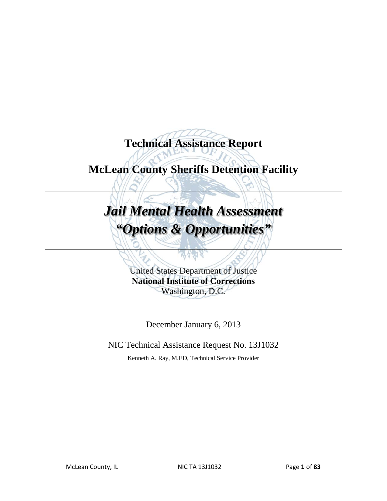**Technical Assistance Report** 

## **McLean County Sheriffs Detention Facility**

# *Jail Mental Health Assessment "Options & Opportunities"*

United States Department of Justice **National Institute of Corrections** Washington, D.C.

December January 6, 2013

NIC Technical Assistance Request No. 13J1032

Kenneth A. Ray, M.ED, Technical Service Provider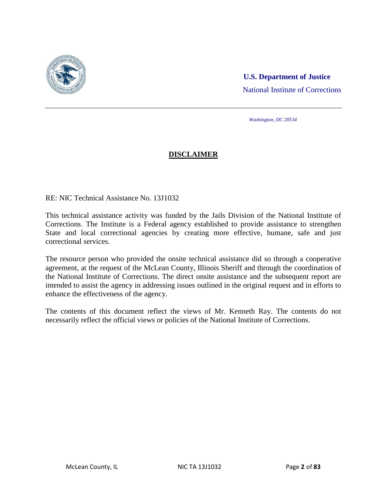

### **U.S. Department of Justice** National Institute of Corrections

*Washington, DC 20534*

#### **DISCLAIMER**

RE: NIC Technical Assistance No. 13J1032

This technical assistance activity was funded by the Jails Division of the National Institute of Corrections. The Institute is a Federal agency established to provide assistance to strengthen State and local correctional agencies by creating more effective, humane, safe and just correctional services.

The resource person who provided the onsite technical assistance did so through a cooperative agreement, at the request of the McLean County, Illinois Sheriff and through the coordination of the National Institute of Corrections. The direct onsite assistance and the subsequent report are intended to assist the agency in addressing issues outlined in the original request and in efforts to enhance the effectiveness of the agency.

The contents of this document reflect the views of Mr. Kenneth Ray. The contents do not necessarily reflect the official views or policies of the National Institute of Corrections.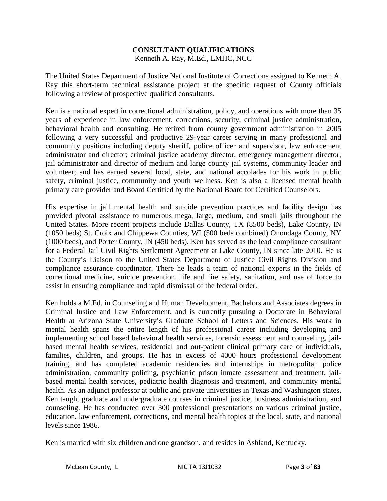#### **CONSULTANT QUALIFICATIONS** Kenneth A. Ray, M.Ed., LMHC, NCC

The United States Department of Justice National Institute of Corrections assigned to Kenneth A. Ray this short-term technical assistance project at the specific request of County officials following a review of prospective qualified consultants.

Ken is a national expert in correctional administration, policy, and operations with more than 35 years of experience in law enforcement, corrections, security, criminal justice administration, behavioral health and consulting. He retired from county government administration in 2005 following a very successful and productive 29-year career serving in many professional and community positions including deputy sheriff, police officer and supervisor, law enforcement administrator and director; criminal justice academy director, emergency management director, jail administrator and director of medium and large county jail systems, community leader and volunteer; and has earned several local, state, and national accolades for his work in public safety, criminal justice, community and youth wellness. Ken is also a licensed mental health primary care provider and Board Certified by the National Board for Certified Counselors.

His expertise in jail mental health and suicide prevention practices and facility design has provided pivotal assistance to numerous mega, large, medium, and small jails throughout the United States. More recent projects include Dallas County, TX (8500 beds), Lake County, IN (1050 beds) St. Croix and Chippewa Counties, WI (500 beds combined) Onondaga County, NY (1000 beds), and Porter County, IN (450 beds). Ken has served as the lead compliance consultant for a Federal Jail Civil Rights Settlement Agreement at Lake County, IN since late 2010. He is the County's Liaison to the United States Department of Justice Civil Rights Division and compliance assurance coordinator. There he leads a team of national experts in the fields of correctional medicine, suicide prevention, life and fire safety, sanitation, and use of force to assist in ensuring compliance and rapid dismissal of the federal order.

Ken holds a M.Ed. in Counseling and Human Development, Bachelors and Associates degrees in Criminal Justice and Law Enforcement, and is currently pursuing a Doctorate in Behavioral Health at Arizona State University's Graduate School of Letters and Sciences. His work in mental health spans the entire length of his professional career including developing and implementing school based behavioral health services, forensic assessment and counseling, jailbased mental health services, residential and out-patient clinical primary care of individuals, families, children, and groups. He has in excess of 4000 hours professional development training, and has completed academic residencies and internships in metropolitan police administration, community policing, psychiatric prison inmate assessment and treatment, jailbased mental health services, pediatric health diagnosis and treatment, and community mental health. As an adjunct professor at public and private universities in Texas and Washington states, Ken taught graduate and undergraduate courses in criminal justice, business administration, and counseling. He has conducted over 300 professional presentations on various criminal justice, education, law enforcement, corrections, and mental health topics at the local, state, and national levels since 1986.

Ken is married with six children and one grandson, and resides in Ashland, Kentucky.

McLean County, IL NIC TA 13J1032 Page **3** of **83**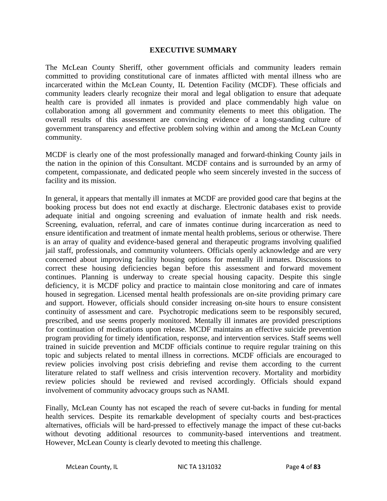#### **EXECUTIVE SUMMARY**

The McLean County Sheriff, other government officials and community leaders remain committed to providing constitutional care of inmates afflicted with mental illness who are incarcerated within the McLean County, IL Detention Facility (MCDF). These officials and community leaders clearly recognize their moral and legal obligation to ensure that adequate health care is provided all inmates is provided and place commendably high value on collaboration among all government and community elements to meet this obligation. The overall results of this assessment are convincing evidence of a long-standing culture of government transparency and effective problem solving within and among the McLean County community.

MCDF is clearly one of the most professionally managed and forward-thinking County jails in the nation in the opinion of this Consultant. MCDF contains and is surrounded by an army of competent, compassionate, and dedicated people who seem sincerely invested in the success of facility and its mission.

In general, it appears that mentally ill inmates at MCDF are provided good care that begins at the booking process but does not end exactly at discharge. Electronic databases exist to provide adequate initial and ongoing screening and evaluation of inmate health and risk needs. Screening, evaluation, referral, and care of inmates continue during incarceration as need to ensure identification and treatment of inmate mental health problems, serious or otherwise. There is an array of quality and evidence-based general and therapeutic programs involving qualified jail staff, professionals, and community volunteers. Officials openly acknowledge and are very concerned about improving facility housing options for mentally ill inmates. Discussions to correct these housing deficiencies began before this assessment and forward movement continues. Planning is underway to create special housing capacity. Despite this single deficiency, it is MCDF policy and practice to maintain close monitoring and care of inmates housed in segregation. Licensed mental health professionals are on-site providing primary care and support. However, officials should consider increasing on-site hours to ensure consistent continuity of assessment and care. Psychotropic medications seem to be responsibly secured, prescribed, and use seems properly monitored. Mentally ill inmates are provided prescriptions for continuation of medications upon release. MCDF maintains an effective suicide prevention program providing for timely identification, response, and intervention services. Staff seems well trained in suicide prevention and MCDF officials continue to require regular training on this topic and subjects related to mental illness in corrections. MCDF officials are encouraged to review policies involving post crisis debriefing and revise them according to the current literature related to staff wellness and crisis intervention recovery. Mortality and morbidity review policies should be reviewed and revised accordingly. Officials should expand involvement of community advocacy groups such as NAMI.

Finally, McLean County has not escaped the reach of severe cut-backs in funding for mental health services. Despite its remarkable development of specialty courts and best-practices alternatives, officials will be hard-pressed to effectively manage the impact of these cut-backs without devoting additional resources to community-based interventions and treatment. However, McLean County is clearly devoted to meeting this challenge.

McLean County, IL NIC TA 13J1032 Page **4** of **83**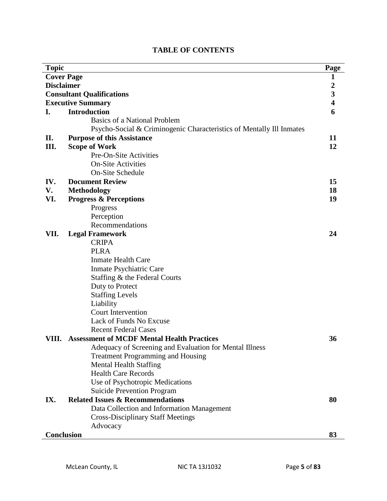| <b>Topic</b>                     |                                                                      |    |  |  |
|----------------------------------|----------------------------------------------------------------------|----|--|--|
| <b>Cover Page</b>                |                                                                      |    |  |  |
| <b>Disclaimer</b>                |                                                                      |    |  |  |
| <b>Consultant Qualifications</b> |                                                                      |    |  |  |
| <b>Executive Summary</b>         |                                                                      |    |  |  |
| I.                               | <b>Introduction</b>                                                  | 6  |  |  |
|                                  | Basics of a National Problem                                         |    |  |  |
|                                  | Psycho-Social & Criminogenic Characteristics of Mentally III Inmates |    |  |  |
| II.                              | <b>Purpose of this Assistance</b>                                    | 11 |  |  |
| III.                             | <b>Scope of Work</b>                                                 | 12 |  |  |
|                                  | Pre-On-Site Activities                                               |    |  |  |
|                                  | <b>On-Site Activities</b>                                            |    |  |  |
|                                  | On-Site Schedule                                                     |    |  |  |
| IV.                              | <b>Document Review</b>                                               | 15 |  |  |
| V.                               | <b>Methodology</b>                                                   | 18 |  |  |
| VI.                              | <b>Progress &amp; Perceptions</b>                                    | 19 |  |  |
|                                  | Progress                                                             |    |  |  |
|                                  | Perception                                                           |    |  |  |
|                                  | Recommendations                                                      |    |  |  |
| VII.                             | <b>Legal Framework</b>                                               | 24 |  |  |
|                                  | <b>CRIPA</b>                                                         |    |  |  |
|                                  | <b>PLRA</b>                                                          |    |  |  |
|                                  | <b>Inmate Health Care</b>                                            |    |  |  |
|                                  | Inmate Psychiatric Care                                              |    |  |  |
|                                  | Staffing & the Federal Courts                                        |    |  |  |
|                                  | Duty to Protect                                                      |    |  |  |
|                                  | <b>Staffing Levels</b>                                               |    |  |  |
|                                  | Liability                                                            |    |  |  |
|                                  | <b>Court Intervention</b>                                            |    |  |  |
|                                  | Lack of Funds No Excuse                                              |    |  |  |
|                                  | <b>Recent Federal Cases</b>                                          |    |  |  |
| VIII.                            | <b>Assessment of MCDF Mental Health Practices</b>                    | 36 |  |  |
|                                  | Adequacy of Screening and Evaluation for Mental Illness              |    |  |  |
|                                  | <b>Treatment Programming and Housing</b>                             |    |  |  |
|                                  | <b>Mental Health Staffing</b>                                        |    |  |  |
|                                  | <b>Health Care Records</b>                                           |    |  |  |
|                                  | Use of Psychotropic Medications                                      |    |  |  |
|                                  | <b>Suicide Prevention Program</b>                                    |    |  |  |
| IX.                              | <b>Related Issues &amp; Recommendations</b>                          | 80 |  |  |
|                                  | Data Collection and Information Management                           |    |  |  |
|                                  | <b>Cross-Disciplinary Staff Meetings</b>                             |    |  |  |
|                                  | Advocacy                                                             |    |  |  |
| <b>Conclusion</b><br>83          |                                                                      |    |  |  |

#### **TABLE OF CONTENTS**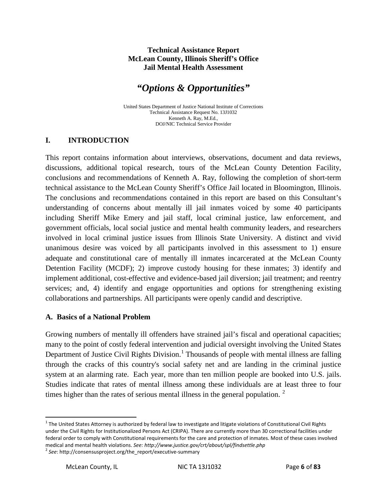#### **Technical Assistance Report McLean County, Illinois Sheriff's Office Jail Mental Health Assessment**

## *"Options & Opportunities"*

United States Department of Justice National Institute of Corrections Technical Assistance Request No. 13J1032 Kenneth A. Ray, M.Ed., DOJ/NIC Technical Service Provider

#### **I. INTRODUCTION**

This report contains information about interviews, observations, document and data reviews, discussions, additional topical research, tours of the McLean County Detention Facility, conclusions and recommendations of Kenneth A. Ray, following the completion of short-term technical assistance to the McLean County Sheriff's Office Jail located in Bloomington, Illinois. The conclusions and recommendations contained in this report are based on this Consultant's understanding of concerns about mentally ill jail inmates voiced by some 40 participants including Sheriff Mike Emery and jail staff, local criminal justice, law enforcement, and government officials, local social justice and mental health community leaders, and researchers involved in local criminal justice issues from Illinois State University. A distinct and vivid unanimous desire was voiced by all participants involved in this assessment to 1) ensure adequate and constitutional care of mentally ill inmates incarcerated at the McLean County Detention Facility (MCDF); 2) improve custody housing for these inmates; 3) identify and implement additional, cost-effective and evidence-based jail diversion; jail treatment; and reentry services; and, 4) identify and engage opportunities and options for strengthening existing collaborations and partnerships. All participants were openly candid and descriptive.

#### **A. Basics of a National Problem**

Growing numbers of mentally ill offenders have strained jail's fiscal and operational capacities; many to the point of costly federal intervention and judicial oversight involving the United States Department of Justice Civil Rights Division.<sup>[1](#page-0-0)</sup> Thousands of people with mental illness are falling through the cracks of this country's social safety net and are landing in the criminal justice system at an alarming rate. Each year, more than ten million people are booked into U.S. jails. Studies indicate that rates of mental illness among these individuals are at least three to four times higher than the rates of serious mental illness in the general population.<sup>[2](#page-6-0)</sup>

 $1$  The United States Attorney is authorized by federal law to investigate and litigate violations of Constitutional Civil Rights under the Civil Rights for Institutionalized Persons Act (CRIPA). There are currently more than 30 correctional facilities under federal order to comply with Constitutional requirements for the care and protection of inmates. Most of these cases involved medical and mental health violations. *See: http://www.justice.gov/crt/about/spl/findsettle.php*<br><sup>2</sup> *See*: http://consensusproject.org/the\_report/executive-summary

<span id="page-6-0"></span>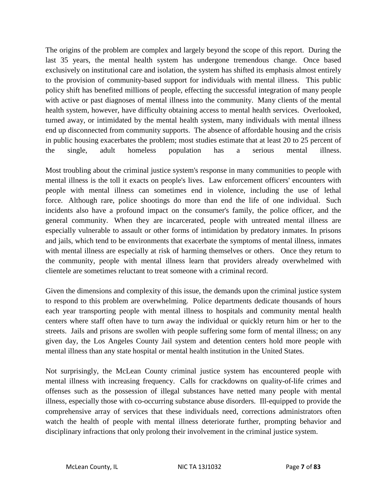The origins of the problem are complex and largely beyond the scope of this report. During the last 35 years, the mental health system has undergone tremendous change. Once based exclusively on institutional care and isolation, the system has shifted its emphasis almost entirely to the provision of community-based support for individuals with mental illness. This public policy shift has benefited millions of people, effecting the successful integration of many people with active or past diagnoses of mental illness into the community. Many clients of the mental health system, however, have difficulty obtaining access to mental health services. Overlooked, turned away, or intimidated by the mental health system, many individuals with mental illness end up disconnected from community supports. The absence of affordable housing and the crisis in public housing exacerbates the problem; most studies estimate that at least 20 to 25 percent of the single, adult homeless population has a serious mental illness.

Most troubling about the criminal justice system's response in many communities to people with mental illness is the toll it exacts on people's lives. Law enforcement officers' encounters with people with mental illness can sometimes end in violence, including the use of lethal force. Although rare, police shootings do more than end the life of one individual. Such incidents also have a profound impact on the consumer's family, the police officer, and the general community. When they are incarcerated, people with untreated mental illness are especially vulnerable to assault or other forms of intimidation by predatory inmates. In prisons and jails, which tend to be environments that exacerbate the symptoms of mental illness, inmates with mental illness are especially at risk of harming themselves or others. Once they return to the community, people with mental illness learn that providers already overwhelmed with clientele are sometimes reluctant to treat someone with a criminal record.

Given the dimensions and complexity of this issue, the demands upon the criminal justice system to respond to this problem are overwhelming. Police departments dedicate thousands of hours each year transporting people with mental illness to hospitals and community mental health centers where staff often have to turn away the individual or quickly return him or her to the streets. Jails and prisons are swollen with people suffering some form of mental illness; on any given day, the Los Angeles County Jail system and detention centers hold more people with mental illness than any state hospital or mental health institution in the United States.

Not surprisingly, the McLean County criminal justice system has encountered people with mental illness with increasing frequency. Calls for crackdowns on quality-of-life crimes and offenses such as the possession of illegal substances have netted many people with mental illness, especially those with co-occurring substance abuse disorders. Ill-equipped to provide the comprehensive array of services that these individuals need, corrections administrators often watch the health of people with mental illness deteriorate further, prompting behavior and disciplinary infractions that only prolong their involvement in the criminal justice system.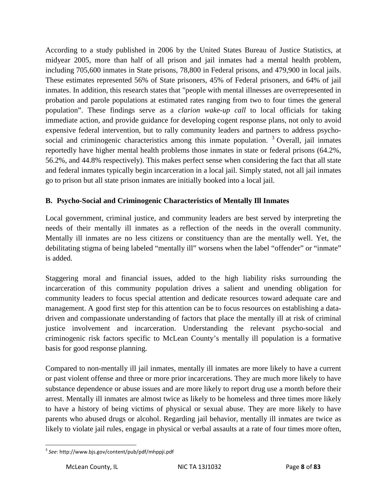According to a study published in 2006 by the United States Bureau of Justice Statistics, at midyear 2005, more than half of all prison and jail inmates had a mental health problem, including 705,600 inmates in State prisons, 78,800 in Federal prisons, and 479,900 in local jails. These estimates represented 56% of State prisoners, 45% of Federal prisoners, and 64% of jail inmates. In addition, this research states that "people with mental illnesses are overrepresented in probation and parole populations at estimated rates ranging from two to four times the general population". These findings serve as a *clarion wake-up call* to local officials for taking immediate action, and provide guidance for developing cogent response plans, not only to avoid expensive federal intervention, but to rally community leaders and partners to address psychosocial and criminogenic characteristics among this inmate population.  $3$  Overall, jail inmates reportedly have higher mental health problems those inmates in state or federal prisons (64.2%, 56.2%, and 44.8% respectively). This makes perfect sense when considering the fact that all state and federal inmates typically begin incarceration in a local jail. Simply stated, not all jail inmates go to prison but all state prison inmates are initially booked into a local jail.

#### **B. Psycho-Social and Criminogenic Characteristics of Mentally Ill Inmates**

Local government, criminal justice, and community leaders are best served by interpreting the needs of their mentally ill inmates as a reflection of the needs in the overall community. Mentally ill inmates are no less citizens or constituency than are the mentally well. Yet, the debilitating stigma of being labeled "mentally ill" worsens when the label "offender" or "inmate" is added.

Staggering moral and financial issues, added to the high liability risks surrounding the incarceration of this community population drives a salient and unending obligation for community leaders to focus special attention and dedicate resources toward adequate care and management. A good first step for this attention can be to focus resources on establishing a datadriven and compassionate understanding of factors that place the mentally ill at risk of criminal justice involvement and incarceration. Understanding the relevant psycho-social and criminogenic risk factors specific to McLean County's mentally ill population is a formative basis for good response planning.

Compared to non-mentally ill jail inmates, mentally ill inmates are more likely to have a current or past violent offense and three or more prior incarcerations. They are much more likely to have substance dependence or abuse issues and are more likely to report drug use a month before their arrest. Mentally ill inmates are almost twice as likely to be homeless and three times more likely to have a history of being victims of physical or sexual abuse. They are more likely to have parents who abused drugs or alcohol. Regarding jail behavior, mentally ill inmates are twice as likely to violate jail rules, engage in physical or verbal assaults at a rate of four times more often,

<span id="page-8-0"></span> <sup>3</sup> *See*: http://www.bjs.gov/content/pub/pdf/mhppji.pdf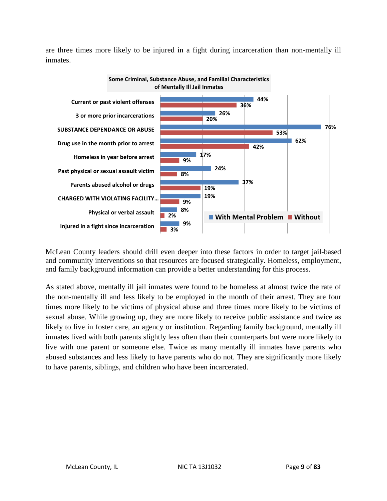are three times more likely to be injured in a fight during incarceration than non-mentally ill inmates.



McLean County leaders should drill even deeper into these factors in order to target jail-based and community interventions so that resources are focused strategically. Homeless, employment, and family background information can provide a better understanding for this process.

As stated above, mentally ill jail inmates were found to be homeless at almost twice the rate of the non-mentally ill and less likely to be employed in the month of their arrest. They are four times more likely to be victims of physical abuse and three times more likely to be victims of sexual abuse. While growing up, they are more likely to receive public assistance and twice as likely to live in foster care, an agency or institution. Regarding family background, mentally ill inmates lived with both parents slightly less often than their counterparts but were more likely to live with one parent or someone else. Twice as many mentally ill inmates have parents who abused substances and less likely to have parents who do not. They are significantly more likely to have parents, siblings, and children who have been incarcerated.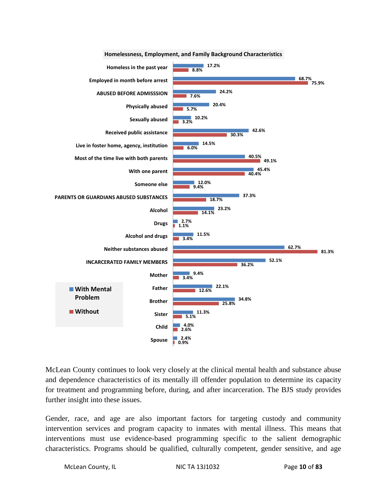

**Homelessness, Employment, and Family Background Characteristics**

McLean County continues to look very closely at the clinical mental health and substance abuse and dependence characteristics of its mentally ill offender population to determine its capacity for treatment and programming before, during, and after incarceration. The BJS study provides further insight into these issues.

Gender, race, and age are also important factors for targeting custody and community intervention services and program capacity to inmates with mental illness. This means that interventions must use evidence-based programming specific to the salient demographic characteristics. Programs should be qualified, culturally competent, gender sensitive, and age

McLean County, IL NIC TA 13J1032 Page **10** of **83**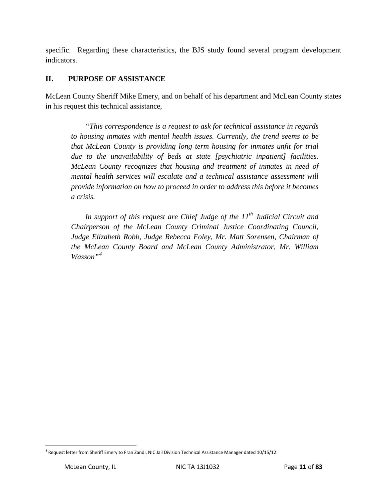specific. Regarding these characteristics, the BJS study found several program development indicators.

#### **II. PURPOSE OF ASSISTANCE**

McLean County Sheriff Mike Emery, and on behalf of his department and McLean County states in his request this technical assistance,

*"This correspondence is a request to ask for technical assistance in regards to housing inmates with mental health issues. Currently, the trend seems to be that McLean County is providing long term housing for inmates unfit for trial due to the unavailability of beds at state [psychiatric inpatient] facilities. McLean County recognizes that housing and treatment of inmates in need of mental health services will escalate and a technical assistance assessment will provide information on how to proceed in order to address this before it becomes a crisis.*

In support of this request are Chief Judge of the 11<sup>th</sup> Judicial Circuit and *Chairperson of the McLean County Criminal Justice Coordinating Council, Judge Elizabeth Robb, Judge Rebecca Foley, Mr. Matt Sorensen, Chairman of the McLean County Board and McLean County Administrator, Mr. William Wasson"[4](#page-8-0)*

<span id="page-11-0"></span> <sup>4</sup> Request letter from Sheriff Emery to Fran Zandi, NIC Jail Division Technical Assistance Manager dated 10/15/12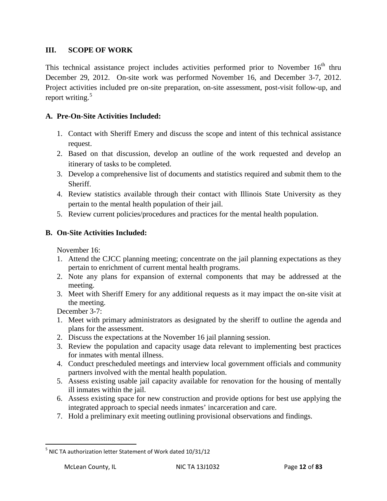#### **III. SCOPE OF WORK**

This technical assistance project includes activities performed prior to November  $16<sup>th</sup>$  thru December 29, 2012. On-site work was performed November 16, and December 3-7, 2012. Project activities included pre on-site preparation, on-site assessment, post-visit follow-up, and report writing. $5$ 

#### **A. Pre-On-Site Activities Included:**

- 1. Contact with Sheriff Emery and discuss the scope and intent of this technical assistance request.
- 2. Based on that discussion, develop an outline of the work requested and develop an itinerary of tasks to be completed.
- 3. Develop a comprehensive list of documents and statistics required and submit them to the Sheriff.
- 4. Review statistics available through their contact with Illinois State University as they pertain to the mental health population of their jail.
- 5. Review current policies/procedures and practices for the mental health population.

#### **B. On-Site Activities Included:**

November 16:

- 1. Attend the CJCC planning meeting; concentrate on the jail planning expectations as they pertain to enrichment of current mental health programs.
- 2. Note any plans for expansion of external components that may be addressed at the meeting.
- 3. Meet with Sheriff Emery for any additional requests as it may impact the on-site visit at the meeting.

December 3-7:

- 1. Meet with primary administrators as designated by the sheriff to outline the agenda and plans for the assessment.
- 2. Discuss the expectations at the November 16 jail planning session.
- 3. Review the population and capacity usage data relevant to implementing best practices for inmates with mental illness.
- 4. Conduct prescheduled meetings and interview local government officials and community partners involved with the mental health population.
- 5. Assess existing usable jail capacity available for renovation for the housing of mentally ill inmates within the jail.
- 6. Assess existing space for new construction and provide options for best use applying the integrated approach to special needs inmates' incarceration and care.
- 7. Hold a preliminary exit meeting outlining provisional observations and findings.

<span id="page-12-0"></span><sup>&</sup>lt;sup>5</sup> NIC TA authorization letter Statement of Work dated 10/31/12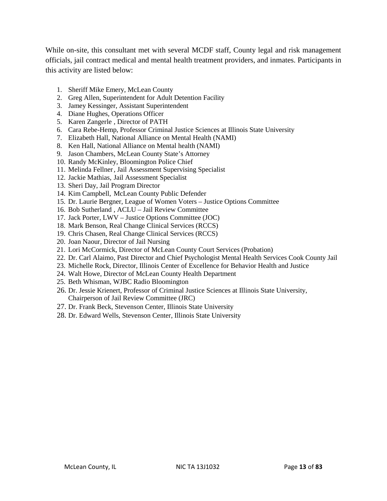While on-site, this consultant met with several MCDF staff, County legal and risk management officials, jail contract medical and mental health treatment providers, and inmates. Participants in this activity are listed below:

- 1. Sheriff Mike Emery, McLean County
- 2. Greg Allen, Superintendent for Adult Detention Facility
- 3. Jamey Kessinger, Assistant Superintendent
- 4. Diane Hughes, Operations Officer
- 5. Karen Zangerle , Director of PATH
- 6. Cara Rebe-Hemp, Professor Criminal Justice Sciences at Illinois State University
- 7. Elizabeth Hall, National Alliance on Mental Health (NAMI)
- 8. Ken Hall, National Alliance on Mental health (NAMI)
- 9. Jason Chambers, McLean County State's Attorney
- 10. Randy McKinley, Bloomington Police Chief
- 11. Melinda Fellner, Jail Assessment Supervising Specialist
- 12. Jackie Mathias, Jail Assessment Specialist
- 13. Sheri Day, Jail Program Director
- 14. Kim Campbell, McLean County Public Defender
- 15. Dr. Laurie Bergner, League of Women Voters Justice Options Committee
- 16. Bob Sutherland , ACLU Jail Review Committee
- 17. Jack Porter, LWV Justice Options Committee (JOC)
- 18. Mark Benson, Real Change Clinical Services (RCCS)
- 19. Chris Chasen, Real Change Clinical Services (RCCS)
- 20. Joan Naour, Director of Jail Nursing
- 21. Lori McCormick, Director of McLean County Court Services (Probation)
- 22. Dr. Carl Alaimo, Past Director and Chief Psychologist Mental Health Services Cook County Jail
- 23. Michelle Rock, Director, Illinois Center of Excellence for Behavior Health and Justice
- 24. Walt Howe, Director of McLean County Health Department
- 25. Beth Whisman, WJBC Radio Bloomington
- 26. Dr. Jessie Krienert, Professor of Criminal Justice Sciences at Illinois State University,
- Chairperson of Jail Review Committee (JRC)
- 27. Dr. Frank Beck, Stevenson Center, Illinois State University
- 28. Dr. Edward Wells, Stevenson Center, Illinois State University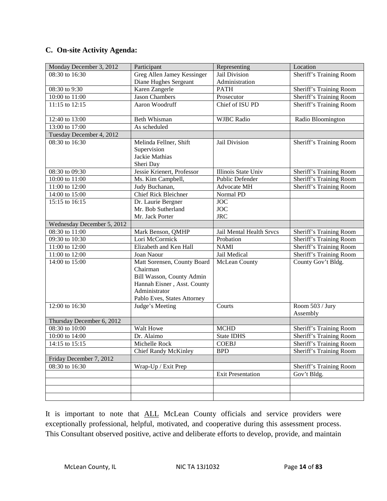#### **C. On-site Activity Agenda:**

| Monday December 3, 2012    | Participant                                                                                                                                         | Representing               | Location                       |
|----------------------------|-----------------------------------------------------------------------------------------------------------------------------------------------------|----------------------------|--------------------------------|
| 08:30 to 16:30             | Greg Allen Jamey Kessinger                                                                                                                          | Jail Division              | Sheriff's Training Room        |
|                            | Diane Hughes Sergeant                                                                                                                               | Administration             |                                |
| 08:30 to 9:30              | Karen Zangerle                                                                                                                                      | <b>PATH</b>                | Sheriff's Training Room        |
| 10:00 to 11:00             | <b>Jason Chambers</b>                                                                                                                               | Prosecutor                 | Sheriff's Training Room        |
| 11:15 to 12:15             | Aaron Woodruff                                                                                                                                      | Chief of ISU PD            | Sheriff's Training Room        |
| 12:40 to 13:00             | Beth Whisman                                                                                                                                        | <b>WJBC</b> Radio          | Radio Bloomington              |
| 13:00 to 17:00             | As scheduled                                                                                                                                        |                            |                                |
| Tuesday December 4, 2012   |                                                                                                                                                     |                            |                                |
| 08:30 to 16:30             | Melinda Fellner, Shift<br>Supervision<br>Jackie Mathias                                                                                             | Jail Division              | <b>Sheriff's Training Room</b> |
|                            | Sheri Day                                                                                                                                           |                            |                                |
| 08:30 to 09:30             | Jessie Krienert, Professor                                                                                                                          | <b>Illinois State Univ</b> | Sheriff's Training Room        |
| 10:00 to 11:00             | Ms. Kim Campbell,                                                                                                                                   | Public Defender            | <b>Sheriff's Training Room</b> |
| 11:00 to 12:00             | Judy Buchanan,                                                                                                                                      | <b>Advocate MH</b>         | <b>Sheriff's Training Room</b> |
| 14:00 to 15:00             | <b>Chief Rick Bleichner</b>                                                                                                                         | Normal PD                  |                                |
| 15:15 to 16:15             | Dr. Laurie Bergner                                                                                                                                  | $\overline{JOC}$           |                                |
|                            | Mr. Bob Sutherland                                                                                                                                  | <b>JOC</b>                 |                                |
|                            | Mr. Jack Porter                                                                                                                                     | <b>JRC</b>                 |                                |
| Wednesday December 5, 2012 |                                                                                                                                                     |                            |                                |
| 08:30 to 11:00             | Mark Benson, QMHP                                                                                                                                   | Jail Mental Health Srvcs   | Sheriff's Training Room        |
| 09:30 to 10:30             | Lori McCormick                                                                                                                                      | Probation                  | Sheriff's Training Room        |
| 11:00 to 12:00             | Elizabeth and Ken Hall                                                                                                                              | <b>NAMI</b>                | Sheriff's Training Room        |
| 11:00 to 12:00             | Joan Naour                                                                                                                                          | Jail Medical               | Sheriff's Training Room        |
| 14:00 to 15:00             | Matt Sorensen, County Board<br>Chairman<br>Bill Wasson, County Admin<br>Hannah Eisner, Asst. County<br>Administrator<br>Pablo Eves, States Attorney | McLean County              | County Gov't Bldg.             |
| 12:00 to 16:30             | Judge's Meeting                                                                                                                                     | Courts                     | Room 503 / Jury                |
|                            |                                                                                                                                                     |                            | Assembly                       |
| Thursday December 6, 2012  |                                                                                                                                                     |                            |                                |
| 08:30 to 10:00             | Walt Howe                                                                                                                                           | <b>MCHD</b>                | Sheriff's Training Room        |
| 10:00 to 14:00             | Dr. Alaimo                                                                                                                                          | <b>State IDHS</b>          | Sheriff's Training Room        |
| 14:15 to 15:15             | Michelle Rock                                                                                                                                       | <b>COEBJ</b>               | Sheriff's Training Room        |
|                            | <b>Chief Randy McKinley</b>                                                                                                                         | <b>BPD</b>                 | Sheriff's Training Room        |
| Friday December 7, 2012    |                                                                                                                                                     |                            |                                |
| 08:30 to 16:30             | Wrap-Up / Exit Prep                                                                                                                                 |                            | Sheriff's Training Room        |
|                            |                                                                                                                                                     | <b>Exit Presentation</b>   | Gov't Bldg.                    |
|                            |                                                                                                                                                     |                            |                                |
|                            |                                                                                                                                                     |                            |                                |
|                            |                                                                                                                                                     |                            |                                |

It is important to note that **ALL** McLean County officials and service providers were exceptionally professional, helpful, motivated, and cooperative during this assessment process. This Consultant observed positive, active and deliberate efforts to develop, provide, and maintain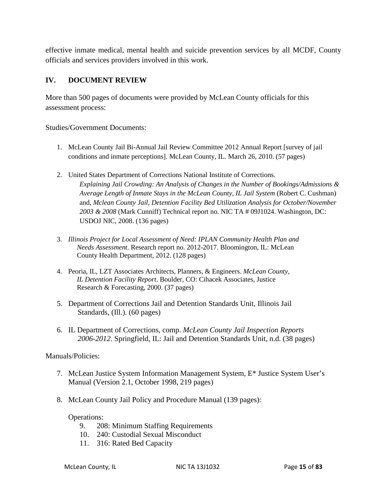effective inmate medical, mental health and suicide prevention services by all MCDF, County officials and services providers involved in this work.

#### **IV. DOCUMENT REVIEW**

More than 500 pages of documents were provided by McLean County officials for this assessment process:

Studies/Government Documents:

- 1. McLean County Jail Bi-Annual Jail Review Committee 2012 Annual Report [survey of jail conditions and inmate perceptions]. McLean County, IL. March 26, 2010. (57 pages)
- 2. United States Department of Corrections National Institute of Corrections. *Explaining Jail Crowding: An Analysis of Changes in the Number of Bookings/Admissions & Average Length of Inmate Stays in the McLean County, IL Jail System* (Robert C. Cushman) and, *Mclean County Jail, Detention Facility Bed Utilization Analysis for October/November 2003 & 2008* (Mark Cunniff) Technical report no. NIC TA # 09J1024. Washington, DC: USDOJ NIC, 2008. (136 pages)
- 3. *Illinois Project for Local Assessment of Need: IPLAN Community Health Plan and Needs Assessment*. Research report no. 2012-2017. Bloomington, IL: McLean County Health Department, 2012. (128 pages)
- 4. Peoria, IL, LZT Associates Architects, Planners, & Engineers. *McLean County, IL Detention Facility Report*. Boulder, CO: Cihacek Associates, Justice Research & Forecasting, 2000. (37 pages)
- 5. Department of Corrections Jail and Detention Standards Unit, Illinois Jail Standards, (Ill.). (60 pages)
- 6. IL Department of Corrections, comp. *McLean County Jail Inspection Reports 2006-2012*. Springfield, IL: Jail and Detention Standards Unit, n.d. (38 pages)

#### Manuals/Policies:

- 7. McLean Justice System Information Management System, E\* Justice System User's Manual (Version 2.1, October 1998, 219 pages)
- 8. McLean County Jail Policy and Procedure Manual (139 pages):

#### Operations:

- 9. 208: Minimum Staffing Requirements
- 10. 240: Custodial Sexual Misconduct
- 11. 316: Rated Bed Capacity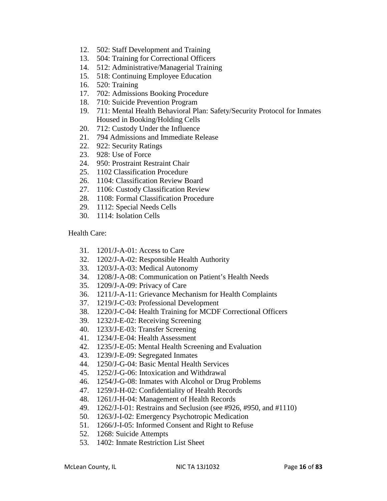- 12. 502: Staff Development and Training
- 13. 504: Training for Correctional Officers
- 14. 512: Administrative/Managerial Training
- 15. 518: Continuing Employee Education
- 16. 520: Training
- 17. 702: Admissions Booking Procedure
- 18. 710: Suicide Prevention Program
- 19. 711: Mental Health Behavioral Plan: Safety/Security Protocol for Inmates Housed in Booking/Holding Cells
- 20. 712: Custody Under the Influence
- 21. 794 Admissions and Immediate Release
- 22. 922: Security Ratings
- 23. 928: Use of Force
- 24. 950: Prostraint Restraint Chair
- 25. 1102 Classification Procedure
- 26. 1104: Classification Review Board
- 27. 1106: Custody Classification Review
- 28. 1108: Formal Classification Procedure
- 29. 1112: Special Needs Cells
- 30. 1114: Isolation Cells

Health Care:

- 31. 1201/J-A-01: Access to Care
- 32. 1202/J-A-02: Responsible Health Authority
- 33. 1203/J-A-03: Medical Autonomy
- 34. 1208/J-A-08: Communication on Patient's Health Needs
- 35. 1209/J-A-09: Privacy of Care
- 36. 1211/J-A-11: Grievance Mechanism for Health Complaints
- 37. 1219/J-C-03: Professional Development
- 38. 1220/J-C-04: Health Training for MCDF Correctional Officers
- 39. 1232/J-E-02: Receiving Screening
- 40. 1233/J-E-03: Transfer Screening
- 41. 1234/J-E-04: Health Assessment
- 42. 1235/J-E-05: Mental Health Screening and Evaluation
- 43. 1239/J-E-09: Segregated Inmates
- 44. 1250/J-G-04: Basic Mental Health Services
- 45. 1252/J-G-06: Intoxication and Withdrawal
- 46. 1254/J-G-08: Inmates with Alcohol or Drug Problems
- 47. 1259/J-H-02: Confidentiality of Health Records
- 48. 1261/J-H-04: Management of Health Records
- 49. 1262/J-I-01: Restrains and Seclusion (see #926, #950, and #1110)
- 50. 1263/J-I-02: Emergency Psychotropic Medication
- 51. 1266/J-I-05: Informed Consent and Right to Refuse
- 52. 1268: Suicide Attempts
- 53. 1402: Inmate Restriction List Sheet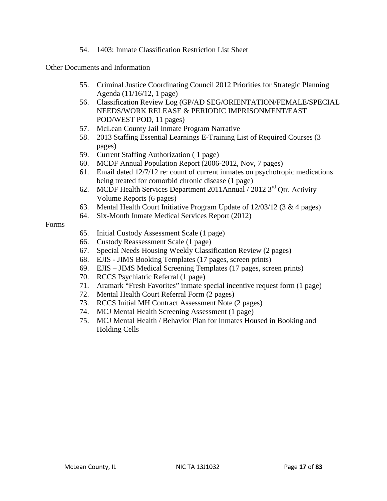54. 1403: Inmate Classification Restriction List Sheet

Other Documents and Information

- 55. Criminal Justice Coordinating Council 2012 Priorities for Strategic Planning Agenda (11/16/12, 1 page)
- 56. Classification Review Log (GP/AD SEG/ORIENTATION/FEMALE/SPECIAL NEEDS/WORK RELEASE & PERIODIC IMPRISONMENT/EAST POD/WEST POD, 11 pages)
- 57. McLean County Jail Inmate Program Narrative
- 58. 2013 Staffing Essential Learnings E-Training List of Required Courses (3 pages)
- 59. Current Staffing Authorization ( 1 page)
- 60. MCDF Annual Population Report (2006-2012, Nov, 7 pages)
- 61. Email dated 12/7/12 re: count of current inmates on psychotropic medications being treated for comorbid chronic disease (1 page)
- 62. MCDF Health Services Department 2011Annual / 2012 3rd Qtr. Activity Volume Reports (6 pages)
- 63. Mental Health Court Initiative Program Update of 12/03/12 (3 & 4 pages)
- 64. Six-Month Inmate Medical Services Report (2012)

#### Forms

- 65. Initial Custody Assessment Scale (1 page)
- 66. Custody Reassessment Scale (1 page)
- 67. Special Needs Housing Weekly Classification Review (2 pages)
- 68. EJIS JIMS Booking Templates (17 pages, screen prints)
- 69. EJIS JIMS Medical Screening Templates (17 pages, screen prints)
- 70. RCCS Psychiatric Referral (1 page)
- 71. Aramark "Fresh Favorites" inmate special incentive request form (1 page)
- 72. Mental Health Court Referral Form (2 pages)
- 73. RCCS Initial MH Contract Assessment Note (2 pages)
- 74. MCJ Mental Health Screening Assessment (1 page)
- 75. MCJ Mental Health / Behavior Plan for Inmates Housed in Booking and Holding Cells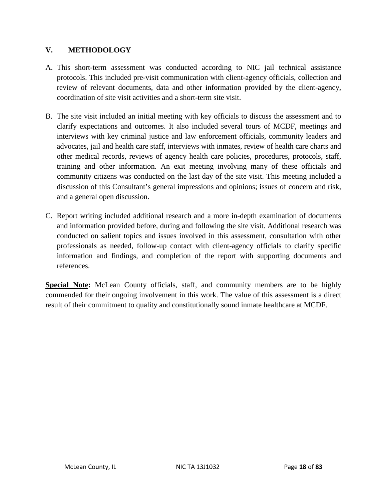#### **V. METHODOLOGY**

- A. This short-term assessment was conducted according to NIC jail technical assistance protocols. This included pre-visit communication with client-agency officials, collection and review of relevant documents, data and other information provided by the client-agency, coordination of site visit activities and a short-term site visit.
- B. The site visit included an initial meeting with key officials to discuss the assessment and to clarify expectations and outcomes. It also included several tours of MCDF, meetings and interviews with key criminal justice and law enforcement officials, community leaders and advocates, jail and health care staff, interviews with inmates, review of health care charts and other medical records, reviews of agency health care policies, procedures, protocols, staff, training and other information. An exit meeting involving many of these officials and community citizens was conducted on the last day of the site visit. This meeting included a discussion of this Consultant's general impressions and opinions; issues of concern and risk, and a general open discussion.
- C. Report writing included additional research and a more in-depth examination of documents and information provided before, during and following the site visit. Additional research was conducted on salient topics and issues involved in this assessment, consultation with other professionals as needed, follow-up contact with client-agency officials to clarify specific information and findings, and completion of the report with supporting documents and references.

**Special Note:** McLean County officials, staff, and community members are to be highly commended for their ongoing involvement in this work. The value of this assessment is a direct result of their commitment to quality and constitutionally sound inmate healthcare at MCDF.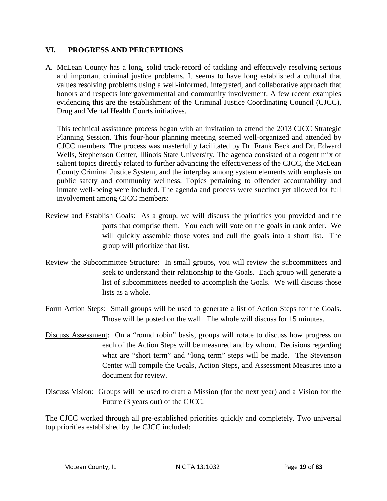#### **VI. PROGRESS AND PERCEPTIONS**

A. McLean County has a long, solid track-record of tackling and effectively resolving serious and important criminal justice problems. It seems to have long established a cultural that values resolving problems using a well-informed, integrated, and collaborative approach that honors and respects intergovernmental and community involvement. A few recent examples evidencing this are the establishment of the Criminal Justice Coordinating Council (CJCC), Drug and Mental Health Courts initiatives.

This technical assistance process began with an invitation to attend the 2013 CJCC Strategic Planning Session. This four-hour planning meeting seemed well-organized and attended by CJCC members. The process was masterfully facilitated by Dr. Frank Beck and Dr. Edward Wells, Stephenson Center, Illinois State University. The agenda consisted of a cogent mix of salient topics directly related to further advancing the effectiveness of the CJCC, the McLean County Criminal Justice System, and the interplay among system elements with emphasis on public safety and community wellness. Topics pertaining to offender accountability and inmate well-being were included. The agenda and process were succinct yet allowed for full involvement among CJCC members:

- Review and Establish Goals: As a group, we will discuss the priorities you provided and the parts that comprise them. You each will vote on the goals in rank order. We will quickly assemble those votes and cull the goals into a short list. The group will prioritize that list.
- Review the Subcommittee Structure: In small groups, you will review the subcommittees and seek to understand their relationship to the Goals. Each group will generate a list of subcommittees needed to accomplish the Goals. We will discuss those lists as a whole.
- Form Action Steps: Small groups will be used to generate a list of Action Steps for the Goals. Those will be posted on the wall. The whole will discuss for 15 minutes.
- Discuss Assessment: On a "round robin" basis, groups will rotate to discuss how progress on each of the Action Steps will be measured and by whom. Decisions regarding what are "short term" and "long term" steps will be made. The Stevenson Center will compile the Goals, Action Steps, and Assessment Measures into a document for review.
- Discuss Vision: Groups will be used to draft a Mission (for the next year) and a Vision for the Future (3 years out) of the CJCC.

The CJCC worked through all pre-established priorities quickly and completely. Two universal top priorities established by the CJCC included: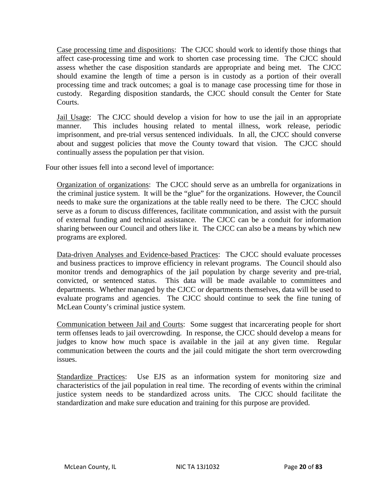Case processing time and dispositions: The CJCC should work to identify those things that affect case-processing time and work to shorten case processing time. The CJCC should assess whether the case disposition standards are appropriate and being met. The CJCC should examine the length of time a person is in custody as a portion of their overall processing time and track outcomes; a goal is to manage case processing time for those in custody. Regarding disposition standards, the CJCC should consult the Center for State Courts.

Jail Usage: The CJCC should develop a vision for how to use the jail in an appropriate manner. This includes housing related to mental illness, work release, periodic imprisonment, and pre-trial versus sentenced individuals. In all, the CJCC should converse about and suggest policies that move the County toward that vision. The CJCC should continually assess the population per that vision.

Four other issues fell into a second level of importance:

Organization of organizations: The CJCC should serve as an umbrella for organizations in the criminal justice system. It will be the "glue" for the organizations. However, the Council needs to make sure the organizations at the table really need to be there. The CJCC should serve as a forum to discuss differences, facilitate communication, and assist with the pursuit of external funding and technical assistance. The CJCC can be a conduit for information sharing between our Council and others like it. The CJCC can also be a means by which new programs are explored.

Data-driven Analyses and Evidence-based Practices: The CJCC should evaluate processes and business practices to improve efficiency in relevant programs. The Council should also monitor trends and demographics of the jail population by charge severity and pre-trial, convicted, or sentenced status. This data will be made available to committees and departments. Whether managed by the CJCC or departments themselves, data will be used to evaluate programs and agencies. The CJCC should continue to seek the fine tuning of McLean County's criminal justice system.

Communication between Jail and Courts: Some suggest that incarcerating people for short term offenses leads to jail overcrowding. In response, the CJCC should develop a means for judges to know how much space is available in the jail at any given time. Regular communication between the courts and the jail could mitigate the short term overcrowding issues.

Standardize Practices: Use EJS as an information system for monitoring size and characteristics of the jail population in real time. The recording of events within the criminal justice system needs to be standardized across units. The CJCC should facilitate the standardization and make sure education and training for this purpose are provided.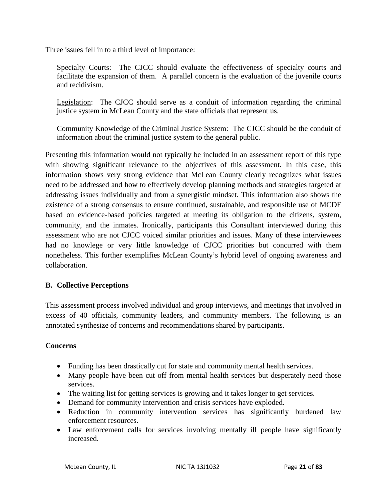Three issues fell in to a third level of importance:

Specialty Courts: The CJCC should evaluate the effectiveness of specialty courts and facilitate the expansion of them. A parallel concern is the evaluation of the juvenile courts and recidivism.

Legislation: The CJCC should serve as a conduit of information regarding the criminal justice system in McLean County and the state officials that represent us.

Community Knowledge of the Criminal Justice System: The CJCC should be the conduit of information about the criminal justice system to the general public.

Presenting this information would not typically be included in an assessment report of this type with showing significant relevance to the objectives of this assessment. In this case, this information shows very strong evidence that McLean County clearly recognizes what issues need to be addressed and how to effectively develop planning methods and strategies targeted at addressing issues individually and from a synergistic mindset. This information also shows the existence of a strong consensus to ensure continued, sustainable, and responsible use of MCDF based on evidence-based policies targeted at meeting its obligation to the citizens, system, community, and the inmates. Ironically, participants this Consultant interviewed during this assessment who are not CJCC voiced similar priorities and issues. Many of these interviewees had no knowlege or very little knowledge of CJCC priorities but concurred with them nonetheless. This further exemplifies McLean County's hybrid level of ongoing awareness and collaboration.

#### **B. Collective Perceptions**

This assessment process involved individual and group interviews, and meetings that involved in excess of 40 officials, community leaders, and community members. The following is an annotated synthesize of concerns and recommendations shared by participants.

#### **Concerns**

- Funding has been drastically cut for state and community mental health services.
- Many people have been cut off from mental health services but desperately need those services.
- The waiting list for getting services is growing and it takes longer to get services.
- Demand for community intervention and crisis services have exploded.
- Reduction in community intervention services has significantly burdened law enforcement resources.
- Law enforcement calls for services involving mentally ill people have significantly increased.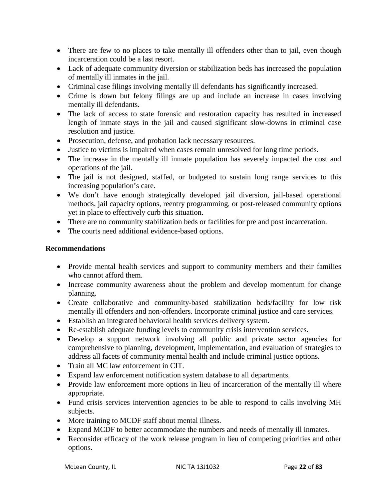- There are few to no places to take mentally ill offenders other than to jail, even though incarceration could be a last resort.
- Lack of adequate community diversion or stabilization beds has increased the population of mentally ill inmates in the jail.
- Criminal case filings involving mentally ill defendants has significantly increased.
- Crime is down but felony filings are up and include an increase in cases involving mentally ill defendants.
- The lack of access to state forensic and restoration capacity has resulted in increased length of inmate stays in the jail and caused significant slow-downs in criminal case resolution and justice.
- Prosecution, defense, and probation lack necessary resources.
- Justice to victims is impaired when cases remain unresolved for long time periods.
- The increase in the mentally ill inmate population has severely impacted the cost and operations of the jail.
- The jail is not designed, staffed, or budgeted to sustain long range services to this increasing population's care.
- We don't have enough strategically developed jail diversion, jail-based operational methods, jail capacity options, reentry programming, or post-released community options yet in place to effectively curb this situation.
- There are no community stabilization beds or facilities for pre and post incarceration.
- The courts need additional evidence-based options.

#### **Recommendations**

- Provide mental health services and support to community members and their families who cannot afford them.
- Increase community awareness about the problem and develop momentum for change planning.
- Create collaborative and community-based stabilization beds/facility for low risk mentally ill offenders and non-offenders. Incorporate criminal justice and care services.
- Establish an integrated behavioral health services delivery system.
- Re-establish adequate funding levels to community crisis intervention services.
- Develop a support network involving all public and private sector agencies for comprehensive to planning, development, implementation, and evaluation of strategies to address all facets of community mental health and include criminal justice options.
- Train all MC law enforcement in CIT.
- Expand law enforcement notification system database to all departments.
- Provide law enforcement more options in lieu of incarceration of the mentally ill where appropriate.
- Fund crisis services intervention agencies to be able to respond to calls involving MH subjects.
- More training to MCDF staff about mental illness.
- Expand MCDF to better accommodate the numbers and needs of mentally ill inmates.
- Reconsider efficacy of the work release program in lieu of competing priorities and other options.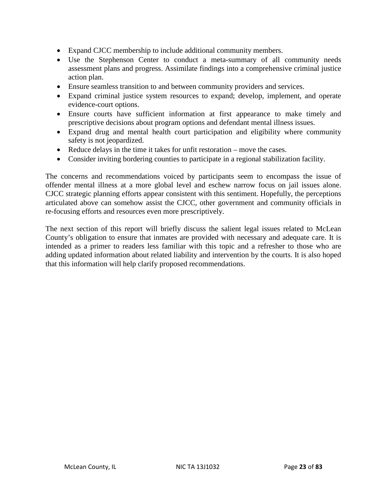- Expand CJCC membership to include additional community members.
- Use the Stephenson Center to conduct a meta-summary of all community needs assessment plans and progress. Assimilate findings into a comprehensive criminal justice action plan.
- Ensure seamless transition to and between community providers and services.
- Expand criminal justice system resources to expand; develop, implement, and operate evidence-court options.
- Ensure courts have sufficient information at first appearance to make timely and prescriptive decisions about program options and defendant mental illness issues.
- Expand drug and mental health court participation and eligibility where community safety is not jeopardized.
- Reduce delays in the time it takes for unfit restoration move the cases.
- Consider inviting bordering counties to participate in a regional stabilization facility.

The concerns and recommendations voiced by participants seem to encompass the issue of offender mental illness at a more global level and eschew narrow focus on jail issues alone. CJCC strategic planning efforts appear consistent with this sentiment. Hopefully, the perceptions articulated above can somehow assist the CJCC, other government and community officials in re-focusing efforts and resources even more prescriptively.

The next section of this report will briefly discuss the salient legal issues related to McLean County's obligation to ensure that inmates are provided with necessary and adequate care. It is intended as a primer to readers less familiar with this topic and a refresher to those who are adding updated information about related liability and intervention by the courts. It is also hoped that this information will help clarify proposed recommendations.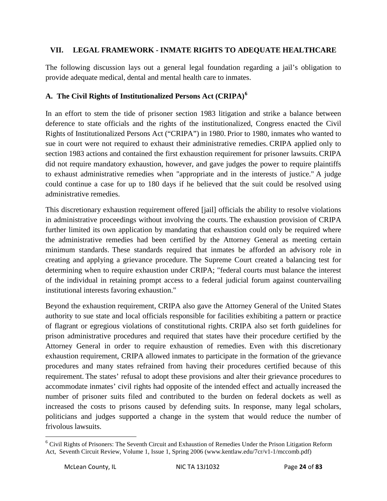#### **VII. LEGAL FRAMEWORK - INMATE RIGHTS TO ADEQUATE HEALTHCARE**

The following discussion lays out a general legal foundation regarding a jail's obligation to provide adequate medical, dental and mental health care to inmates.

#### **A. The Civil Rights of Institutionalized Persons Act (CRIPA)[6](#page-12-0)**

In an effort to stem the tide of prisoner section 1983 litigation and strike a balance between deference to state officials and the rights of the institutionalized, Congress enacted the Civil Rights of Institutionalized Persons Act ("CRIPA") in 1980. Prior to 1980, inmates who wanted to sue in court were not required to exhaust their administrative remedies. CRIPA applied only to section 1983 actions and contained the first exhaustion requirement for prisoner lawsuits. CRIPA did not require mandatory exhaustion, however, and gave judges the power to require plaintiffs to exhaust administrative remedies when "appropriate and in the interests of justice." A judge could continue a case for up to 180 days if he believed that the suit could be resolved using administrative remedies.

This discretionary exhaustion requirement offered [jail] officials the ability to resolve violations in administrative proceedings without involving the courts. The exhaustion provision of CRIPA further limited its own application by mandating that exhaustion could only be required where the administrative remedies had been certified by the Attorney General as meeting certain minimum standards. These standards required that inmates be afforded an advisory role in creating and applying a grievance procedure. The Supreme Court created a balancing test for determining when to require exhaustion under CRIPA; "federal courts must balance the interest of the individual in retaining prompt access to a federal judicial forum against countervailing institutional interests favoring exhaustion."

Beyond the exhaustion requirement, CRIPA also gave the Attorney General of the United States authority to sue state and local officials responsible for facilities exhibiting a pattern or practice of flagrant or egregious violations of constitutional rights. CRIPA also set forth guidelines for prison administrative procedures and required that states have their procedure certified by the Attorney General in order to require exhaustion of remedies. Even with this discretionary exhaustion requirement, CRIPA allowed inmates to participate in the formation of the grievance procedures and many states refrained from having their procedures certified because of this requirement. The states' refusal to adopt these provisions and alter their grievance procedures to accommodate inmates' civil rights had opposite of the intended effect and actually increased the number of prisoner suits filed and contributed to the burden on federal dockets as well as increased the costs to prisons caused by defending suits. In response, many legal scholars, politicians and judges supported a change in the system that would reduce the number of frivolous lawsuits.

<span id="page-24-0"></span> $\overline{\phantom{a}}$ 

<sup>&</sup>lt;sup>6</sup> Civil Rights of Prisoners: The Seventh Circuit and Exhaustion of Remedies Under the Prison Litigation Reform Act, Seventh Circuit Review, Volume 1, Issue 1, Spring 2006 (www.kentlaw.edu/7cr/v1-1/mccomb.pdf)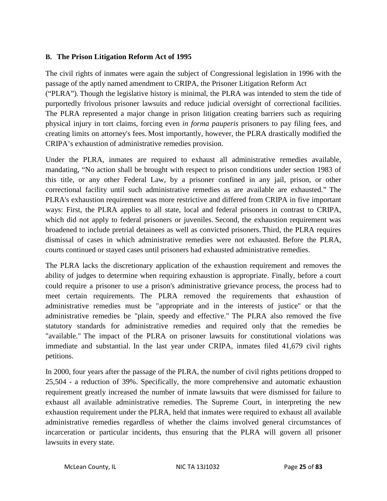#### **B. The Prison Litigation Reform Act of 1995**

The civil rights of inmates were again the subject of Congressional legislation in 1996 with the passage of the aptly named amendment to CRIPA, the Prisoner Litigation Reform Act ("PLRA"). Though the legislative history is minimal, the PLRA was intended to stem the tide of purportedly frivolous prisoner lawsuits and reduce judicial oversight of correctional facilities. The PLRA represented a major change in prison litigation creating barriers such as requiring physical injury in tort claims, forcing even *in forma pauperis* prisoners to pay filing fees, and creating limits on attorney's fees. Most importantly, however, the PLRA drastically modified the CRIPA's exhaustion of administrative remedies provision.

Under the PLRA, inmates are required to exhaust all administrative remedies available, mandating, "No action shall be brought with respect to prison conditions under section 1983 of this title, or any other Federal Law, by a prisoner confined in any jail, prison, or other correctional facility until such administrative remedies as are available are exhausted." The PLRA's exhaustion requirement was more restrictive and differed from CRIPA in five important ways: First, the PLRA applies to all state, local and federal prisoners in contrast to CRIPA, which did not apply to federal prisoners or juveniles. Second, the exhaustion requirement was broadened to include pretrial detainees as well as convicted prisoners. Third, the PLRA requires dismissal of cases in which administrative remedies were not exhausted. Before the PLRA, courts continued or stayed cases until prisoners had exhausted administrative remedies.

The PLRA lacks the discretionary application of the exhaustion requirement and removes the ability of judges to determine when requiring exhaustion is appropriate. Finally, before a court could require a prisoner to use a prison's administrative grievance process, the process had to meet certain requirements. The PLRA removed the requirements that exhaustion of administrative remedies must be "appropriate and in the interests of justice" or that the administrative remedies be "plain, speedy and effective." The PLRA also removed the five statutory standards for administrative remedies and required only that the remedies be "available." The impact of the PLRA on prisoner lawsuits for constitutional violations was immediate and substantial. In the last year under CRIPA, inmates filed 41,679 civil rights petitions.

In 2000, four years after the passage of the PLRA, the number of civil rights petitions dropped to 25,504 - a reduction of 39%. Specifically, the more comprehensive and automatic exhaustion requirement greatly increased the number of inmate lawsuits that were dismissed for failure to exhaust all available administrative remedies. The Supreme Court, in interpreting the new exhaustion requirement under the PLRA, held that inmates were required to exhaust all available administrative remedies regardless of whether the claims involved general circumstances of incarceration or particular incidents, thus ensuring that the PLRA will govern all prisoner lawsuits in every state.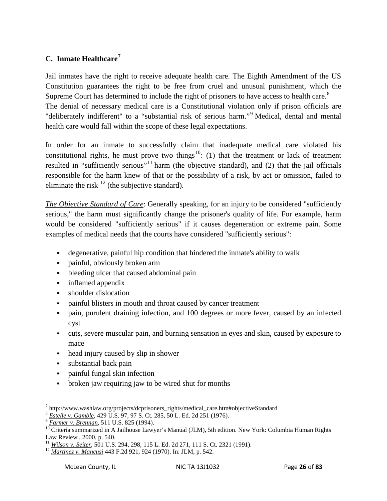#### **C. Inmate Healthcare[7](#page-24-0)**

Jail inmates have the right to receive adequate health care. The Eighth Amendment of the US Constitution guarantees the right to be free from cruel and unusual punishment, which the Supreme Court has determined to include the right of prisoners to have access to health care. ${}^{8}$  ${}^{8}$  ${}^{8}$ The denial of necessary medical care is a Constitutional violation only if prison officials are "deliberately indifferent" to a "substantial risk of serious harm."<sup>[9](#page-26-1)</sup> Medical, dental and mental health care would fall within the scope of these legal expectations.

In order for an inmate to successfully claim that inadequate medical care violated his constitutional rights, he must prove two things<sup>[10](#page-26-2)</sup>: (1) that the treatment or lack of treatment resulted in "sufficiently serious"<sup>[11](#page-26-3)</sup> harm (the objective standard), and (2) that the jail officials responsible for the harm knew of that or the possibility of a risk, by act or omission, failed to eliminate the risk  $^{12}$  $^{12}$  $^{12}$  (the subjective standard).

*The Objective Standard of Care*: Generally speaking, for an injury to be considered "sufficiently serious," the harm must significantly change the prisoner's quality of life. For example, harm would be considered "sufficiently serious" if it causes degeneration or extreme pain. Some examples of medical needs that the courts have considered "sufficiently serious":

- degenerative, painful hip condition that hindered the inmate's ability to walk
- painful, obviously broken arm
- bleeding ulcer that caused abdominal pain
- **inflamed appendix**
- shoulder dislocation
- painful blisters in mouth and throat caused by cancer treatment
- pain, purulent draining infection, and 100 degrees or more fever, caused by an infected cyst
- cuts, severe muscular pain, and burning sensation in eyes and skin, caused by exposure to mace
- head injury caused by slip in shower
- substantial back pain
- painful fungal skin infection
- broken jaw requiring jaw to be wired shut for months

<span id="page-26-5"></span> $^7$  http://www.washlaw.org/projects/dcprisoners\_rights/medical\_care.htm#objectiveStandard  $^8$  *Estelle v. Gamble*, 429 U.S. 97, 97 S. Ct. 285, 50 L. Ed. 2d 251 (1976).

<span id="page-26-2"></span><span id="page-26-1"></span><span id="page-26-0"></span> $\sqrt[9]{\frac{Farmer v. Brennan}}$ , 511 U.S. 825 (1994).<br><sup>10</sup> Criteria summarized in A Jailhouse Lawyer's Manual (JLM), 5th edition. New York: Columbia Human Rights Law Review , 2000, p. 540.

<span id="page-26-3"></span><sup>&</sup>lt;sup>11</sup> *Wilson v. Seiter*, 501 U.S. 294, 298, 115 L. Ed. 2d 271, 111 S. Ct. 2321 (1991).<br><sup>12</sup> *Martinez v. Mancusi* 443 F.2d 921, 924 (1970). In: JLM, p. 542.

<span id="page-26-4"></span>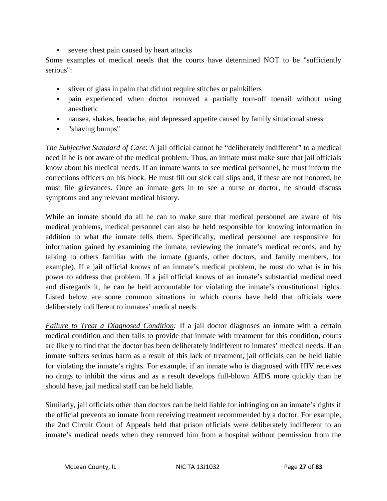severe chest pain caused by heart attacks

Some examples of medical needs that the courts have determined NOT to be "sufficiently serious":

- sliver of glass in palm that did not require stitches or painkillers
- pain experienced when doctor removed a partially torn-off toenail without using anesthetic
- nausea, shakes, headache, and depressed appetite caused by family situational stress
- "shaving bumps"

*The Subjective Standard of Care*: A jail official cannot be "deliberately indifferent" to a medical need if he is not aware of the medical problem. Thus, an inmate must make sure that jail officials know about his medical needs. If an inmate wants to see medical personnel, he must inform the corrections officers on his block. He must fill out sick call slips and, if these are not honored, he must file grievances. Once an inmate gets in to see a nurse or doctor, he should discuss symptoms and any relevant medical history.

While an inmate should do all he can to make sure that medical personnel are aware of his medical problems, medical personnel can also be held responsible for knowing information in addition to what the inmate tells them. Specifically, medical personnel are responsible for information gained by examining the inmate, reviewing the inmate's medical records, and by talking to others familiar with the inmate (guards, other doctors, and family members, for example). If a jail official knows of an inmate's medical problem, he must do what is in his power to address that problem. If a jail official knows of an inmate's substantial medical need and disregards it, he can be held accountable for violating the inmate's constitutional rights. Listed below are some common situations in which courts have held that officials were deliberately indifferent to inmates' medical needs.

*Failure to Treat a Diagnosed Condition:* If a jail doctor diagnoses an inmate with a certain medical condition and then fails to provide that inmate with treatment for this condition, courts are likely to find that the doctor has been deliberately indifferent to inmates' medical needs. If an inmate suffers serious harm as a result of this lack of treatment, jail officials can be held liable for violating the inmate's rights. For example, if an inmate who is diagnosed with HIV receives no drugs to inhibit the virus and as a result develops full-blown AIDS more quickly than he should have, jail medical staff can be held liable.

Similarly, jail officials other than doctors can be held liable for infringing on an inmate's rights if the official prevents an inmate from receiving treatment recommended by a doctor. For example, the 2nd Circuit Court of Appeals held that prison officials were deliberately indifferent to an inmate's medical needs when they removed him from a hospital without permission from the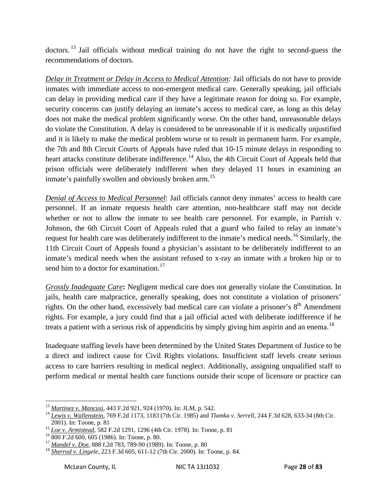doctors. <sup>[13](#page-26-5)</sup> Jail officials without medical training do not have the right to second-guess the recommendations of doctors.

*Delay in Treatment or Delay in Access to Medical Attention:* Jail officials do not have to provide inmates with immediate access to non-emergent medical care. Generally speaking, jail officials can delay in providing medical care if they have a legitimate reason for doing so. For example, security concerns can justify delaying an inmate's access to medical care, as long as this delay does not make the medical problem significantly worse. On the other hand, unreasonable delays do violate the Constitution. A delay is considered to be unreasonable if it is medically unjustified and it is likely to make the medical problem worse or to result in permanent harm. For example, the 7th and 8th Circuit Courts of Appeals have ruled that 10-15 minute delays in responding to heart attacks constitute deliberate indifference.<sup>[14](#page-28-0)</sup> Also, the 4th Circuit Court of Appeals held that prison officials were deliberately indifferent when they delayed 11 hours in examining an inmate's painfully swollen and obviously broken arm.<sup>[15](#page-28-1)</sup>

*Denial of Access to Medical Personnel*: Jail officials cannot deny inmates' access to health care personnel. If an inmate requests health care attention, non-healthcare staff may not decide whether or not to allow the inmate to see health care personnel. For example, in Parrish v. Johnson, the 6th Circuit Court of Appeals ruled that a guard who failed to relay an inmate's request for health care was deliberately indifferent to the inmate's medical needs.<sup>[16](#page-28-2)</sup> Similarly, the 11th Circuit Court of Appeals found a physician's assistant to be deliberately indifferent to an inmate's medical needs when the assistant refused to x-ray an inmate with a broken hip or to send him to a doctor for examination.<sup>[17](#page-28-3)</sup>

*Grossly Inadequate Care***:** Negligent medical care does not generally violate the Constitution. In jails, health care malpractice, generally speaking, does not constitute a violation of prisoners' rights. On the other hand, excessively bad medical care can violate a prisoner's  $8<sup>th</sup>$  Amendment rights. For example, a jury could find that a jail official acted with deliberate indifference if he treats a patient with a serious risk of appendicitis by simply giving him aspirin and an enema.<sup>[18](#page-28-4)</sup>

Inadequate staffing levels have been determined by the United States Department of Justice to be a direct and indirect cause for Civil Rights violations. Insufficient staff levels create serious access to care barriers resulting in medical neglect. Additionally, assigning unqualified staff to perform medical or mental health care functions outside their scope of licensure or practice can

<span id="page-28-0"></span><sup>&</sup>lt;sup>13</sup> *Martinez v. Mancusi*, 443 F.2d 921, 924 (1970). In: JLM, p. 542.<br><sup>14</sup> *Lewis v. Wallenstein*, 769 F.2d 1173, 1183 (7th Cir. 1985) and *Tlamka v. Serrell*, 244 F.3d 628, 633-34 (8th Cir. 2001). In: Toone, p. 81

<span id="page-28-2"></span><span id="page-28-1"></span><sup>&</sup>lt;sup>15</sup> Loe *v. Armistead*, 582 F.2d 1291, 1296 (4th Cir. 1978). In: Toone, p. 81<br><sup>16</sup> 800 F.2d 600, 605 (1986). In: Toone, p. 80.<br><sup>17</sup> Mandel *v. Doe*, 888 f.2d 783, 789-90 (1989). In: Toone, p. 80<br><sup>18</sup> Sherrod *v. Lingele* 

<span id="page-28-3"></span>

<span id="page-28-5"></span><span id="page-28-4"></span>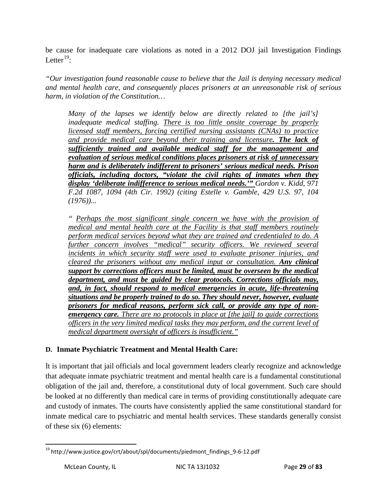be cause for inadequate care violations as noted in a 2012 DOJ jail Investigation Findings Letter $^{19}$  $^{19}$  $^{19}$ :

*"Our investigation found reasonable cause to believe that the Jail is denying necessary medical and mental health care, and consequently places prisoners at an unreasonable risk of serious harm, in violation of the Constitution…*

*Many of the lapses we identify below are directly related to [the jail's] inadequate medical staffing. There is too little onsite coverage by properly licensed staff members, forcing certified nursing assistants (CNAs) to practice and provide medical care beyond their training and licensure. The lack of sufficiently trained and available medical staff for the management and evaluation of serious medical conditions places prisoners at risk of unnecessary harm and is deliberately indifferent to prisoners' serious medical needs. Prison officials, including doctors, "violate the civil rights of inmates when they display 'deliberate indifference to serious medical needs.'" Gordon v. Kidd, 971 F.2d 1087, 1094 (4th Cir. 1992) (citing Estelle v. Gamble, 429 U.S. 97, 104 (1976))...*

*" Perhaps the most significant single concern we have with the provision of medical and mental health care at the Facility is that staff members routinely perform medical services beyond what they are trained and credentialed to do. A*  further concern involves "medical" security officers. We reviewed several *incidents in which security staff were used to evaluate prisoner injuries, and cleared the prisoners without any medical input or consultation. Any clinical support by corrections officers must be limited, must be overseen by the medical department, and must be guided by clear protocols. Corrections officials may, and, in fact, should respond to medical emergencies in acute, life-threatening situations and be properly trained to do so. They should never, however, evaluate prisoners for medical reasons, perform sick call, or provide any type of nonemergency care. There are no protocols in place at [the jail] to guide corrections officers in the very limited medical tasks they may perform, and the current level of medical department oversight of officers is insufficient."*

#### **D. Inmate Psychiatric Treatment and Mental Health Care:**

<span id="page-29-0"></span>It is important that jail officials and local government leaders clearly recognize and acknowledge that adequate inmate psychiatric treatment and mental health care is a fundamental constitutional obligation of the jail and, therefore, a constitutional duty of local government. Such care should be looked at no differently than medical care in terms of providing constitutionally adequate care and custody of inmates. The courts have consistently applied the same constitutional standard for inmate medical care to psychiatric and mental health services. These standards generally consist of these six (6) elements:

 $19$  http://www.justice.gov/crt/about/spl/documents/piedmont\_findings\_9-6-12.pdf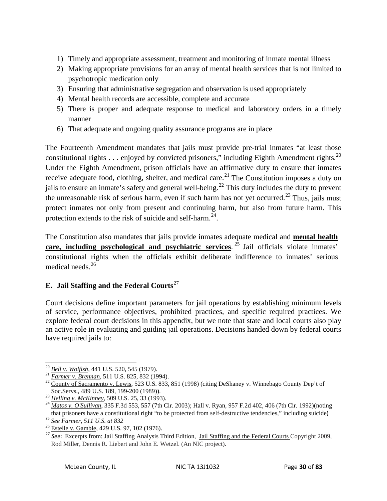- 1) Timely and appropriate assessment, treatment and monitoring of inmate mental illness
- 2) Making appropriate provisions for an array of mental health services that is not limited to psychotropic medication only
- 3) Ensuring that administrative segregation and observation is used appropriately
- 4) Mental health records are accessible, complete and accurate
- 5) There is proper and adequate response to medical and laboratory orders in a timely manner
- 6) That adequate and ongoing quality assurance programs are in place

The Fourteenth Amendment mandates that jails must provide pre-trial inmates "at least those constitutional rights  $\dots$  enjoyed by convicted prisoners," including Eighth Amendment rights.<sup>[20](#page-29-0)</sup> Under the Eighth Amendment, prison officials have an affirmative duty to ensure that inmates receive adequate food, clothing, shelter, and medical care.<sup>[21](#page-30-0)</sup> The Constitution imposes a duty on jails to ensure an inmate's safety and general well-being.<sup>[22](#page-30-1)</sup> This duty includes the duty to prevent the unreasonable risk of serious harm, even if such harm has not yet occurred.<sup>[23](#page-30-2)</sup> Thus, jails must protect inmates not only from present and continuing harm, but also from future harm. This protection extends to the risk of suicide and self-harm. $24$ .

The Constitution also mandates that jails provide inmates adequate medical and **mental health care, including psychological and psychiatric services.** <sup>[25](#page-30-4)</sup> Jail officials violate inmates' constitutional rights when the officials exhibit deliberate indifference to inmates' serious medical needs $^{26}$  $^{26}$  $^{26}$ 

#### **E. Jail Staffing and the Federal Courts**[27](#page-30-6)

Court decisions define important parameters for jail operations by establishing minimum levels of service, performance objectives, prohibited practices, and specific required practices. We explore federal court decisions in this appendix, but we note that state and local courts also play an active role in evaluating and guiding jail operations. Decisions handed down by federal courts have required jails to:

<span id="page-30-0"></span><sup>&</sup>lt;sup>20</sup> *Bell v. Wolfish*, 441 U.S. 520, 545 (1979).<br><sup>21</sup> *Farmer v. Brennan*, 511 U.S. 825, 832 (1994).<br><sup>22</sup> County of Sacramento v. Lewis, 523 U.S. 833, 851 (1998) (citing DeShaney v. Winnebago County Dep't of Soc. Servs.,

<span id="page-30-3"></span><span id="page-30-2"></span><span id="page-30-1"></span>Soc.Servs., 489 U.S. 189, 199-200 (1989)). <sup>23</sup> *Helling v. McKinney*, 509 U.S. 25, 33 (1993). <sup>24</sup> *Matos v. O'Sullivan*, 335 F.3d 553, 557 (7th Cir. 2003); Hall v. Ryan, 957 F.2d 402, 406 (7th Cir. 1992)(noting that prisoners have a constitutional right "to be protected from self-destructive tendencies," including suicide) <sup>25</sup> *See Farmer, 511 U.S. at 832* <sup>26</sup> Estelle v. G<u>amble</u>, 429 U.S. 97, 102 (1976).

<span id="page-30-4"></span>

<span id="page-30-5"></span>

<span id="page-30-6"></span><sup>&</sup>lt;sup>27</sup> See: Excerpts from: Jail Staffing Analysis Third Edition, *Jail Staffing and the Federal Courts* Copyright 2009, Rod Miller, Dennis R. Liebert and John E. Wetzel. (An NIC project).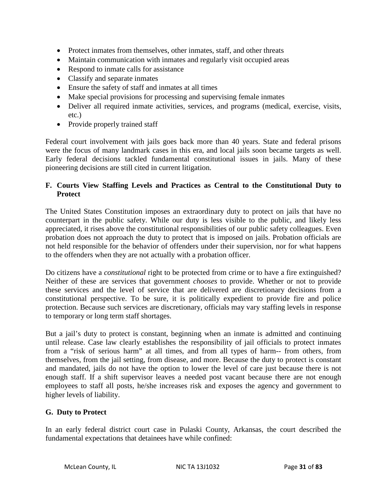- Protect inmates from themselves, other inmates, staff, and other threats
- Maintain communication with inmates and regularly visit occupied areas
- Respond to inmate calls for assistance
- Classify and separate inmates
- Ensure the safety of staff and inmates at all times
- Make special provisions for processing and supervising female inmates
- Deliver all required inmate activities, services, and programs (medical, exercise, visits, etc.)
- Provide properly trained staff

Federal court involvement with jails goes back more than 40 years. State and federal prisons were the focus of many landmark cases in this era, and local jails soon became targets as well. Early federal decisions tackled fundamental constitutional issues in jails. Many of these pioneering decisions are still cited in current litigation.

#### **F. Courts View Staffing Levels and Practices as Central to the Constitutional Duty to Protect**

The United States Constitution imposes an extraordinary duty to protect on jails that have no counterpart in the public safety. While our duty is less visible to the public, and likely less appreciated, it rises above the constitutional responsibilities of our public safety colleagues. Even probation does not approach the duty to protect that is imposed on jails. Probation officials are not held responsible for the behavior of offenders under their supervision, nor for what happens to the offenders when they are not actually with a probation officer.

Do citizens have a *constitutional* right to be protected from crime or to have a fire extinguished? Neither of these are services that government *chooses* to provide. Whether or not to provide these services and the level of service that are delivered are discretionary decisions from a constitutional perspective. To be sure, it is politically expedient to provide fire and police protection. Because such services are discretionary, officials may vary staffing levels in response to temporary or long term staff shortages.

But a jail's duty to protect is constant, beginning when an inmate is admitted and continuing until release. Case law clearly establishes the responsibility of jail officials to protect inmates from a "risk of serious harm" at all times, and from all types of harm-- from others, from themselves, from the jail setting, from disease, and more. Because the duty to protect is constant and mandated, jails do not have the option to lower the level of care just because there is not enough staff. If a shift supervisor leaves a needed post vacant because there are not enough employees to staff all posts, he/she increases risk and exposes the agency and government to higher levels of liability.

#### **G. Duty to Protect**

In an early federal district court case in Pulaski County, Arkansas, the court described the fundamental expectations that detainees have while confined: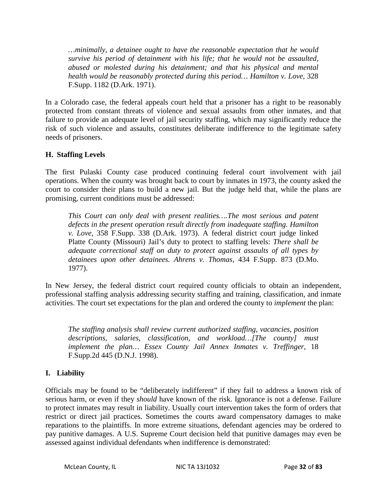*…minimally, a detainee ought to have the reasonable expectation that he would survive his period of detainment with his life; that he would not be assaulted, abused or molested during his detainment; and that his physical and mental health would be reasonably protected during this period… Hamilton v. Love*, 328 F.Supp. 1182 (D.Ark. 1971).

In a Colorado case, the federal appeals court held that a prisoner has a right to be reasonably protected from constant threats of violence and sexual assaults from other inmates, and that failure to provide an adequate level of jail security staffing, which may significantly reduce the risk of such violence and assaults, constitutes deliberate indifference to the legitimate safety needs of prisoners.

#### **H. Staffing Levels**

The first Pulaski County case produced continuing federal court involvement with jail operations. When the county was brought back to court by inmates in 1973, the county asked the court to consider their plans to build a new jail. But the judge held that, while the plans are promising, current conditions must be addressed:

*This Court can only deal with present realities….The most serious and patent defects in the present operation result directly from inadequate staffing. Hamilton v. Love*, 358 F.Supp. 338 (D.Ark. 1973). A federal district court judge linked Platte County (Missouri) Jail's duty to protect to staffing levels: *There shall be adequate correctional staff on duty to protect against assaults of all types by detainees upon other detainees. Ahrens v. Thomas*, 434 F.Supp. 873 (D.Mo. 1977).

In New Jersey, the federal district court required county officials to obtain an independent, professional staffing analysis addressing security staffing and training, classification, and inmate activities. The court set expectations for the plan and ordered the county to *implement* the plan:

*The staffing analysis shall review current authorized staffing, vacancies, position descriptions, salaries, classification, and workload…[The county] must implement the plan… Essex County Jail Annex Inmates v. Treffinger*, 18 F.Supp.2d 445 (D.N.J. 1998).

#### **I. Liability**

Officials may be found to be "deliberately indifferent" if they fail to address a known risk of serious harm, or even if they *should* have known of the risk. Ignorance is not a defense. Failure to protect inmates may result in liability. Usually court intervention takes the form of orders that restrict or direct jail practices. Sometimes the courts award compensatory damages to make reparations to the plaintiffs. In more extreme situations, defendant agencies may be ordered to pay punitive damages. A U.S. Supreme Court decision held that punitive damages may even be assessed against individual defendants when indifference is demonstrated: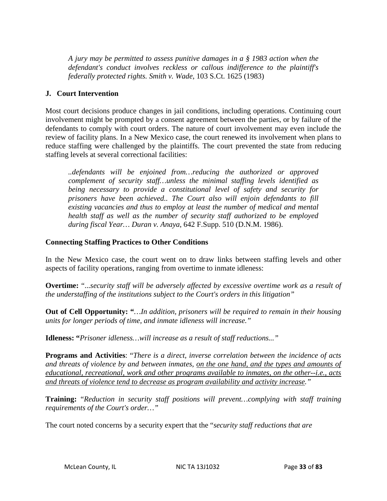*A jury may be permitted to assess punitive damages in a § 1983 action when the defendant's conduct involves reckless or callous indifference to the plaintiff's federally protected rights. Smith v. Wade*, 103 S.Ct. 1625 (1983)

#### **J. Court Intervention**

Most court decisions produce changes in jail conditions, including operations. Continuing court involvement might be prompted by a consent agreement between the parties, or by failure of the defendants to comply with court orders. The nature of court involvement may even include the review of facility plans. In a New Mexico case, the court renewed its involvement when plans to reduce staffing were challenged by the plaintiffs. The court prevented the state from reducing staffing levels at several correctional facilities:

*..defendants will be enjoined from…reducing the authorized or approved complement of security staff…unless the minimal staffing levels identified as being necessary to provide a constitutional level of safety and security for prisoners have been achieved.. The Court also will enjoin defendants to fill existing vacancies and thus to employ at least the number of medical and mental health staff as well as the number of security staff authorized to be employed during fiscal Year… Duran v. Anaya*, 642 F.Supp. 510 (D.N.M. 1986).

#### **Connecting Staffing Practices to Other Conditions**

In the New Mexico case, the court went on to draw links between staffing levels and other aspects of facility operations, ranging from overtime to inmate idleness:

**Overtime:** "...*security staff will be adversely affected by excessive overtime work as a result of the understaffing of the institutions subject to the Court's orders in this litigation"*

**Out of Cell Opportunity: "***…In addition, prisoners will be required to remain in their housing units for longer periods of time, and inmate idleness will increase."*

**Idleness: "***Prisoner idleness…will increase as a result of staff reductions..."* 

**Programs and Activities**: "*There is a direct, inverse correlation between the incidence of acts and threats of violence by and between inmates, on the one hand, and the types and amounts of educational, recreational, work and other programs available to inmates, on the other--i.e., acts and threats of violence tend to decrease as program availability and activity increase."*

**Training:** "*Reduction in security staff positions will prevent…complying with staff training requirements of the Court's order…"*

The court noted concerns by a security expert that the "*security staff reductions that are*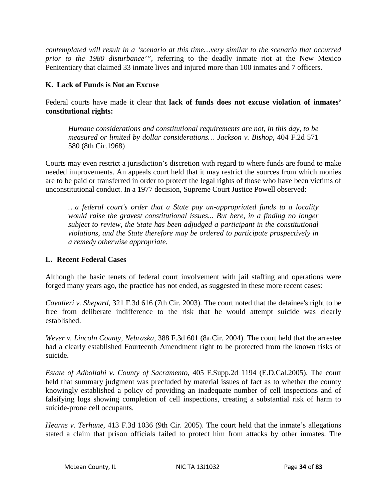*contemplated will result in a 'scenario at this time…very similar to the scenario that occurred prior to the 1980 disturbance'",* referring to the deadly inmate riot at the New Mexico Penitentiary that claimed 33 inmate lives and injured more than 100 inmates and 7 officers.

#### **K. Lack of Funds is Not an Excuse**

Federal courts have made it clear that **lack of funds does not excuse violation of inmates' constitutional rights:**

*Humane considerations and constitutional requirements are not, in this day, to be measured or limited by dollar considerations… Jackson v. Bishop,* 404 F.2d 571 580 (8th Cir.1968)

Courts may even restrict a jurisdiction's discretion with regard to where funds are found to make needed improvements. An appeals court held that it may restrict the sources from which monies are to be paid or transferred in order to protect the legal rights of those who have been victims of unconstitutional conduct. In a 1977 decision, Supreme Court Justice Powell observed:

*…a federal court's order that a State pay un-appropriated funds to a locality would raise the gravest constitutional issues... But here, in a finding no longer subject to review, the State has been adjudged a participant in the constitutional violations, and the State therefore may be ordered to participate prospectively in a remedy otherwise appropriate.*

#### **L. Recent Federal Cases**

Although the basic tenets of federal court involvement with jail staffing and operations were forged many years ago, the practice has not ended, as suggested in these more recent cases:

*Cavalieri v. Shepard*, 321 F.3d 616 (7th Cir. 2003). The court noted that the detainee's right to be free from deliberate indifference to the risk that he would attempt suicide was clearly established.

*Wever v. Lincoln County, Nebraska,* 388 F.3d 601 (8th Cir. 2004). The court held that the arrestee had a clearly established Fourteenth Amendment right to be protected from the known risks of suicide.

*Estate of Adbollahi v. County of Sacramento*, 405 F.Supp.2d 1194 (E.D.Cal.2005). The court held that summary judgment was precluded by material issues of fact as to whether the county knowingly established a policy of providing an inadequate number of cell inspections and of falsifying logs showing completion of cell inspections, creating a substantial risk of harm to suicide-prone cell occupants.

*Hearns v. Terhune*, 413 F.3d 1036 (9th Cir. 2005). The court held that the inmate's allegations stated a claim that prison officials failed to protect him from attacks by other inmates. The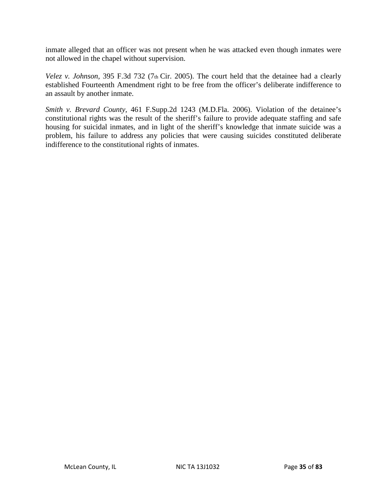inmate alleged that an officer was not present when he was attacked even though inmates were not allowed in the chapel without supervision.

*Velez v. Johnson,* 395 F.3d 732 (7th Cir. 2005). The court held that the detainee had a clearly established Fourteenth Amendment right to be free from the officer's deliberate indifference to an assault by another inmate.

*Smith v. Brevard County,* 461 F.Supp.2d 1243 (M.D.Fla. 2006). Violation of the detainee's constitutional rights was the result of the sheriff's failure to provide adequate staffing and safe housing for suicidal inmates, and in light of the sheriff's knowledge that inmate suicide was a problem, his failure to address any policies that were causing suicides constituted deliberate indifference to the constitutional rights of inmates.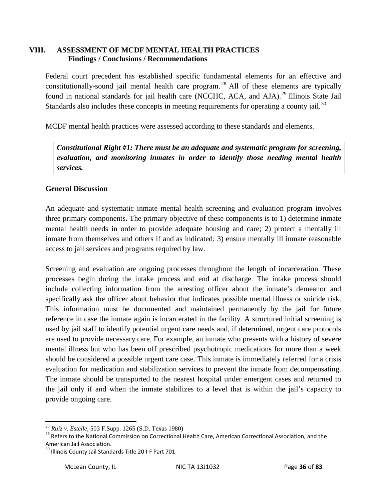#### **VIII. ASSESSMENT OF MCDF MENTAL HEALTH PRACTICES Findings / Conclusions / Recommendations**

Federal court precedent has established specific fundamental elements for an effective and constitutionally-sound jail mental health care program.<sup>[28](#page-30-0)</sup> All of these elements are typically found in national standards for jail health care (NCCHC, ACA, and AJA).<sup>[29](#page-36-0)</sup> Illinois State Jail Standards also includes these concepts in meeting requirements for operating a county jail.<sup>[30](#page-36-1)</sup>

MCDF mental health practices were assessed according to these standards and elements.

*Constitutional Right #1: There must be an adequate and systematic program for screening, evaluation, and monitoring inmates in order to identify those needing mental health services.*

## **General Discussion**

An adequate and systematic inmate mental health screening and evaluation program involves three primary components. The primary objective of these components is to 1) determine inmate mental health needs in order to provide adequate housing and care; 2) protect a mentally ill inmate from themselves and others if and as indicated; 3) ensure mentally ill inmate reasonable access to jail services and programs required by law.

Screening and evaluation are ongoing processes throughout the length of incarceration. These processes begin during the intake process and end at discharge. The intake process should include collecting information from the arresting officer about the inmate's demeanor and specifically ask the officer about behavior that indicates possible mental illness or suicide risk. This information must be documented and maintained permanently by the jail for future reference in case the inmate again is incarcerated in the facility. A structured initial screening is used by jail staff to identify potential urgent care needs and, if determined, urgent care protocols are used to provide necessary care. For example, an inmate who presents with a history of severe mental illness but who has been off prescribed psychotropic medications for more than a week should be considered a possible urgent care case. This inmate is immediately referred for a crisis evaluation for medication and stabilization services to prevent the inmate from decompensating. The inmate should be transported to the nearest hospital under emergent cases and returned to the jail only if and when the inmate stabilizes to a level that is within the jail's capacity to provide ongoing care.

<span id="page-36-0"></span><sup>&</sup>lt;sup>28</sup> *Ruiz v. Estelle*, 503 F.Supp. 1265 (S.D. Texas 1980)<br><sup>29</sup> Refers to the National Commission on Correctional Health Care, American Correctional Association, and the American Jail Association.

<span id="page-36-1"></span><sup>&</sup>lt;sup>30</sup> Illinois County Jail Standards Title 20 I-F Part 701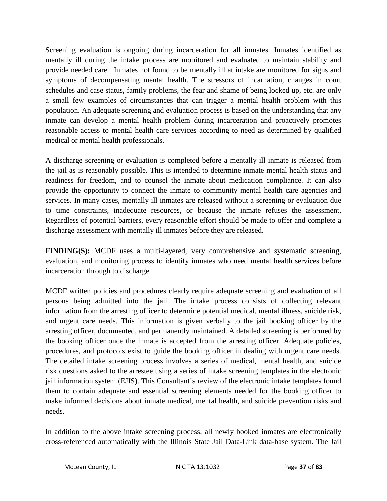Screening evaluation is ongoing during incarceration for all inmates. Inmates identified as mentally ill during the intake process are monitored and evaluated to maintain stability and provide needed care. Inmates not found to be mentally ill at intake are monitored for signs and symptoms of decompensating mental health. The stressors of incarnation, changes in court schedules and case status, family problems, the fear and shame of being locked up, etc. are only a small few examples of circumstances that can trigger a mental health problem with this population. An adequate screening and evaluation process is based on the understanding that any inmate can develop a mental health problem during incarceration and proactively promotes reasonable access to mental health care services according to need as determined by qualified medical or mental health professionals.

A discharge screening or evaluation is completed before a mentally ill inmate is released from the jail as is reasonably possible. This is intended to determine inmate mental health status and readiness for freedom, and to counsel the inmate about medication compliance. It can also provide the opportunity to connect the inmate to community mental health care agencies and services. In many cases, mentally ill inmates are released without a screening or evaluation due to time constraints, inadequate resources, or because the inmate refuses the assessment, Regardless of potential barriers, every reasonable effort should be made to offer and complete a discharge assessment with mentally ill inmates before they are released.

**FINDING(S):** MCDF uses a multi-layered, very comprehensive and systematic screening, evaluation, and monitoring process to identify inmates who need mental health services before incarceration through to discharge.

MCDF written policies and procedures clearly require adequate screening and evaluation of all persons being admitted into the jail. The intake process consists of collecting relevant information from the arresting officer to determine potential medical, mental illness, suicide risk, and urgent care needs. This information is given verbally to the jail booking officer by the arresting officer, documented, and permanently maintained. A detailed screening is performed by the booking officer once the inmate is accepted from the arresting officer. Adequate policies, procedures, and protocols exist to guide the booking officer in dealing with urgent care needs. The detailed intake screening process involves a series of medical, mental health, and suicide risk questions asked to the arrestee using a series of intake screening templates in the electronic jail information system (EJIS). This Consultant's review of the electronic intake templates found them to contain adequate and essential screening elements needed for the booking officer to make informed decisions about inmate medical, mental health, and suicide prevention risks and needs.

In addition to the above intake screening process, all newly booked inmates are electronically cross-referenced automatically with the Illinois State Jail Data-Link data-base system. The Jail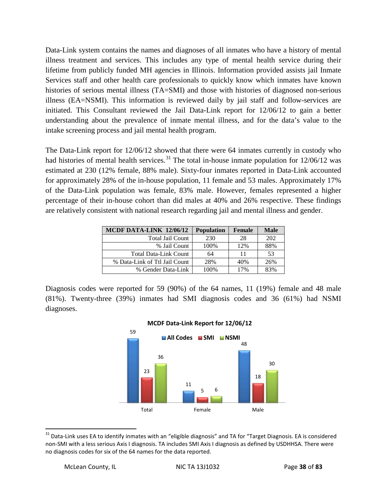Data-Link system contains the names and diagnoses of all inmates who have a history of mental illness treatment and services. This includes any type of mental health service during their lifetime from publicly funded MH agencies in Illinois. Information provided assists jail Inmate Services staff and other health care professionals to quickly know which inmates have known histories of serious mental illness (TA=SMI) and those with histories of diagnosed non-serious illness (EA=NSMI). This information is reviewed daily by jail staff and follow-services are initiated. This Consultant reviewed the Jail Data-Link report for 12/06/12 to gain a better understanding about the prevalence of inmate mental illness, and for the data's value to the intake screening process and jail mental health program.

The Data-Link report for 12/06/12 showed that there were 64 inmates currently in custody who had histories of mental health services.<sup>[31](#page-36-0)</sup> The total in-house inmate population for  $12/06/12$  was estimated at 230 (12% female, 88% male). Sixty-four inmates reported in Data-Link accounted for approximately 28% of the in-house population, 11 female and 53 males. Approximately 17% of the Data-Link population was female, 83% male. However, females represented a higher percentage of their in-house cohort than did males at 40% and 26% respective. These findings are relatively consistent with national research regarding jail and mental illness and gender.

| MCDF DATA-LINK 12/06/12       | Population | <b>Female</b> | <b>Male</b> |
|-------------------------------|------------|---------------|-------------|
| <b>Total Jail Count</b>       | 230        | 28            | 202         |
| % Jail Count                  | 100%       | 12%           | 88%         |
| <b>Total Data-Link Count</b>  | 64         | 11            | 53          |
| % Data-Link of Ttl Jail Count | 28%        | 40%           | 26%         |
| % Gender Data-Link            | 100%       | 17%           | 83%         |

Diagnosis codes were reported for 59 (90%) of the 64 names, 11 (19%) female and 48 male (81%). Twenty-three (39%) inmates had SMI diagnosis codes and 36 (61%) had NSMI diagnoses.



#### **MCDF Data-Link Report for 12/06/12**

<span id="page-38-0"></span><sup>&</sup>lt;sup>31</sup> Data-Link uses EA to identify inmates with an "eligible diagnosis" and TA for "Target Diagnosis. EA is considered non-SMI with a less serious Axis I diagnosis. TA includes SMI Axis I diagnosis as defined by USDHHSA. There were no diagnosis codes for six of the 64 names for the data reported.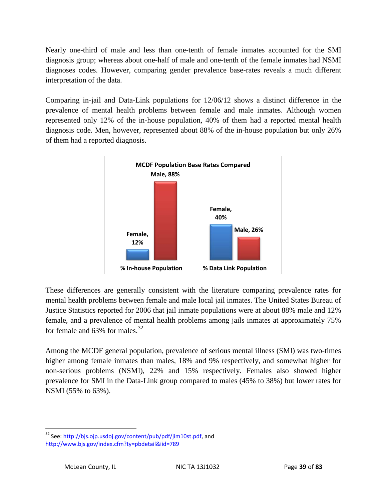Nearly one-third of male and less than one-tenth of female inmates accounted for the SMI diagnosis group; whereas about one-half of male and one-tenth of the female inmates had NSMI diagnoses codes. However, comparing gender prevalence base-rates reveals a much different interpretation of the data.

Comparing in-jail and Data-Link populations for 12/06/12 shows a distinct difference in the prevalence of mental health problems between female and male inmates. Although women represented only 12% of the in-house population, 40% of them had a reported mental health diagnosis code. Men, however, represented about 88% of the in-house population but only 26% of them had a reported diagnosis.



These differences are generally consistent with the literature comparing prevalence rates for mental health problems between female and male local jail inmates. The United States Bureau of Justice Statistics reported for 2006 that jail inmate populations were at about 88% male and 12% female, and a prevalence of mental health problems among jails inmates at approximately 75% for female and  $63\%$  for males.<sup>[32](#page-38-0)</sup>

Among the MCDF general population, prevalence of serious mental illness (SMI) was two-times higher among female inmates than males, 18% and 9% respectively, and somewhat higher for non-serious problems (NSMI), 22% and 15% respectively. Females also showed higher prevalence for SMI in the Data-Link group compared to males (45% to 38%) but lower rates for NSMI (55% to 63%).

<span id="page-39-0"></span><sup>&</sup>lt;sup>32</sup> See: http://bjs.ojp.usdoi.gov/content/pub/pdf/jim10st.pdf, and <http://www.bjs.gov/index.cfm?ty=pbdetail&iid=789>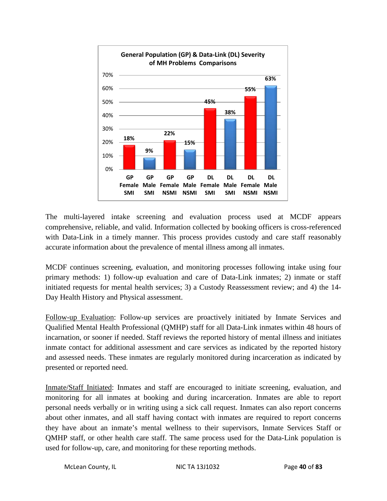

The multi-layered intake screening and evaluation process used at MCDF appears comprehensive, reliable, and valid. Information collected by booking officers is cross-referenced with Data-Link in a timely manner. This process provides custody and care staff reasonably accurate information about the prevalence of mental illness among all inmates.

MCDF continues screening, evaluation, and monitoring processes following intake using four primary methods: 1) follow-up evaluation and care of Data-Link inmates; 2) inmate or staff initiated requests for mental health services; 3) a Custody Reassessment review; and 4) the 14- Day Health History and Physical assessment.

Follow-up Evaluation: Follow-up services are proactively initiated by Inmate Services and Qualified Mental Health Professional (QMHP) staff for all Data-Link inmates within 48 hours of incarnation, or sooner if needed. Staff reviews the reported history of mental illness and initiates inmate contact for additional assessment and care services as indicated by the reported history and assessed needs. These inmates are regularly monitored during incarceration as indicated by presented or reported need.

Inmate/Staff Initiated: Inmates and staff are encouraged to initiate screening, evaluation, and monitoring for all inmates at booking and during incarceration. Inmates are able to report personal needs verbally or in writing using a sick call request. Inmates can also report concerns about other inmates, and all staff having contact with inmates are required to report concerns they have about an inmate's mental wellness to their supervisors, Inmate Services Staff or QMHP staff, or other health care staff. The same process used for the Data-Link population is used for follow-up, care, and monitoring for these reporting methods.

```
McLean County, IL NIC TA 13J1032 Page 40 of 83
```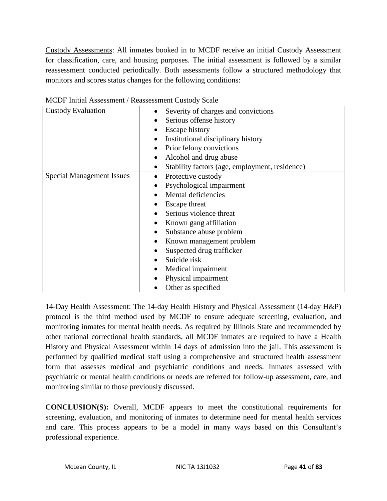Custody Assessments: All inmates booked in to MCDF receive an initial Custody Assessment for classification, care, and housing purposes. The initial assessment is followed by a similar reassessment conducted periodically. Both assessments follow a structured methodology that monitors and scores status changes for the following conditions:

| <b>Custody Evaluation</b>        | Severity of charges and convictions                         |  |  |
|----------------------------------|-------------------------------------------------------------|--|--|
|                                  | Serious offense history                                     |  |  |
|                                  | <b>Escape history</b><br>Institutional disciplinary history |  |  |
|                                  |                                                             |  |  |
|                                  | Prior felony convictions                                    |  |  |
|                                  | Alcohol and drug abuse                                      |  |  |
|                                  | Stability factors (age, employment, residence)              |  |  |
| <b>Special Management Issues</b> | Protective custody                                          |  |  |
|                                  | Psychological impairment                                    |  |  |
|                                  | Mental deficiencies                                         |  |  |
|                                  | Escape threat                                               |  |  |
|                                  | Serious violence threat                                     |  |  |
|                                  | Known gang affiliation                                      |  |  |
|                                  | Substance abuse problem                                     |  |  |
|                                  | Known management problem                                    |  |  |
|                                  | Suspected drug trafficker                                   |  |  |
|                                  | Suicide risk                                                |  |  |
|                                  | Medical impairment                                          |  |  |
|                                  | Physical impairment                                         |  |  |
|                                  | Other as specified                                          |  |  |

MCDF Initial Assessment / Reassessment Custody Scale

14-Day Health Assessment: The 14-day Health History and Physical Assessment (14-day H&P) protocol is the third method used by MCDF to ensure adequate screening, evaluation, and monitoring inmates for mental health needs. As required by Illinois State and recommended by other national correctional health standards, all MCDF inmates are required to have a Health History and Physical Assessment within 14 days of admission into the jail. This assessment is performed by qualified medical staff using a comprehensive and structured health assessment form that assesses medical and psychiatric conditions and needs. Inmates assessed with psychiatric or mental health conditions or needs are referred for follow-up assessment, care, and monitoring similar to those previously discussed.

**CONCLUSION(S):** Overall, MCDF appears to meet the constitutional requirements for screening, evaluation, and monitoring of inmates to determine need for mental health services and care. This process appears to be a model in many ways based on this Consultant's professional experience.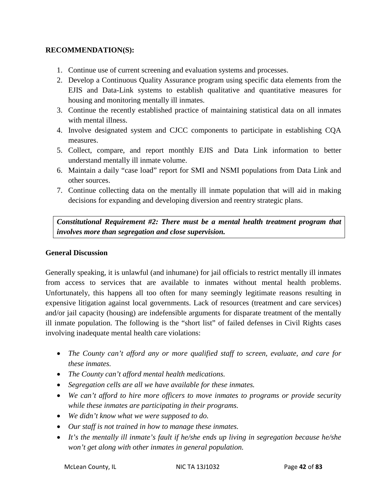#### **RECOMMENDATION(S):**

- 1. Continue use of current screening and evaluation systems and processes.
- 2. Develop a Continuous Quality Assurance program using specific data elements from the EJIS and Data-Link systems to establish qualitative and quantitative measures for housing and monitoring mentally ill inmates.
- 3. Continue the recently established practice of maintaining statistical data on all inmates with mental illness.
- 4. Involve designated system and CJCC components to participate in establishing CQA measures.
- 5. Collect, compare, and report monthly EJIS and Data Link information to better understand mentally ill inmate volume.
- 6. Maintain a daily "case load" report for SMI and NSMI populations from Data Link and other sources.
- 7. Continue collecting data on the mentally ill inmate population that will aid in making decisions for expanding and developing diversion and reentry strategic plans.

*Constitutional Requirement #2: There must be a mental health treatment program that involves more than segregation and close supervision.*

#### **General Discussion**

Generally speaking, it is unlawful (and inhumane) for jail officials to restrict mentally ill inmates from access to services that are available to inmates without mental health problems. Unfortunately, this happens all too often for many seemingly legitimate reasons resulting in expensive litigation against local governments. Lack of resources (treatment and care services) and/or jail capacity (housing) are indefensible arguments for disparate treatment of the mentally ill inmate population. The following is the "short list" of failed defenses in Civil Rights cases involving inadequate mental health care violations:

- *The County can't afford any or more qualified staff to screen, evaluate, and care for these inmates.*
- *The County can't afford mental health medications.*
- *Segregation cells are all we have available for these inmates.*
- *We can't afford to hire more officers to move inmates to programs or provide security while these inmates are participating in their programs.*
- *We didn't know what we were supposed to do.*
- *Our staff is not trained in how to manage these inmates.*
- *It's the mentally ill inmate's fault if he/she ends up living in segregation because he/she won't get along with other inmates in general population.*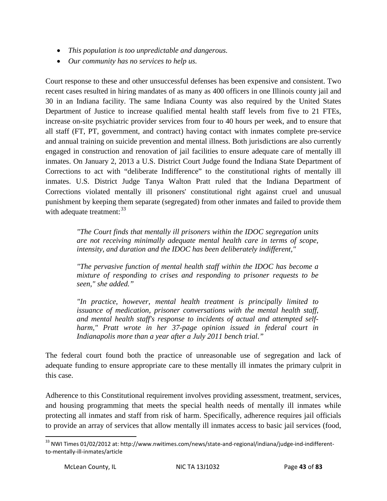- *This population is too unpredictable and dangerous.*
- *Our community has no services to help us.*

Court response to these and other unsuccessful defenses has been expensive and consistent. Two recent cases resulted in hiring mandates of as many as 400 officers in one Illinois county jail and 30 in an Indiana facility. The same Indiana County was also required by the United States Department of Justice to increase qualified mental health staff levels from five to 21 FTEs, increase on-site psychiatric provider services from four to 40 hours per week, and to ensure that all staff (FT, PT, government, and contract) having contact with inmates complete pre-service and annual training on suicide prevention and mental illness. Both jurisdictions are also currently engaged in construction and renovation of jail facilities to ensure adequate care of mentally ill inmates. On January 2, 2013 a U.S. District Court Judge found the Indiana State Department of Corrections to act with "deliberate Indifference" to the constitutional rights of mentally ill inmates. U.S. District Judge Tanya Walton Pratt ruled that the Indiana Department of Corrections violated mentally ill prisoners' constitutional right against cruel and unusual punishment by keeping them separate (segregated) from other inmates and failed to provide them with adequate treatment:<sup>[33](#page-39-0)</sup>

> *"The Court finds that mentally ill prisoners within the IDOC segregation units are not receiving minimally adequate mental health care in terms of scope, intensity, and duration and the IDOC has been deliberately indifferent,"*

> *"The pervasive function of mental health staff within the IDOC has become a mixture of responding to crises and responding to prisoner requests to be seen," she added."*

> *"In practice, however, mental health treatment is principally limited to issuance of medication, prisoner conversations with the mental health staff, and mental health staff's response to incidents of actual and attempted selfharm," Pratt wrote in her 37-page opinion issued in federal court in Indianapolis more than a year after a July 2011 bench trial."*

The federal court found both the practice of unreasonable use of segregation and lack of adequate funding to ensure appropriate care to these mentally ill inmates the primary culprit in this case.

Adherence to this Constitutional requirement involves providing assessment, treatment, services, and housing programming that meets the special health needs of mentally ill inmates while protecting all inmates and staff from risk of harm. Specifically, adherence requires jail officials to provide an array of services that allow mentally ill inmates access to basic jail services (food,

<span id="page-43-0"></span><sup>&</sup>lt;sup>33</sup> NWI Times 01/02/2012 at: http://www.nwitimes.com/news/state-and-regional/indiana/judge-ind-indifferentto-mentally-ill-inmates/article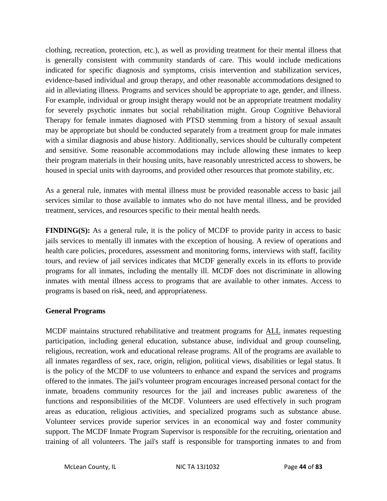clothing, recreation, protection, etc.), as well as providing treatment for their mental illness that is generally consistent with community standards of care. This would include medications indicated for specific diagnosis and symptoms, crisis intervention and stabilization services, evidence-based individual and group therapy, and other reasonable accommodations designed to aid in alleviating illness. Programs and services should be appropriate to age, gender, and illness. For example, individual or group insight therapy would not be an appropriate treatment modality for severely psychotic inmates but social rehabilitation might. Group Cognitive Behavioral Therapy for female inmates diagnosed with PTSD stemming from a history of sexual assault may be appropriate but should be conducted separately from a treatment group for male inmates with a similar diagnosis and abuse history. Additionally, services should be culturally competent and sensitive. Some reasonable accommodations may include allowing these inmates to keep their program materials in their housing units, have reasonably unrestricted access to showers, be housed in special units with dayrooms, and provided other resources that promote stability, etc.

As a general rule, inmates with mental illness must be provided reasonable access to basic jail services similar to those available to inmates who do not have mental illness, and be provided treatment, services, and resources specific to their mental health needs.

**FINDING(S):** As a general rule, it is the policy of MCDF to provide parity in access to basic jails services to mentally ill inmates with the exception of housing. A review of operations and health care policies, procedures, assessment and monitoring forms, interviews with staff, facility tours, and review of jail services indicates that MCDF generally excels in its efforts to provide programs for all inmates, including the mentally ill. MCDF does not discriminate in allowing inmates with mental illness access to programs that are available to other inmates. Access to programs is based on risk, need, and appropriateness.

## **General Programs**

MCDF maintains structured rehabilitative and treatment programs for ALL inmates requesting participation, including general education, substance abuse, individual and group counseling, religious, recreation, work and educational release programs. All of the programs are available to all inmates regardless of sex, race, origin, religion, political views, disabilities or legal status. It is the policy of the MCDF to use volunteers to enhance and expand the services and programs offered to the inmates. The jail's volunteer program encourages increased personal contact for the inmate, broadens community resources for the jail and increases public awareness of the functions and responsibilities of the MCDF. Volunteers are used effectively in such program areas as education, religious activities, and specialized programs such as substance abuse. Volunteer services provide superior services in an economical way and foster community support. The MCDF Inmate Program Supervisor is responsible for the recruiting, orientation and training of all volunteers. The jail's staff is responsible for transporting inmates to and from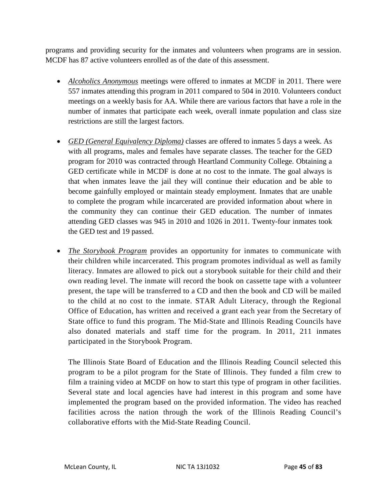programs and providing security for the inmates and volunteers when programs are in session. MCDF has 87 active volunteers enrolled as of the date of this assessment.

- *Alcoholics Anonymous* meetings were offered to inmates at MCDF in 2011. There were 557 inmates attending this program in 2011 compared to 504 in 2010. Volunteers conduct meetings on a weekly basis for AA. While there are various factors that have a role in the number of inmates that participate each week, overall inmate population and class size restrictions are still the largest factors.
- *GED (General Equivalency Diploma)* classes are offered to inmates 5 days a week. As with all programs, males and females have separate classes. The teacher for the GED program for 2010 was contracted through Heartland Community College. Obtaining a GED certificate while in MCDF is done at no cost to the inmate. The goal always is that when inmates leave the jail they will continue their education and be able to become gainfully employed or maintain steady employment. Inmates that are unable to complete the program while incarcerated are provided information about where in the community they can continue their GED education. The number of inmates attending GED classes was 945 in 2010 and 1026 in 2011. Twenty-four inmates took the GED test and 19 passed.
- *The Storybook Program* provides an opportunity for inmates to communicate with their children while incarcerated. This program promotes individual as well as family literacy. Inmates are allowed to pick out a storybook suitable for their child and their own reading level. The inmate will record the book on cassette tape with a volunteer present, the tape will be transferred to a CD and then the book and CD will be mailed to the child at no cost to the inmate. STAR Adult Literacy, through the Regional Office of Education, has written and received a grant each year from the Secretary of State office to fund this program. The Mid-State and Illinois Reading Councils have also donated materials and staff time for the program. In 2011, 211 inmates participated in the Storybook Program.

The Illinois State Board of Education and the Illinois Reading Council selected this program to be a pilot program for the State of Illinois. They funded a film crew to film a training video at MCDF on how to start this type of program in other facilities. Several state and local agencies have had interest in this program and some have implemented the program based on the provided information. The video has reached facilities across the nation through the work of the Illinois Reading Council's collaborative efforts with the Mid-State Reading Council.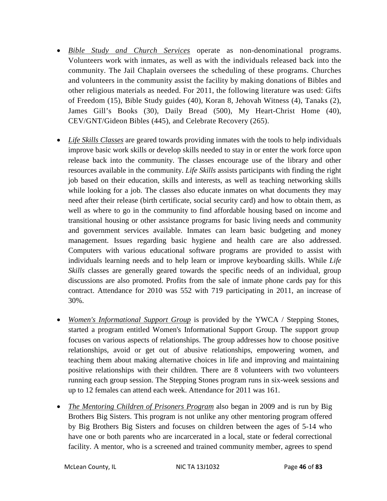- *Bible Study and Church Services* operate as non-denominational programs. Volunteers work with inmates, as well as with the individuals released back into the community. The Jail Chaplain oversees the scheduling of these programs. Churches and volunteers in the community assist the facility by making donations of Bibles and other religious materials as needed. For 2011, the following literature was used: Gifts of Freedom (15), Bible Study guides (40), Koran 8, Jehovah Witness (4), Tanaks (2), James Gill's Books (30), Daily Bread (500), My Heart-Christ Home (40), CEV/GNT/Gideon Bibles (445), and Celebrate Recovery (265).
- *Life Skills Classes* are geared towards providing inmates with the tools to help individuals improve basic work skills or develop skills needed to stay in or enter the work force upon release back into the community. The classes encourage use of the library and other resources available in the community. *Life Skills* assists participants with finding the right job based on their education, skills and interests, as well as teaching networking skills while looking for a job. The classes also educate inmates on what documents they may need after their release (birth certificate, social security card) and how to obtain them, as well as where to go in the community to find affordable housing based on income and transitional housing or other assistance programs for basic living needs and community and government services available. Inmates can learn basic budgeting and money management. Issues regarding basic hygiene and health care are also addressed. Computers with various educational software programs are provided to assist with individuals learning needs and to help learn or improve keyboarding skills. While *Life Skills* classes are generally geared towards the specific needs of an individual, group discussions are also promoted. Profits from the sale of inmate phone cards pay for this contract. Attendance for 2010 was 552 with 719 participating in 2011, an increase of 30%.
- *Women's Informational Support Group* is provided by the YWCA / Stepping Stones, started a program entitled Women's Informational Support Group. The support group focuses on various aspects of relationships. The group addresses how to choose positive relationships, avoid or get out of abusive relationships, empowering women, and teaching them about making alternative choices in life and improving and maintaining positive relationships with their children. There are 8 volunteers with two volunteers running each group session. The Stepping Stones program runs in six-week sessions and up to 12 females can attend each week. Attendance for 2011 was 161.
- *The Mentoring Children of Prisoners Program* also began in 2009 and is run by Big Brothers Big Sisters. This program is not unlike any other mentoring program offered by Big Brothers Big Sisters and focuses on children between the ages of 5-14 who have one or both parents who are incarcerated in a local, state or federal correctional facility. A mentor, who is a screened and trained community member, agrees to spend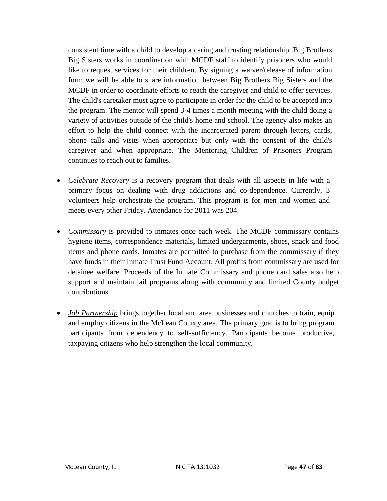consistent time with a child to develop a caring and trusting relationship. Big Brothers Big Sisters works in coordination with MCDF staff to identify prisoners who would like to request services for their children. By signing a waiver/release of information form we will be able to share information between Big Brothers Big Sisters and the MCDF in order to coordinate efforts to reach the caregiver and child to offer services. The child's caretaker must agree to participate in order for the child to be accepted into the program. The mentor will spend 3-4 times a month meeting with the child doing a variety of activities outside of the child's home and school. The agency also makes an effort to help the child connect with the incarcerated parent through letters, cards, phone calls and visits when appropriate but only with the consent of the child's caregiver and when appropriate. The Mentoring Children of Prisoners Program continues to reach out to families.

- *Celebrate Recovery* is a recovery program that deals with all aspects in life with a primary focus on dealing with drug addictions and co-dependence. Currently, 3 volunteers help orchestrate the program. This program is for men and women and meets every other Friday. Attendance for 2011 was 204.
- *Commissary* is provided to inmates once each week. The MCDF commissary contains hygiene items, correspondence materials, limited undergarments, shoes, snack and food items and phone cards. Inmates are permitted to purchase from the commissary if they have funds in their Inmate Trust Fund Account. All profits from commissary are used for detainee welfare. Proceeds of the Inmate Commissary and phone card sales also help support and maintain jail programs along with community and limited County budget contributions.
- *Job Partnership* brings together local and area businesses and churches to train, equip and employ citizens in the McLean County area. The primary goal is to bring program participants from dependency to self-sufficiency. Participants become productive, taxpaying citizens who help strengthen the local community.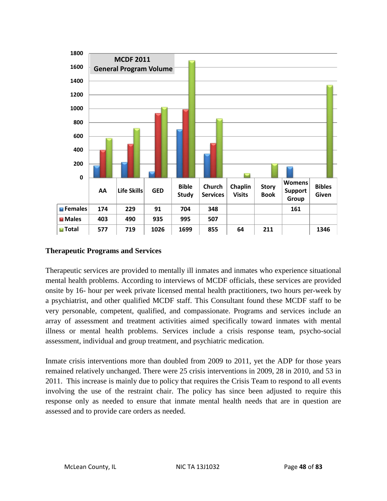

## **Therapeutic Programs and Services**

Therapeutic services are provided to mentally ill inmates and inmates who experience situational mental health problems. According to interviews of MCDF officials, these services are provided onsite by 16- hour per week private licensed mental health practitioners, two hours per-week by a psychiatrist, and other qualified MCDF staff. This Consultant found these MCDF staff to be very personable, competent, qualified, and compassionate. Programs and services include an array of assessment and treatment activities aimed specifically toward inmates with mental illness or mental health problems. Services include a crisis response team, psycho-social assessment, individual and group treatment, and psychiatric medication.

Inmate crisis interventions more than doubled from 2009 to 2011, yet the ADP for those years remained relatively unchanged. There were 25 crisis interventions in 2009, 28 in 2010, and 53 in 2011. This increase is mainly due to policy that requires the Crisis Team to respond to all events involving the use of the restraint chair. The policy has since been adjusted to require this response only as needed to ensure that inmate mental health needs that are in question are assessed and to provide care orders as needed.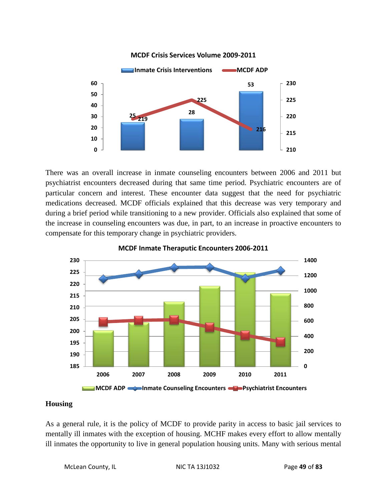

#### **MCDF Crisis Services Volume 2009-2011**

There was an overall increase in inmate counseling encounters between 2006 and 2011 but psychiatrist encounters decreased during that same time period. Psychiatric encounters are of particular concern and interest. These encounter data suggest that the need for psychiatric medications decreased. MCDF officials explained that this decrease was very temporary and during a brief period while transitioning to a new provider. Officials also explained that some of the increase in counseling encounters was due, in part, to an increase in proactive encounters to compensate for this temporary change in psychiatric providers.





#### **Housing**

As a general rule, it is the policy of MCDF to provide parity in access to basic jail services to mentally ill inmates with the exception of housing. MCHF makes every effort to allow mentally ill inmates the opportunity to live in general population housing units. Many with serious mental

McLean County, IL NIC TA 13J1032 Page 49 of 83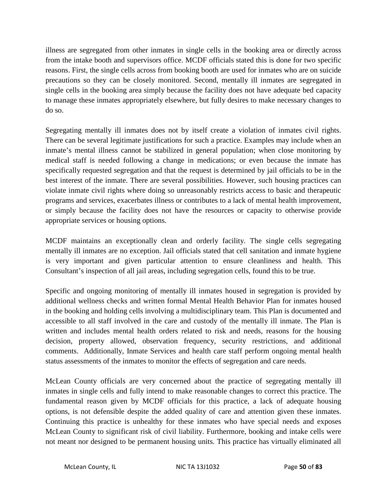illness are segregated from other inmates in single cells in the booking area or directly across from the intake booth and supervisors office. MCDF officials stated this is done for two specific reasons. First, the single cells across from booking booth are used for inmates who are on suicide precautions so they can be closely monitored. Second, mentally ill inmates are segregated in single cells in the booking area simply because the facility does not have adequate bed capacity to manage these inmates appropriately elsewhere, but fully desires to make necessary changes to do so.

Segregating mentally ill inmates does not by itself create a violation of inmates civil rights. There can be several legitimate justifications for such a practice. Examples may include when an inmate's mental illness cannot be stabilized in general population; when close monitoring by medical staff is needed following a change in medications; or even because the inmate has specifically requested segregation and that the request is determined by jail officials to be in the best interest of the inmate. There are several possibilities. However, such housing practices can violate inmate civil rights where doing so unreasonably restricts access to basic and therapeutic programs and services, exacerbates illness or contributes to a lack of mental health improvement, or simply because the facility does not have the resources or capacity to otherwise provide appropriate services or housing options.

MCDF maintains an exceptionally clean and orderly facility. The single cells segregating mentally ill inmates are no exception. Jail officials stated that cell sanitation and inmate hygiene is very important and given particular attention to ensure cleanliness and health. This Consultant's inspection of all jail areas, including segregation cells, found this to be true.

Specific and ongoing monitoring of mentally ill inmates housed in segregation is provided by additional wellness checks and written formal Mental Health Behavior Plan for inmates housed in the booking and holding cells involving a multidisciplinary team. This Plan is documented and accessible to all staff involved in the care and custody of the mentally ill inmate. The Plan is written and includes mental health orders related to risk and needs, reasons for the housing decision, property allowed, observation frequency, security restrictions, and additional comments. Additionally, Inmate Services and health care staff perform ongoing mental health status assessments of the inmates to monitor the effects of segregation and care needs.

McLean County officials are very concerned about the practice of segregating mentally ill inmates in single cells and fully intend to make reasonable changes to correct this practice. The fundamental reason given by MCDF officials for this practice, a lack of adequate housing options, is not defensible despite the added quality of care and attention given these inmates. Continuing this practice is unhealthy for these inmates who have special needs and exposes McLean County to significant risk of civil liability. Furthermore, booking and intake cells were not meant nor designed to be permanent housing units. This practice has virtually eliminated all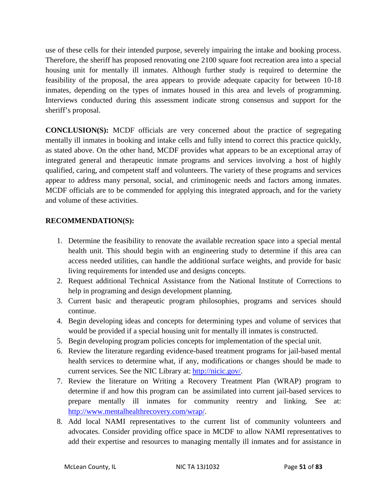use of these cells for their intended purpose, severely impairing the intake and booking process. Therefore, the sheriff has proposed renovating one 2100 square foot recreation area into a special housing unit for mentally ill inmates. Although further study is required to determine the feasibility of the proposal, the area appears to provide adequate capacity for between 10-18 inmates, depending on the types of inmates housed in this area and levels of programming. Interviews conducted during this assessment indicate strong consensus and support for the sheriff's proposal.

**CONCLUSION(S):** MCDF officials are very concerned about the practice of segregating mentally ill inmates in booking and intake cells and fully intend to correct this practice quickly, as stated above. On the other hand, MCDF provides what appears to be an exceptional array of integrated general and therapeutic inmate programs and services involving a host of highly qualified, caring, and competent staff and volunteers. The variety of these programs and services appear to address many personal, social, and criminogenic needs and factors among inmates. MCDF officials are to be commended for applying this integrated approach, and for the variety and volume of these activities.

# **RECOMMENDATION(S):**

- 1. Determine the feasibility to renovate the available recreation space into a special mental health unit. This should begin with an engineering study to determine if this area can access needed utilities, can handle the additional surface weights, and provide for basic living requirements for intended use and designs concepts.
- 2. Request additional Technical Assistance from the National Institute of Corrections to help in programing and design development planning.
- 3. Current basic and therapeutic program philosophies, programs and services should continue.
- 4. Begin developing ideas and concepts for determining types and volume of services that would be provided if a special housing unit for mentally ill inmates is constructed.
- 5. Begin developing program policies concepts for implementation of the special unit.
- 6. Review the literature regarding evidence-based treatment programs for jail-based mental health services to determine what, if any, modifications or changes should be made to current services. See the NIC Library at: [http://nicic.gov/.](http://nicic.gov/)
- 7. Review the literature on Writing a Recovery Treatment Plan (WRAP) program to determine if and how this program can be assimilated into current jail-based services to prepare mentally ill inmates for community reentry and linking. See at: [http://www.mentalhealthrecovery.com/wrap/.](http://www.mentalhealthrecovery.com/wrap/)
- 8. Add local NAMI representatives to the current list of community volunteers and advocates. Consider providing office space in MCDF to allow NAMI representatives to add their expertise and resources to managing mentally ill inmates and for assistance in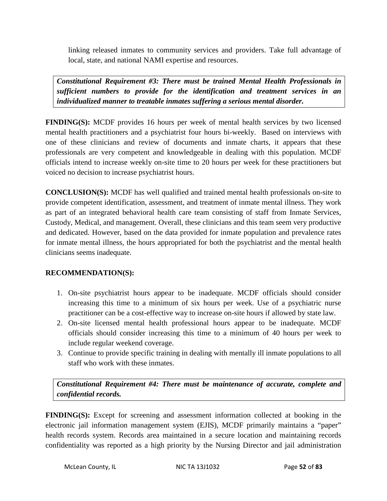linking released inmates to community services and providers. Take full advantage of local, state, and national NAMI expertise and resources.

*Constitutional Requirement #3: There must be trained Mental Health Professionals in sufficient numbers to provide for the identification and treatment services in an individualized manner to treatable inmates suffering a serious mental disorder.* 

**FINDING(S):** MCDF provides 16 hours per week of mental health services by two licensed mental health practitioners and a psychiatrist four hours bi-weekly. Based on interviews with one of these clinicians and review of documents and inmate charts, it appears that these professionals are very competent and knowledgeable in dealing with this population. MCDF officials intend to increase weekly on-site time to 20 hours per week for these practitioners but voiced no decision to increase psychiatrist hours.

**CONCLUSION(S):** MCDF has well qualified and trained mental health professionals on-site to provide competent identification, assessment, and treatment of inmate mental illness. They work as part of an integrated behavioral health care team consisting of staff from Inmate Services, Custody, Medical, and management. Overall, these clinicians and this team seem very productive and dedicated. However, based on the data provided for inmate population and prevalence rates for inmate mental illness, the hours appropriated for both the psychiatrist and the mental health clinicians seems inadequate.

## **RECOMMENDATION(S):**

- 1. On-site psychiatrist hours appear to be inadequate. MCDF officials should consider increasing this time to a minimum of six hours per week. Use of a psychiatric nurse practitioner can be a cost-effective way to increase on-site hours if allowed by state law.
- 2. On-site licensed mental health professional hours appear to be inadequate. MCDF officials should consider increasing this time to a minimum of 40 hours per week to include regular weekend coverage.
- 3. Continue to provide specific training in dealing with mentally ill inmate populations to all staff who work with these inmates.

*Constitutional Requirement #4: There must be maintenance of accurate, complete and confidential records.* 

**FINDING(S):** Except for screening and assessment information collected at booking in the electronic jail information management system (EJIS), MCDF primarily maintains a "paper" health records system. Records area maintained in a secure location and maintaining records confidentiality was reported as a high priority by the Nursing Director and jail administration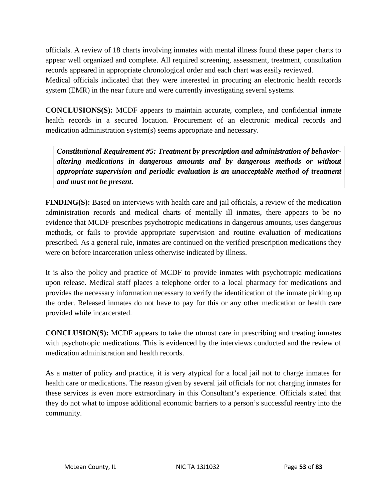officials. A review of 18 charts involving inmates with mental illness found these paper charts to appear well organized and complete. All required screening, assessment, treatment, consultation records appeared in appropriate chronological order and each chart was easily reviewed.

Medical officials indicated that they were interested in procuring an electronic health records system (EMR) in the near future and were currently investigating several systems.

**CONCLUSIONS(S):** MCDF appears to maintain accurate, complete, and confidential inmate health records in a secured location. Procurement of an electronic medical records and medication administration system(s) seems appropriate and necessary.

*Constitutional Requirement #5: Treatment by prescription and administration of behavioraltering medications in dangerous amounts and by dangerous methods or without appropriate supervision and periodic evaluation is an unacceptable method of treatment and must not be present.* 

**FINDING(S):** Based on interviews with health care and jail officials, a review of the medication administration records and medical charts of mentally ill inmates, there appears to be no evidence that MCDF prescribes psychotropic medications in dangerous amounts, uses dangerous methods, or fails to provide appropriate supervision and routine evaluation of medications prescribed. As a general rule, inmates are continued on the verified prescription medications they were on before incarceration unless otherwise indicated by illness.

It is also the policy and practice of MCDF to provide inmates with psychotropic medications upon release. Medical staff places a telephone order to a local pharmacy for medications and provides the necessary information necessary to verify the identification of the inmate picking up the order. Released inmates do not have to pay for this or any other medication or health care provided while incarcerated.

**CONCLUSION(S):** MCDF appears to take the utmost care in prescribing and treating inmates with psychotropic medications. This is evidenced by the interviews conducted and the review of medication administration and health records.

As a matter of policy and practice, it is very atypical for a local jail not to charge inmates for health care or medications. The reason given by several jail officials for not charging inmates for these services is even more extraordinary in this Consultant's experience. Officials stated that they do not what to impose additional economic barriers to a person's successful reentry into the community.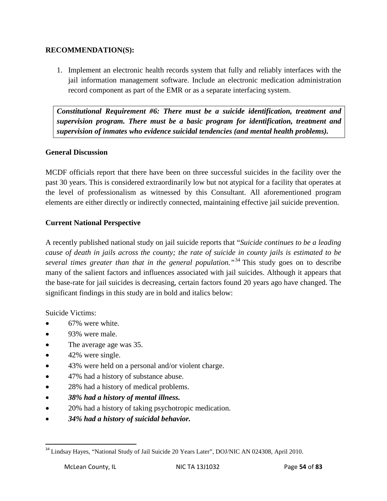#### **RECOMMENDATION(S):**

1. Implement an electronic health records system that fully and reliably interfaces with the jail information management software. Include an electronic medication administration record component as part of the EMR or as a separate interfacing system.

*Constitutional Requirement #6: There must be a suicide identification, treatment and supervision program. There must be a basic program for identification, treatment and supervision of inmates who evidence suicidal tendencies (and mental health problems).* 

## **General Discussion**

MCDF officials report that there have been on three successful suicides in the facility over the past 30 years. This is considered extraordinarily low but not atypical for a facility that operates at the level of professionalism as witnessed by this Consultant. All aforementioned program elements are either directly or indirectly connected, maintaining effective jail suicide prevention.

## **Current National Perspective**

A recently published national study on jail suicide reports that "*Suicide continues to be a leading cause of death in jails across the county; the rate of suicide in county jails is estimated to be several times greater than that in the general population."*[34](#page-43-0) This study goes on to describe many of the salient factors and influences associated with jail suicides. Although it appears that the base-rate for jail suicides is decreasing, certain factors found 20 years ago have changed. The significant findings in this study are in bold and italics below:

Suicide Victims:

- 67% were white.
- 93% were male.
- The average age was 35.
- 42% were single.
- 43% were held on a personal and/or violent charge.
- 47% had a history of substance abuse.
- 28% had a history of medical problems.
- *38% had a history of mental illness.*
- 20% had a history of taking psychotropic medication.
- *34% had a history of suicidal behavior.*

<span id="page-54-0"></span><sup>&</sup>lt;sup>34</sup> Lindsay Hayes, "National Study of Jail Suicide 20 Years Later", DOJ/NIC AN 024308, April 2010.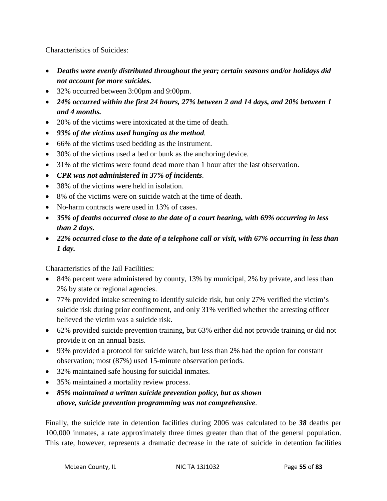Characteristics of Suicides:

- *Deaths were evenly distributed throughout the year; certain seasons and/or holidays did not account for more suicides.*
- 32% occurred between 3:00pm and 9:00pm.
- *24% occurred within the first 24 hours, 27% between 2 and 14 days, and 20% between 1 and 4 months.*
- 20% of the victims were intoxicated at the time of death.
- *93% of the victims used hanging as the method.*
- 66% of the victims used bedding as the instrument.
- 30% of the victims used a bed or bunk as the anchoring device.
- 31% of the victims were found dead more than 1 hour after the last observation.
- *CPR was not administered in 37% of incidents*.
- 38% of the victims were held in isolation.
- 8% of the victims were on suicide watch at the time of death.
- No-harm contracts were used in 13% of cases.
- *35% of deaths occurred close to the date of a court hearing, with 69% occurring in less than 2 days.*
- *22% occurred close to the date of a telephone call or visit, with 67% occurring in less than 1 day.*

# Characteristics of the Jail Facilities:

- 84% percent were administered by county, 13% by municipal, 2% by private, and less than 2% by state or regional agencies.
- 77% provided intake screening to identify suicide risk, but only 27% verified the victim's suicide risk during prior confinement, and only 31% verified whether the arresting officer believed the victim was a suicide risk.
- 62% provided suicide prevention training, but 63% either did not provide training or did not provide it on an annual basis.
- 93% provided a protocol for suicide watch, but less than 2% had the option for constant observation; most (87%) used 15-minute observation periods.
- 32% maintained safe housing for suicidal inmates.
- 35% maintained a mortality review process.
- *85% maintained a written suicide prevention policy, but as shown above, suicide prevention programming was not comprehensive*.

Finally, the suicide rate in detention facilities during 2006 was calculated to be *38* deaths per 100,000 inmates, a rate approximately three times greater than that of the general population. This rate, however, represents a dramatic decrease in the rate of suicide in detention facilities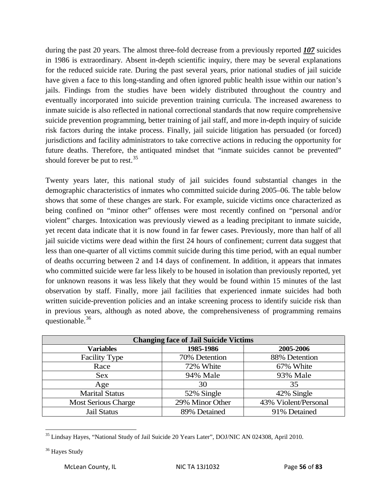during the past 20 years. The almost three-fold decrease from a previously reported *107* suicides in 1986 is extraordinary. Absent in-depth scientific inquiry, there may be several explanations for the reduced suicide rate. During the past several years, prior national studies of jail suicide have given a face to this long-standing and often ignored public health issue within our nation's jails. Findings from the studies have been widely distributed throughout the country and eventually incorporated into suicide prevention training curricula. The increased awareness to inmate suicide is also reflected in national correctional standards that now require comprehensive suicide prevention programming, better training of jail staff, and more in-depth inquiry of suicide risk factors during the intake process. Finally, jail suicide litigation has persuaded (or forced) jurisdictions and facility administrators to take corrective actions in reducing the opportunity for future deaths. Therefore, the antiquated mindset that "inmate suicides cannot be prevented" should forever be put to rest.<sup>[35](#page-54-0)</sup>

Twenty years later, this national study of jail suicides found substantial changes in the demographic characteristics of inmates who committed suicide during 2005–06. The table below shows that some of these changes are stark. For example, suicide victims once characterized as being confined on "minor other" offenses were most recently confined on "personal and/or violent" charges. Intoxication was previously viewed as a leading precipitant to inmate suicide, yet recent data indicate that it is now found in far fewer cases. Previously, more than half of all jail suicide victims were dead within the first 24 hours of confinement; current data suggest that less than one-quarter of all victims commit suicide during this time period, with an equal number of deaths occurring between 2 and 14 days of confinement. In addition, it appears that inmates who committed suicide were far less likely to be housed in isolation than previously reported, yet for unknown reasons it was less likely that they would be found within 15 minutes of the last observation by staff. Finally, more jail facilities that experienced inmate suicides had both written suicide-prevention policies and an intake screening process to identify suicide risk than in previous years, although as noted above, the comprehensiveness of programming remains questionable.<sup>[36](#page-56-0)</sup>

| <b>Changing face of Jail Suicide Victims</b> |                 |                      |  |  |
|----------------------------------------------|-----------------|----------------------|--|--|
| <b>Variables</b>                             | 1985-1986       | 2005-2006            |  |  |
| <b>Facility Type</b>                         | 70% Detention   | 88% Detention        |  |  |
| Race                                         | 72% White       | 67% White            |  |  |
| <b>Sex</b>                                   | 94% Male        | 93% Male             |  |  |
| Age                                          | 30              | 35                   |  |  |
| <b>Marital Status</b>                        | 52% Single      | 42% Single           |  |  |
| <b>Most Serious Charge</b>                   | 29% Minor Other | 43% Violent/Personal |  |  |
| <b>Jail Status</b>                           | 89% Detained    | 91% Detained         |  |  |

<sup>&</sup>lt;sup>35</sup> Lindsay Hayes, "National Study of Jail Suicide 20 Years Later", DOJ/NIC AN 024308, April 2010.

<span id="page-56-1"></span><span id="page-56-0"></span><sup>&</sup>lt;sup>36</sup> Hayes Study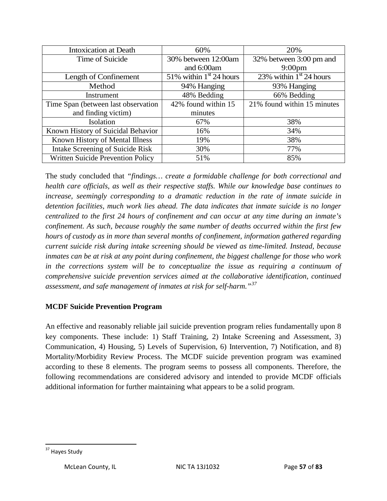| <b>Intoxication at Death</b>             | 60%                       | 20%                         |
|------------------------------------------|---------------------------|-----------------------------|
| Time of Suicide                          | 30% between 12:00am       | 32% between 3:00 pm and     |
|                                          | and 6:00am                | 9:00 <sub>pm</sub>          |
| Length of Confinement                    | 51% within $1st 24$ hours | 23% within $1st 24$ hours   |
| Method                                   | 94% Hanging               | 93% Hanging                 |
| Instrument                               | 48% Bedding               | 66% Bedding                 |
| Time Span (between last observation      | 42% found within 15       | 21% found within 15 minutes |
| and finding victim)                      | minutes                   |                             |
| Isolation                                | 67%                       | 38%                         |
| Known History of Suicidal Behavior       | 16%                       | 34%                         |
| Known History of Mental Illness          | 19%                       | 38%                         |
| <b>Intake Screening of Suicide Risk</b>  | 30%                       | 77%                         |
| <b>Written Suicide Prevention Policy</b> | 51%                       | 85%                         |

The study concluded that *"findings… create a formidable challenge for both correctional and health care officials, as well as their respective staffs. While our knowledge base continues to increase, seemingly corresponding to a dramatic reduction in the rate of inmate suicide in detention facilities, much work lies ahead. The data indicates that inmate suicide is no longer centralized to the first 24 hours of confinement and can occur at any time during an inmate's confinement. As such, because roughly the same number of deaths occurred within the first few hours of custody as in more than several months of confinement, information gathered regarding current suicide risk during intake screening should be viewed as time-limited. Instead, because inmates can be at risk at any point during confinement, the biggest challenge for those who work in the corrections system will be to conceptualize the issue as requiring a continuum of comprehensive suicide prevention services aimed at the collaborative identification, continued assessment, and safe management of inmates at risk for self-harm."[37](#page-56-1)*

## **MCDF Suicide Prevention Program**

An effective and reasonably reliable jail suicide prevention program relies fundamentally upon 8 key components. These include: 1) Staff Training, 2) Intake Screening and Assessment, 3) Communication, 4) Housing, 5) Levels of Supervision, 6) Intervention, 7) Notification, and 8) Mortality/Morbidity Review Process. The MCDF suicide prevention program was examined according to these 8 elements. The program seems to possess all components. Therefore, the following recommendations are considered advisory and intended to provide MCDF officials additional information for further maintaining what appears to be a solid program.

<span id="page-57-0"></span><sup>&</sup>lt;sup>37</sup> Haves Study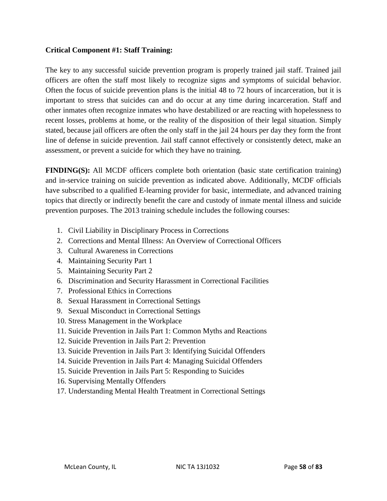#### **Critical Component #1: Staff Training:**

The key to any successful suicide prevention program is properly trained jail staff. Trained jail officers are often the staff most likely to recognize signs and symptoms of suicidal behavior. Often the focus of suicide prevention plans is the initial 48 to 72 hours of incarceration, but it is important to stress that suicides can and do occur at any time during incarceration. Staff and other inmates often recognize inmates who have destabilized or are reacting with hopelessness to recent losses, problems at home, or the reality of the disposition of their legal situation. Simply stated, because jail officers are often the only staff in the jail 24 hours per day they form the front line of defense in suicide prevention. Jail staff cannot effectively or consistently detect, make an assessment, or prevent a suicide for which they have no training.

**FINDING(S):** All MCDF officers complete both orientation (basic state certification training) and in-service training on suicide prevention as indicated above. Additionally, MCDF officials have subscribed to a qualified E-learning provider for basic, intermediate, and advanced training topics that directly or indirectly benefit the care and custody of inmate mental illness and suicide prevention purposes. The 2013 training schedule includes the following courses:

- 1. Civil Liability in Disciplinary Process in Corrections
- 2. Corrections and Mental Illness: An Overview of Correctional Officers
- 3. Cultural Awareness in Corrections
- 4. Maintaining Security Part 1
- 5. Maintaining Security Part 2
- 6. Discrimination and Security Harassment in Correctional Facilities
- 7. Professional Ethics in Corrections
- 8. Sexual Harassment in Correctional Settings
- 9. Sexual Misconduct in Correctional Settings
- 10. Stress Management in the Workplace
- 11. Suicide Prevention in Jails Part 1: Common Myths and Reactions
- 12. Suicide Prevention in Jails Part 2: Prevention
- 13. Suicide Prevention in Jails Part 3: Identifying Suicidal Offenders
- 14. Suicide Prevention in Jails Part 4: Managing Suicidal Offenders
- 15. Suicide Prevention in Jails Part 5: Responding to Suicides
- 16. Supervising Mentally Offenders
- 17. Understanding Mental Health Treatment in Correctional Settings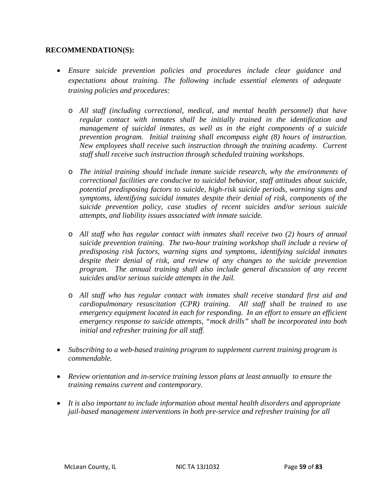#### **RECOMMENDATION(S):**

- *Ensure suicide prevention policies and procedures include clear guidance and expectations about training. The following include essential elements of adequate training policies and procedures:*
	- o *All staff (including correctional, medical, and mental health personnel) that have regular contact with inmates shall be initially trained in the identification and management of suicidal inmates, as well as in the eight components of a suicide prevention program. Initial training shall encompass eight (8) hours of instruction. New employees shall receive such instruction through the training academy. Current staff shall receive such instruction through scheduled training workshops.*
	- o *The initial training should include inmate suicide research, why the environments of correctional facilities are conducive to suicidal behavior, staff attitudes about suicide, potential predisposing factors to suicide, high-risk suicide periods, warning signs and symptoms, identifying suicidal inmates despite their denial of risk, components of the suicide prevention policy, case studies of recent suicides and/or serious suicide attempts, and liability issues associated with inmate suicide.*
	- o *All staff who has regular contact with inmates shall receive two (2) hours of annual suicide prevention training. The two-hour training workshop shall include a review of predisposing risk factors, warning signs and symptoms, identifying suicidal inmates despite their denial of risk, and review of any changes to the suicide prevention program. The annual training shall also include general discussion of any recent suicides and/or serious suicide attempts in the Jail.*
	- o *All staff who has regular contact with inmates shall receive standard first aid and cardiopulmonary resuscitation (CPR) training. All staff shall be trained to use emergency equipment located in each for responding. In an effort to ensure an efficient emergency response to suicide attempts, "mock drills" shall be incorporated into both initial and refresher training for all staff.*
- *Subscribing to a web-based training program to supplement current training program is commendable.*
- *Review orientation and in-service training lesson plans at least annually to ensure the training remains current and contemporary.*
- *It is also important to include information about mental health disorders and appropriate jail-based management interventions in both pre-service and refresher training for all*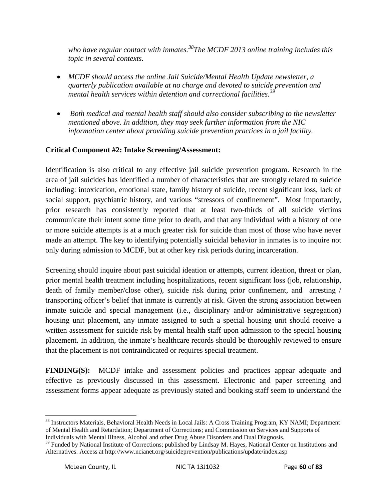*who have regular contact with inmates.[38T](#page-57-0)he MCDF 2013 online training includes this topic in several contexts.*

- *MCDF should access the online Jail Suicide/Mental Health Update newsletter, a quarterly publication available at no charge and devoted to suicide prevention and mental health services within detention and correctional facilities.[39](#page-60-0)*
- *Both medical and mental health staff should also consider subscribing to the newsletter mentioned above. In addition, they may seek further information from the NIC information center about providing suicide prevention practices in a jail facility.*

# **Critical Component #2: Intake Screening/Assessment:**

Identification is also critical to any effective jail suicide prevention program. Research in the area of jail suicides has identified a number of characteristics that are strongly related to suicide including: intoxication, emotional state, family history of suicide, recent significant loss, lack of social support, psychiatric history, and various "stressors of confinement". Most importantly, prior research has consistently reported that at least two-thirds of all suicide victims communicate their intent some time prior to death, and that any individual with a history of one or more suicide attempts is at a much greater risk for suicide than most of those who have never made an attempt. The key to identifying potentially suicidal behavior in inmates is to inquire not only during admission to MCDF, but at other key risk periods during incarceration.

Screening should inquire about past suicidal ideation or attempts, current ideation, threat or plan, prior mental health treatment including hospitalizations, recent significant loss (job, relationship, death of family member/close other), suicide risk during prior confinement, and arresting / transporting officer's belief that inmate is currently at risk. Given the strong association between inmate suicide and special management (i.e., disciplinary and/or administrative segregation) housing unit placement, any inmate assigned to such a special housing unit should receive a written assessment for suicide risk by mental health staff upon admission to the special housing placement. In addition, the inmate's healthcare records should be thoroughly reviewed to ensure that the placement is not contraindicated or requires special treatment.

**FINDING(S):** MCDF intake and assessment policies and practices appear adequate and effective as previously discussed in this assessment. Electronic and paper screening and assessment forms appear adequate as previously stated and booking staff seem to understand the

<sup>&</sup>lt;sup>38</sup> Instructors Materials, Behavioral Health Needs in Local Jails: A Cross Training Program, KY NAMI; Department of Mental Health and Retardation; Department of Corrections; and Commission on Services and Supports of Individuals with Mental Illness, Alcohol and other Drug Abuse Disorders and Dual Diagnosis.

<span id="page-60-1"></span><span id="page-60-0"></span><sup>&</sup>lt;sup>39</sup> Funded by National Institute of Corrections; published by Lindsay M. Hayes, National Center on Institutions and Alternatives. Access at http://www.ncianet.org/suicideprevention/publications/update/index.asp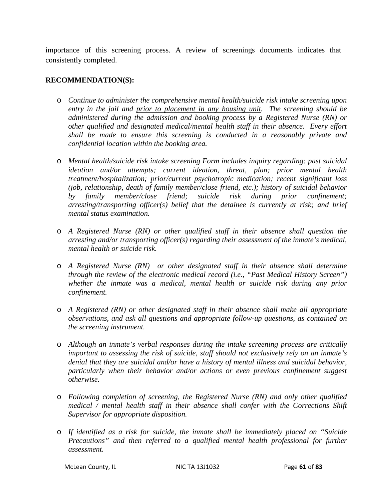importance of this screening process. A review of screenings documents indicates that consistently completed.

#### **RECOMMENDATION(S):**

- o *Continue to administer the comprehensive mental health/suicide risk intake screening upon entry in the jail and prior to placement in any housing unit. The screening should be administered during the admission and booking process by a Registered Nurse (RN) or other qualified and designated medical/mental health staff in their absence. Every effort shall be made to ensure this screening is conducted in a reasonably private and confidential location within the booking area.*
- o *Mental health/suicide risk intake screening Form includes inquiry regarding: past suicidal ideation and/or attempts; current ideation, threat, plan; prior mental health treatment/hospitalization; prior/current psychotropic medication; recent significant loss (job, relationship, death of family member/close friend, etc.); history of suicidal behavior by family member/close friend; suicide risk during prior confinement; arresting/transporting officer(s) belief that the detainee is currently at risk; and brief mental status examination.*
- o *A Registered Nurse (RN) or other qualified staff in their absence shall question the arresting and/or transporting officer(s) regarding their assessment of the inmate's medical, mental health or suicide risk.*
- o *A Registered Nurse (RN) or other designated staff in their absence shall determine through the review of the electronic medical record (i.e., "Past Medical History Screen") whether the inmate was a medical, mental health or suicide risk during any prior confinement.*
- o *A Registered (RN) or other designated staff in their absence shall make all appropriate observations, and ask all questions and appropriate follow-up questions, as contained on the screening instrument.*
- o *Although an inmate's verbal responses during the intake screening process are critically important to assessing the risk of suicide, staff should not exclusively rely on an inmate's denial that they are suicidal and/or have a history of mental illness and suicidal behavior, particularly when their behavior and/or actions or even previous confinement suggest otherwise.*
- o *Following completion of screening, the Registered Nurse (RN) and only other qualified medical / mental health staff in their absence shall confer with the Corrections Shift Supervisor for appropriate disposition.*
- o *If identified as a risk for suicide, the inmate shall be immediately placed on "Suicide Precautions*" and then referred to a qualified mental health professional for further *assessment.*

McLean County, IL NIC TA 13J1032 Page **61** of **83**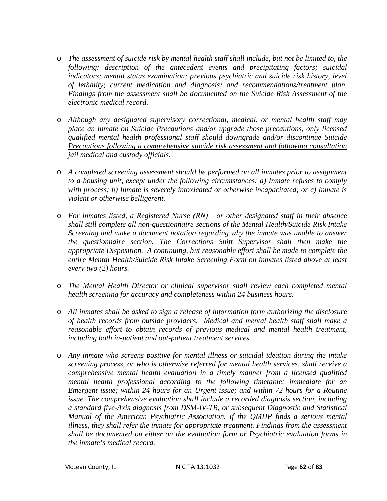- o *The assessment of suicide risk by mental health staff shall include, but not be limited to, the following: description of the antecedent events and precipitating factors; suicidal indicators; mental status examination; previous psychiatric and suicide risk history, level of lethality; current medication and diagnosis; and recommendations/treatment plan. Findings from the assessment shall be documented on the Suicide Risk Assessment of the electronic medical record.*
- o *Although any designated supervisory correctional, medical, or mental health staff may place an inmate on Suicide Precautions and/or upgrade those precautions, only licensed qualified mental health professional staff should downgrade and/or discontinue Suicide Precautions following a comprehensive suicide risk assessment and following consultation jail medical and custody officials.*
- o *A completed screening assessment should be performed on all inmates prior to assignment to a housing unit, except under the following circumstances: a) Inmate refuses to comply with process; b) Inmate is severely intoxicated or otherwise incapacitated; or c) Inmate is violent or otherwise belligerent.*
- o *For inmates listed, a Registered Nurse (RN) or other designated staff in their absence shall still complete all non-questionnaire sections of the Mental Health/Suicide Risk Intake Screening and make a document notation regarding why the inmate was unable to answer the questionnaire section. The Corrections Shift Supervisor shall then make the appropriate Disposition. A continuing, but reasonable effort shall be made to complete the entire Mental Health/Suicide Risk Intake Screening Form on inmates listed above at least every two (2) hours.*
- o *The Mental Health Director or clinical supervisor shall review each completed mental health screening for accuracy and completeness within 24 business hours.*
- o *All inmates shall be asked to sign a release of information form authorizing the disclosure of health records from outside providers. Medical and mental health staff shall make a reasonable effort to obtain records of previous medical and mental health treatment, including both in-patient and out-patient treatment services.*
- o *Any inmate who screens positive for mental illness or suicidal ideation during the intake screening process, or who is otherwise referred for mental health services, shall receive a comprehensive mental health evaluation in a timely manner from a licensed qualified mental health professional according to the following timetable: immediate for an Emergent issue; within 24 hours for an Urgent issue; and within 72 hours for a Routine issue. The comprehensive evaluation shall include a recorded diagnosis section, including a standard five-Axis diagnosis from DSM-IV-TR, or subsequent Diagnostic and Statistical Manual of the American Psychiatric Association. If the QMHP finds a serious mental illness, they shall refer the inmate for appropriate treatment. Findings from the assessment shall be documented on either on the evaluation form or Psychiatric evaluation forms in the inmate's medical record.*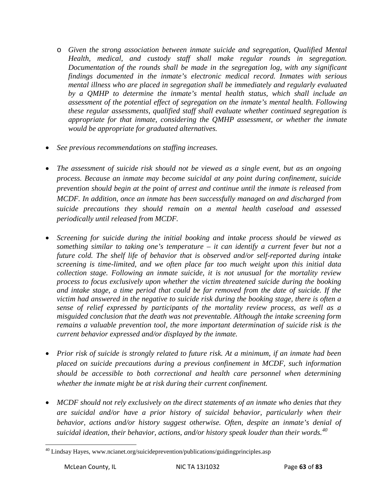- o *Given the strong association between inmate suicide and segregation, Qualified Mental Health, medical, and custody staff shall make regular rounds in segregation. Documentation of the rounds shall be made in the segregation log, with any significant findings documented in the inmate's electronic medical record. Inmates with serious mental illness who are placed in segregation shall be immediately and regularly evaluated by a QMHP to determine the inmate's mental health status, which shall include an assessment of the potential effect of segregation on the inmate's mental health. Following these regular assessments, qualified staff shall evaluate whether continued segregation is appropriate for that inmate, considering the QMHP assessment, or whether the inmate would be appropriate for graduated alternatives.*
- *See previous recommendations on staffing increases.*
- *The assessment of suicide risk should not be viewed as a single event, but as an ongoing process. Because an inmate may become suicidal at any point during confinement, suicide prevention should begin at the point of arrest and continue until the inmate is released from MCDF. In addition, once an inmate has been successfully managed on and discharged from suicide precautions they should remain on a mental health caseload and assessed periodically until released from MCDF.*
- *Screening for suicide during the initial booking and intake process should be viewed as something similar to taking one's temperature – it can identify a current fever but not a future cold. The shelf life of behavior that is observed and/or self-reported during intake screening is time-limited, and we often place far too much weight upon this initial data collection stage. Following an inmate suicide, it is not unusual for the mortality review process to focus exclusively upon whether the victim threatened suicide during the booking and intake stage, a time period that could be far removed from the date of suicide. If the victim had answered in the negative to suicide risk during the booking stage, there is often a sense of relief expressed by participants of the mortality review process, as well as a misguided conclusion that the death was not preventable. Although the intake screening form remains a valuable prevention tool, the more important determination of suicide risk is the current behavior expressed and/or displayed by the inmate.*
- *Prior risk of suicide is strongly related to future risk. At a minimum, if an inmate had been placed on suicide precautions during a previous confinement in MCDF, such information should be accessible to both correctional and health care personnel when determining whether the inmate might be at risk during their current confinement.*
- *MCDF should not rely exclusively on the direct statements of an inmate who denies that they are suicidal and/or have a prior history of suicidal behavior, particularly when their behavior, actions and/or history suggest otherwise. Often, despite an inmate's denial of suicidal ideation, their behavior, actions, and/or history speak louder than their words.[40](#page-60-1)*

<span id="page-63-0"></span><sup>&</sup>lt;sup>40</sup> Lindsay Hayes, www.ncianet.org/suicideprevention/publications/guidingprinciples.asp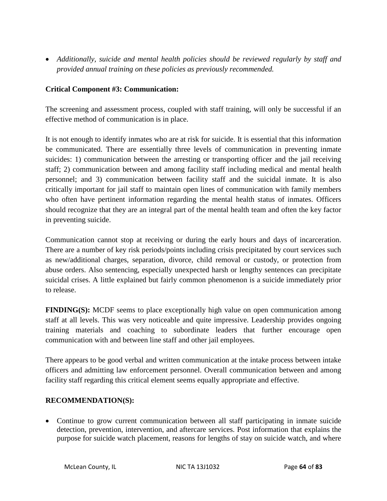• *Additionally, suicide and mental health policies should be reviewed regularly by staff and provided annual training on these policies as previously recommended.*

## **Critical Component #3: Communication:**

The screening and assessment process, coupled with staff training, will only be successful if an effective method of communication is in place.

It is not enough to identify inmates who are at risk for suicide. It is essential that this information be communicated. There are essentially three levels of communication in preventing inmate suicides: 1) communication between the arresting or transporting officer and the jail receiving staff; 2) communication between and among facility staff including medical and mental health personnel; and 3) communication between facility staff and the suicidal inmate. It is also critically important for jail staff to maintain open lines of communication with family members who often have pertinent information regarding the mental health status of inmates. Officers should recognize that they are an integral part of the mental health team and often the key factor in preventing suicide.

Communication cannot stop at receiving or during the early hours and days of incarceration. There are a number of key risk periods/points including crisis precipitated by court services such as new/additional charges, separation, divorce, child removal or custody, or protection from abuse orders. Also sentencing, especially unexpected harsh or lengthy sentences can precipitate suicidal crises. A little explained but fairly common phenomenon is a suicide immediately prior to release.

**FINDING(S):** MCDF seems to place exceptionally high value on open communication among staff at all levels. This was very noticeable and quite impressive. Leadership provides ongoing training materials and coaching to subordinate leaders that further encourage open communication with and between line staff and other jail employees.

There appears to be good verbal and written communication at the intake process between intake officers and admitting law enforcement personnel. Overall communication between and among facility staff regarding this critical element seems equally appropriate and effective.

## **RECOMMENDATION(S):**

• Continue to grow current communication between all staff participating in inmate suicide detection, prevention, intervention, and aftercare services. Post information that explains the purpose for suicide watch placement, reasons for lengths of stay on suicide watch, and where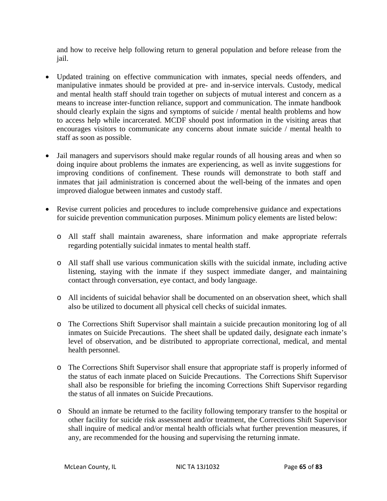and how to receive help following return to general population and before release from the jail.

- Updated training on effective communication with inmates, special needs offenders, and manipulative inmates should be provided at pre- and in-service intervals. Custody, medical and mental health staff should train together on subjects of mutual interest and concern as a means to increase inter-function reliance, support and communication. The inmate handbook should clearly explain the signs and symptoms of suicide / mental health problems and how to access help while incarcerated. MCDF should post information in the visiting areas that encourages visitors to communicate any concerns about inmate suicide / mental health to staff as soon as possible.
- Jail managers and supervisors should make regular rounds of all housing areas and when so doing inquire about problems the inmates are experiencing, as well as invite suggestions for improving conditions of confinement. These rounds will demonstrate to both staff and inmates that jail administration is concerned about the well-being of the inmates and open improved dialogue between inmates and custody staff.
- Revise current policies and procedures to include comprehensive guidance and expectations for suicide prevention communication purposes. Minimum policy elements are listed below:
	- o All staff shall maintain awareness, share information and make appropriate referrals regarding potentially suicidal inmates to mental health staff.
	- o All staff shall use various communication skills with the suicidal inmate, including active listening, staying with the inmate if they suspect immediate danger, and maintaining contact through conversation, eye contact, and body language.
	- o All incidents of suicidal behavior shall be documented on an observation sheet, which shall also be utilized to document all physical cell checks of suicidal inmates.
	- o The Corrections Shift Supervisor shall maintain a suicide precaution monitoring log of all inmates on Suicide Precautions. The sheet shall be updated daily, designate each inmate's level of observation, and be distributed to appropriate correctional, medical, and mental health personnel.
	- o The Corrections Shift Supervisor shall ensure that appropriate staff is properly informed of the status of each inmate placed on Suicide Precautions. The Corrections Shift Supervisor shall also be responsible for briefing the incoming Corrections Shift Supervisor regarding the status of all inmates on Suicide Precautions.
	- o Should an inmate be returned to the facility following temporary transfer to the hospital or other facility for suicide risk assessment and/or treatment, the Corrections Shift Supervisor shall inquire of medical and/or mental health officials what further prevention measures, if any, are recommended for the housing and supervising the returning inmate.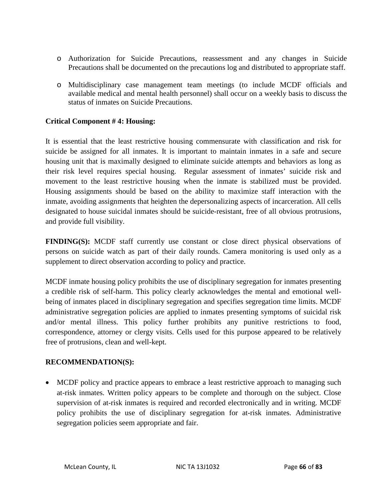- o Authorization for Suicide Precautions, reassessment and any changes in Suicide Precautions shall be documented on the precautions log and distributed to appropriate staff.
- o Multidisciplinary case management team meetings (to include MCDF officials and available medical and mental health personnel) shall occur on a weekly basis to discuss the status of inmates on Suicide Precautions.

## **Critical Component # 4: Housing:**

It is essential that the least restrictive housing commensurate with classification and risk for suicide be assigned for all inmates. It is important to maintain inmates in a safe and secure housing unit that is maximally designed to eliminate suicide attempts and behaviors as long as their risk level requires special housing. Regular assessment of inmates' suicide risk and movement to the least restrictive housing when the inmate is stabilized must be provided. Housing assignments should be based on the ability to maximize staff interaction with the inmate, avoiding assignments that heighten the depersonalizing aspects of incarceration. All cells designated to house suicidal inmates should be suicide-resistant, free of all obvious protrusions, and provide full visibility.

**FINDING(S):** MCDF staff currently use constant or close direct physical observations of persons on suicide watch as part of their daily rounds. Camera monitoring is used only as a supplement to direct observation according to policy and practice.

MCDF inmate housing policy prohibits the use of disciplinary segregation for inmates presenting a credible risk of self-harm. This policy clearly acknowledges the mental and emotional wellbeing of inmates placed in disciplinary segregation and specifies segregation time limits. MCDF administrative segregation policies are applied to inmates presenting symptoms of suicidal risk and/or mental illness. This policy further prohibits any punitive restrictions to food, correspondence, attorney or clergy visits. Cells used for this purpose appeared to be relatively free of protrusions, clean and well-kept.

#### **RECOMMENDATION(S):**

• MCDF policy and practice appears to embrace a least restrictive approach to managing such at-risk inmates. Written policy appears to be complete and thorough on the subject. Close supervision of at-risk inmates is required and recorded electronically and in writing. MCDF policy prohibits the use of disciplinary segregation for at-risk inmates. Administrative segregation policies seem appropriate and fair.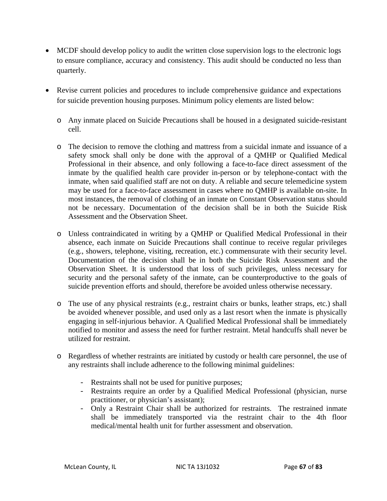- MCDF should develop policy to audit the written close supervision logs to the electronic logs to ensure compliance, accuracy and consistency. This audit should be conducted no less than quarterly.
- Revise current policies and procedures to include comprehensive guidance and expectations for suicide prevention housing purposes. Minimum policy elements are listed below:
	- o Any inmate placed on Suicide Precautions shall be housed in a designated suicide-resistant cell.
	- o The decision to remove the clothing and mattress from a suicidal inmate and issuance of a safety smock shall only be done with the approval of a QMHP or Qualified Medical Professional in their absence, and only following a face-to-face direct assessment of the inmate by the qualified health care provider in-person or by telephone-contact with the inmate, when said qualified staff are not on duty. A reliable and secure telemedicine system may be used for a face-to-face assessment in cases where no QMHP is available on-site. In most instances, the removal of clothing of an inmate on Constant Observation status should not be necessary. Documentation of the decision shall be in both the Suicide Risk Assessment and the Observation Sheet.
	- o Unless contraindicated in writing by a QMHP or Qualified Medical Professional in their absence, each inmate on Suicide Precautions shall continue to receive regular privileges (e.g., showers, telephone, visiting, recreation, etc.) commensurate with their security level. Documentation of the decision shall be in both the Suicide Risk Assessment and the Observation Sheet. It is understood that loss of such privileges, unless necessary for security and the personal safety of the inmate, can be counterproductive to the goals of suicide prevention efforts and should, therefore be avoided unless otherwise necessary.
	- o The use of any physical restraints (e.g., restraint chairs or bunks, leather straps, etc.) shall be avoided whenever possible, and used only as a last resort when the inmate is physically engaging in self-injurious behavior. A Qualified Medical Professional shall be immediately notified to monitor and assess the need for further restraint. Metal handcuffs shall never be utilized for restraint.
	- o Regardless of whether restraints are initiated by custody or health care personnel, the use of any restraints shall include adherence to the following minimal guidelines:
		- Restraints shall not be used for punitive purposes;
		- Restraints require an order by a Qualified Medical Professional (physician, nurse practitioner, or physician's assistant);
		- Only a Restraint Chair shall be authorized for restraints. The restrained inmate shall be immediately transported via the restraint chair to the 4th floor medical/mental health unit for further assessment and observation.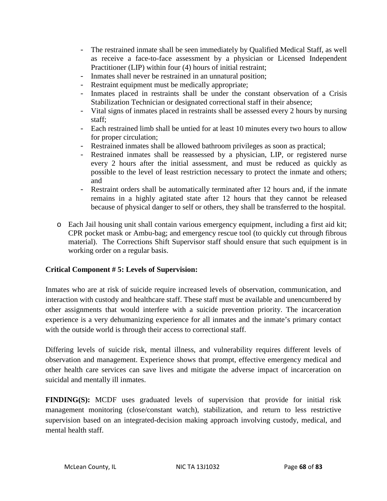- The restrained inmate shall be seen immediately by Qualified Medical Staff, as well as receive a face-to-face assessment by a physician or Licensed Independent Practitioner (LIP) within four (4) hours of initial restraint;
- Inmates shall never be restrained in an unnatural position;
- Restraint equipment must be medically appropriate;<br>- Inmates placed in restraints shall be under the co
- Inmates placed in restraints shall be under the constant observation of a Crisis Stabilization Technician or designated correctional staff in their absence;
- Vital signs of inmates placed in restraints shall be assessed every 2 hours by nursing staff;
- Each restrained limb shall be untied for at least 10 minutes every two hours to allow for proper circulation;
- Restrained inmates shall be allowed bathroom privileges as soon as practical;
- Restrained inmates shall be reassessed by a physician, LIP, or registered nurse every 2 hours after the initial assessment, and must be reduced as quickly as possible to the level of least restriction necessary to protect the inmate and others; and
- Restraint orders shall be automatically terminated after 12 hours and, if the inmate remains in a highly agitated state after 12 hours that they cannot be released because of physical danger to self or others, they shall be transferred to the hospital.
- o Each Jail housing unit shall contain various emergency equipment, including a first aid kit; CPR pocket mask or Ambu-bag; and emergency rescue tool (to quickly cut through fibrous material). The Corrections Shift Supervisor staff should ensure that such equipment is in working order on a regular basis.

# **Critical Component # 5: Levels of Supervision:**

Inmates who are at risk of suicide require increased levels of observation, communication, and interaction with custody and healthcare staff. These staff must be available and unencumbered by other assignments that would interfere with a suicide prevention priority. The incarceration experience is a very dehumanizing experience for all inmates and the inmate's primary contact with the outside world is through their access to correctional staff.

Differing levels of suicide risk, mental illness, and vulnerability requires different levels of observation and management. Experience shows that prompt, effective emergency medical and other health care services can save lives and mitigate the adverse impact of incarceration on suicidal and mentally ill inmates.

**FINDING(S):** MCDF uses graduated levels of supervision that provide for initial risk management monitoring (close/constant watch), stabilization, and return to less restrictive supervision based on an integrated-decision making approach involving custody, medical, and mental health staff.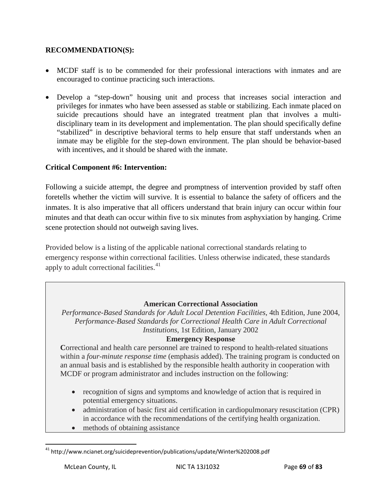## **RECOMMENDATION(S):**

- MCDF staff is to be commended for their professional interactions with inmates and are encouraged to continue practicing such interactions.
- Develop a "step-down" housing unit and process that increases social interaction and privileges for inmates who have been assessed as stable or stabilizing. Each inmate placed on suicide precautions should have an integrated treatment plan that involves a multidisciplinary team in its development and implementation. The plan should specifically define "stabilized" in descriptive behavioral terms to help ensure that staff understands when an inmate may be eligible for the step-down environment. The plan should be behavior-based with incentives, and it should be shared with the inmate.

## **Critical Component #6: Intervention:**

Following a suicide attempt, the degree and promptness of intervention provided by staff often foretells whether the victim will survive. It is essential to balance the safety of officers and the inmates. It is also imperative that all officers understand that brain injury can occur within four minutes and that death can occur within five to six minutes from asphyxiation by hanging. Crime scene protection should not outweigh saving lives.

Provided below is a listing of the applicable national correctional standards relating to emergency response within correctional facilities. Unless otherwise indicated, these standards apply to adult correctional facilities.<sup>[41](#page-63-0)</sup>

#### **American Correctional Association**

*Performance-Based Standards for Adult Local Detention Facilities*, 4th Edition, June 2004, *Performance-Based Standards for Correctional Health Care in Adult Correctional Institutions*, 1st Edition, January 2002

#### **Emergency Response**

**C**orrectional and health care personnel are trained to respond to health-related situations within a *four-minute response time* (emphasis added). The training program is conducted on an annual basis and is established by the responsible health authority in cooperation with MCDF or program administrator and includes instruction on the following:

- recognition of signs and symptoms and knowledge of action that is required in potential emergency situations.
- administration of basic first aid certification in cardiopulmonary resuscitation (CPR) in accordance with the recommendations of the certifying health organization.
- methods of obtaining assistance

<sup>&</sup>lt;sup>41</sup> http://www.ncianet.org/suicideprevention/publications/update/Winter%202008.pdf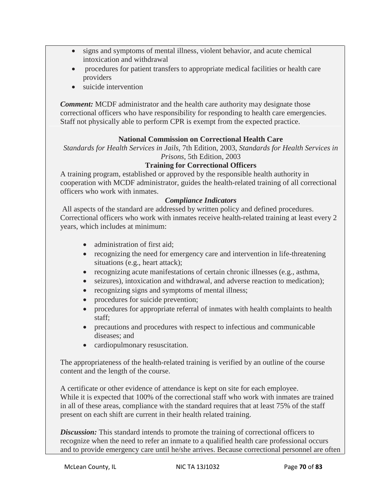- signs and symptoms of mental illness, violent behavior, and acute chemical intoxication and withdrawal
- procedures for patient transfers to appropriate medical facilities or health care providers
- suicide intervention

*Comment:* MCDF administrator and the health care authority may designate those correctional officers who have responsibility for responding to health care emergencies. Staff not physically able to perform CPR is exempt from the expected practice.

# **National Commission on Correctional Health Care**

*Standards for Health Services in Jails*, 7th Edition, 2003, *Standards for Health Services in Prisons*, 5th Edition, 2003

## **Training for Correctional Officers**

A training program, established or approved by the responsible health authority in cooperation with MCDF administrator, guides the health-related training of all correctional officers who work with inmates.

## *Compliance Indicators*

All aspects of the standard are addressed by written policy and defined procedures. Correctional officers who work with inmates receive health-related training at least every 2 years, which includes at minimum:

- administration of first aid:
- recognizing the need for emergency care and intervention in life-threatening situations (e.g., heart attack);
- recognizing acute manifestations of certain chronic illnesses (e.g., asthma,
- seizures), intoxication and withdrawal, and adverse reaction to medication);
- recognizing signs and symptoms of mental illness;
- procedures for suicide prevention;
- procedures for appropriate referral of inmates with health complaints to health staff;
- precautions and procedures with respect to infectious and communicable diseases; and
- cardiopulmonary resuscitation.

The appropriateness of the health-related training is verified by an outline of the course content and the length of the course.

A certificate or other evidence of attendance is kept on site for each employee. While it is expected that 100% of the correctional staff who work with inmates are trained in all of these areas, compliance with the standard requires that at least 75% of the staff present on each shift are current in their health related training.

*Discussion:* This standard intends to promote the training of correctional officers to recognize when the need to refer an inmate to a qualified health care professional occurs and to provide emergency care until he/she arrives. Because correctional personnel are often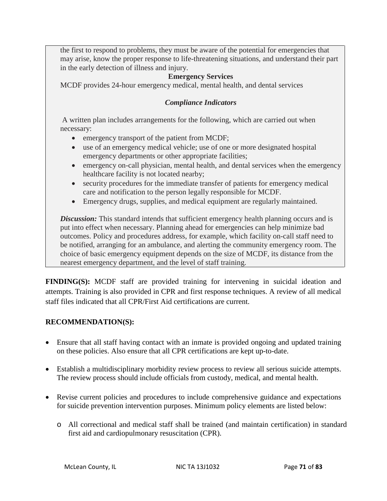the first to respond to problems, they must be aware of the potential for emergencies that may arise, know the proper response to life-threatening situations, and understand their part in the early detection of illness and injury.

## **Emergency Services**

MCDF provides 24-hour emergency medical, mental health, and dental services

# *Compliance Indicators*

A written plan includes arrangements for the following, which are carried out when necessary:

- emergency transport of the patient from MCDF;
- use of an emergency medical vehicle; use of one or more designated hospital emergency departments or other appropriate facilities;
- emergency on-call physician, mental health, and dental services when the emergency healthcare facility is not located nearby;
- security procedures for the immediate transfer of patients for emergency medical care and notification to the person legally responsible for MCDF.
- Emergency drugs, supplies, and medical equipment are regularly maintained.

**Discussion:** This standard intends that sufficient emergency health planning occurs and is put into effect when necessary. Planning ahead for emergencies can help minimize bad outcomes. Policy and procedures address, for example, which facility on-call staff need to be notified, arranging for an ambulance, and alerting the community emergency room. The choice of basic emergency equipment depends on the size of MCDF, its distance from the nearest emergency department, and the level of staff training.

**FINDING(S):** MCDF staff are provided training for intervening in suicidal ideation and attempts. Training is also provided in CPR and first response techniques. A review of all medical staff files indicated that all CPR/First Aid certifications are current.

## **RECOMMENDATION(S):**

- Ensure that all staff having contact with an inmate is provided ongoing and updated training on these policies. Also ensure that all CPR certifications are kept up-to-date.
- Establish a multidisciplinary morbidity review process to review all serious suicide attempts. The review process should include officials from custody, medical, and mental health.
- Revise current policies and procedures to include comprehensive guidance and expectations for suicide prevention intervention purposes. Minimum policy elements are listed below:
	- o All correctional and medical staff shall be trained (and maintain certification) in standard first aid and cardiopulmonary resuscitation (CPR).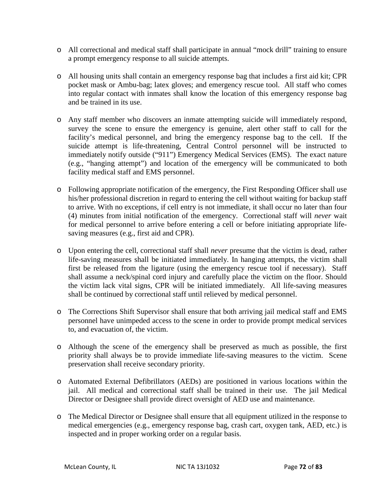- o All correctional and medical staff shall participate in annual "mock drill" training to ensure a prompt emergency response to all suicide attempts.
- o All housing units shall contain an emergency response bag that includes a first aid kit; CPR pocket mask or Ambu-bag; latex gloves; and emergency rescue tool. All staff who comes into regular contact with inmates shall know the location of this emergency response bag and be trained in its use.
- o Any staff member who discovers an inmate attempting suicide will immediately respond, survey the scene to ensure the emergency is genuine, alert other staff to call for the facility's medical personnel, and bring the emergency response bag to the cell. If the suicide attempt is life-threatening, Central Control personnel will be instructed to immediately notify outside ("911") Emergency Medical Services (EMS). The exact nature (e.g., "hanging attempt") and location of the emergency will be communicated to both facility medical staff and EMS personnel.
- o Following appropriate notification of the emergency, the First Responding Officer shall use his/her professional discretion in regard to entering the cell without waiting for backup staff to arrive. With no exceptions, if cell entry is not immediate, it shall occur no later than four (4) minutes from initial notification of the emergency. Correctional staff will *never* wait for medical personnel to arrive before entering a cell or before initiating appropriate lifesaving measures (e.g., first aid and CPR).
- o Upon entering the cell, correctional staff shall *never* presume that the victim is dead, rather life-saving measures shall be initiated immediately. In hanging attempts, the victim shall first be released from the ligature (using the emergency rescue tool if necessary). Staff shall assume a neck/spinal cord injury and carefully place the victim on the floor. Should the victim lack vital signs, CPR will be initiated immediately. All life-saving measures shall be continued by correctional staff until relieved by medical personnel.
- o The Corrections Shift Supervisor shall ensure that both arriving jail medical staff and EMS personnel have unimpeded access to the scene in order to provide prompt medical services to, and evacuation of, the victim.
- o Although the scene of the emergency shall be preserved as much as possible, the first priority shall always be to provide immediate life-saving measures to the victim. Scene preservation shall receive secondary priority.
- o Automated External Defibrillators (AEDs) are positioned in various locations within the jail. All medical and correctional staff shall be trained in their use. The jail Medical Director or Designee shall provide direct oversight of AED use and maintenance.
- o The Medical Director or Designee shall ensure that all equipment utilized in the response to medical emergencies (e.g., emergency response bag, crash cart, oxygen tank, AED, etc.) is inspected and in proper working order on a regular basis.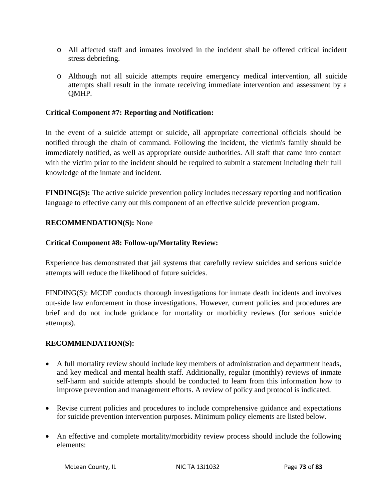- o All affected staff and inmates involved in the incident shall be offered critical incident stress debriefing.
- o Although not all suicide attempts require emergency medical intervention, all suicide attempts shall result in the inmate receiving immediate intervention and assessment by a QMHP.

#### **Critical Component #7: Reporting and Notification:**

In the event of a suicide attempt or suicide, all appropriate correctional officials should be notified through the chain of command. Following the incident, the victim's family should be immediately notified, as well as appropriate outside authorities. All staff that came into contact with the victim prior to the incident should be required to submit a statement including their full knowledge of the inmate and incident.

**FINDING(S):** The active suicide prevention policy includes necessary reporting and notification language to effective carry out this component of an effective suicide prevention program.

#### **RECOMMENDATION(S):** None

#### **Critical Component #8: Follow-up/Mortality Review:**

Experience has demonstrated that jail systems that carefully review suicides and serious suicide attempts will reduce the likelihood of future suicides.

FINDING(S): MCDF conducts thorough investigations for inmate death incidents and involves out-side law enforcement in those investigations. However, current policies and procedures are brief and do not include guidance for mortality or morbidity reviews (for serious suicide attempts).

#### **RECOMMENDATION(S):**

- A full mortality review should include key members of administration and department heads, and key medical and mental health staff. Additionally, regular (monthly) reviews of inmate self-harm and suicide attempts should be conducted to learn from this information how to improve prevention and management efforts. A review of policy and protocol is indicated.
- Revise current policies and procedures to include comprehensive guidance and expectations for suicide prevention intervention purposes. Minimum policy elements are listed below.
- An effective and complete mortality/morbidity review process should include the following elements: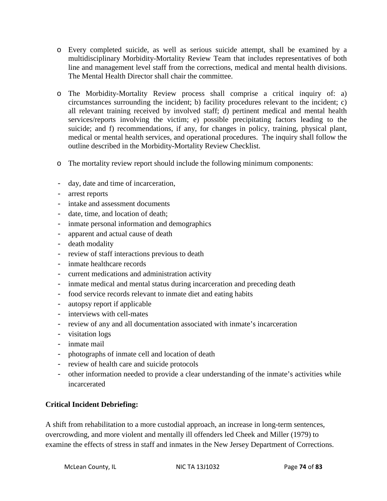- o Every completed suicide, as well as serious suicide attempt, shall be examined by a multidisciplinary Morbidity-Mortality Review Team that includes representatives of both line and management level staff from the corrections, medical and mental health divisions. The Mental Health Director shall chair the committee.
- o The Morbidity-Mortality Review process shall comprise a critical inquiry of: a) circumstances surrounding the incident; b) facility procedures relevant to the incident; c) all relevant training received by involved staff; d) pertinent medical and mental health services/reports involving the victim; e) possible precipitating factors leading to the suicide; and f) recommendations, if any, for changes in policy, training, physical plant, medical or mental health services, and operational procedures. The inquiry shall follow the outline described in the Morbidity-Mortality Review Checklist.
- o The mortality review report should include the following minimum components:
- day, date and time of incarceration,
- arrest reports
- intake and assessment documents
- date, time, and location of death;
- inmate personal information and demographics
- apparent and actual cause of death
- death modality
- review of staff interactions previous to death
- inmate healthcare records
- current medications and administration activity
- inmate medical and mental status during incarceration and preceding death
- food service records relevant to inmate diet and eating habits
- autopsy report if applicable
- interviews with cell-mates
- review of any and all documentation associated with inmate's incarceration
- visitation logs
- inmate mail
- photographs of inmate cell and location of death
- review of health care and suicide protocols
- other information needed to provide a clear understanding of the inmate's activities while incarcerated

## **Critical Incident Debriefing:**

A shift from rehabilitation to a more custodial approach, an increase in long-term sentences, overcrowding, and more violent and mentally ill offenders led Cheek and Miller (1979) to examine the effects of stress in staff and inmates in the New Jersey Department of Corrections.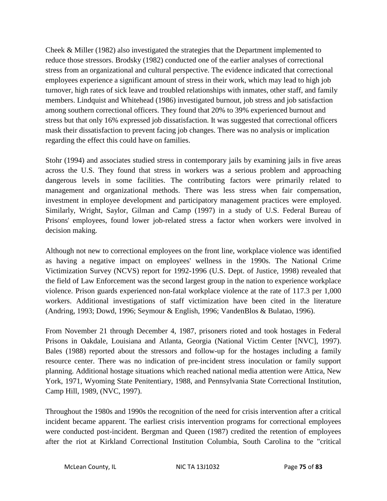Cheek & Miller (1982) also investigated the strategies that the Department implemented to reduce those stressors. Brodsky (1982) conducted one of the earlier analyses of correctional stress from an organizational and cultural perspective. The evidence indicated that correctional employees experience a significant amount of stress in their work, which may lead to high job turnover, high rates of sick leave and troubled relationships with inmates, other staff, and family members. Lindquist and Whitehead (1986) investigated burnout, job stress and job satisfaction among southern correctional officers. They found that 20% to 39% experienced burnout and stress but that only 16% expressed job dissatisfaction. It was suggested that correctional officers mask their dissatisfaction to prevent facing job changes. There was no analysis or implication regarding the effect this could have on families.

Stohr (1994) and associates studied stress in contemporary jails by examining jails in five areas across the U.S. They found that stress in workers was a serious problem and approaching dangerous levels in some facilities. The contributing factors were primarily related to management and organizational methods. There was less stress when fair compensation, investment in employee development and participatory management practices were employed. Similarly, Wright, Saylor, Gilman and Camp (1997) in a study of U.S. Federal Bureau of Prisons' employees, found lower job-related stress a factor when workers were involved in decision making.

Although not new to correctional employees on the front line, workplace violence was identified as having a negative impact on employees' wellness in the 1990s. The National Crime Victimization Survey (NCVS) report for 1992-1996 (U.S. Dept. of Justice, 1998) revealed that the field of Law Enforcement was the second largest group in the nation to experience workplace violence. Prison guards experienced non-fatal workplace violence at the rate of 117.3 per 1,000 workers. Additional investigations of staff victimization have been cited in the literature (Andring, 1993; Dowd, 1996; Seymour & English, 1996; VandenBlos & Bulatao, 1996).

From November 21 through December 4, 1987, prisoners rioted and took hostages in Federal Prisons in Oakdale, Louisiana and Atlanta, Georgia (National Victim Center [NVC], 1997). Bales (1988) reported about the stressors and follow-up for the hostages including a family resource center. There was no indication of pre-incident stress inoculation or family support planning. Additional hostage situations which reached national media attention were Attica, New York, 1971, Wyoming State Penitentiary, 1988, and Pennsylvania State Correctional Institution, Camp Hill, 1989, (NVC, 1997).

Throughout the 1980s and 1990s the recognition of the need for crisis intervention after a critical incident became apparent. The earliest crisis intervention programs for correctional employees were conducted post-incident. Bergman and Queen (1987) credited the retention of employees after the riot at Kirkland Correctional Institution Columbia, South Carolina to the "critical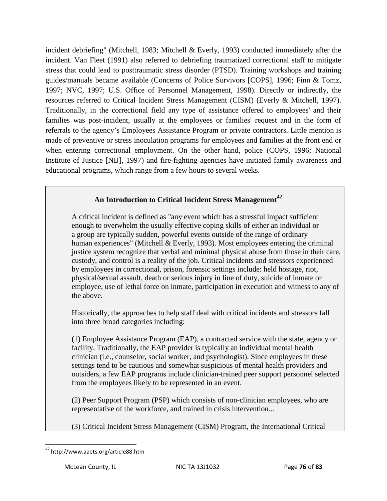incident debriefing" (Mitchell, 1983; Mitchell & Everly, 1993) conducted immediately after the incident. Van Fleet (1991) also referred to debriefing traumatized correctional staff to mitigate stress that could lead to posttraumatic stress disorder (PTSD). Training workshops and training guides/manuals became available (Concerns of Police Survivors [COPS], 1996; Finn & Tomz, 1997; NVC, 1997; U.S. Office of Personnel Management, 1998). Directly or indirectly, the resources referred to Critical Incident Stress Management (CISM) (Everly & Mitchell, 1997). Traditionally, in the correctional field any type of assistance offered to employees' and their families was post-incident, usually at the employees or families' request and in the form of referrals to the agency's Employees Assistance Program or private contractors. Little mention is made of preventive or stress inoculation programs for employees and families at the front end or when entering correctional employment. On the other hand, police (COPS, 1996; National Institute of Justice [NIJ], 1997) and fire-fighting agencies have initiated family awareness and educational programs, which range from a few hours to several weeks.

# **An Introduction to Critical Incident Stress Management[42](#page-69-0)**

A critical incident is defined as "any event which has a stressful impact sufficient enough to overwhelm the usually effective coping skills of either an individual or a group are typically sudden, powerful events outside of the range of ordinary human experiences" (Mitchell & Everly, 1993). Most employees entering the criminal justice system recognize that verbal and minimal physical abuse from those in their care, custody, and control is a reality of the job. Critical incidents and stressors experienced by employees in correctional, prison, forensic settings include: held hostage, riot, physical/sexual assault, death or serious injury in line of duty, suicide of inmate or employee, use of lethal force on inmate, participation in execution and witness to any of the above.

Historically, the approaches to help staff deal with critical incidents and stressors fall into three broad categories including:

(1) Employee Assistance Program (EAP), a contracted service with the state, agency or facility. Traditionally, the EAP provider is typically an individual mental health clinician (i.e., counselor, social worker, and psychologist). Since employees in these settings tend to be cautious and somewhat suspicious of mental health providers and outsiders, a few EAP programs include clinician-trained peer support personnel selected from the employees likely to be represented in an event.

(2) Peer Support Program (PSP) which consists of non-clinician employees, who are representative of the workforce, and trained in crisis intervention...

(3) Critical Incident Stress Management (CISM) Program, the International Critical

<span id="page-76-0"></span> <sup>42</sup> http://www.aaets.org/article88.htm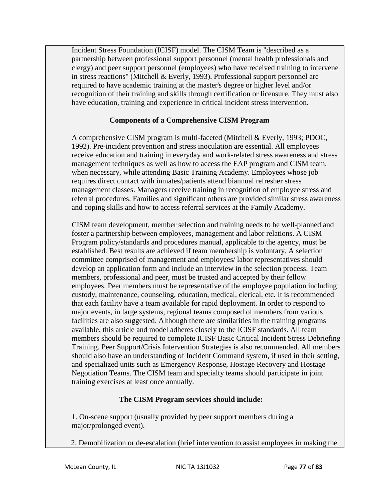Incident Stress Foundation (ICISF) model. The CISM Team is "described as a partnership between professional support personnel (mental health professionals and clergy) and peer support personnel (employees) who have received training to intervene in stress reactions" (Mitchell & Everly, 1993). Professional support personnel are required to have academic training at the master's degree or higher level and/or recognition of their training and skills through certification or licensure. They must also have education, training and experience in critical incident stress intervention.

### **Components of a Comprehensive CISM Program**

A comprehensive CISM program is multi-faceted (Mitchell & Everly, 1993; PDOC, 1992). Pre-incident prevention and stress inoculation are essential. All employees receive education and training in everyday and work-related stress awareness and stress management techniques as well as how to access the EAP program and CISM team, when necessary, while attending Basic Training Academy. Employees whose job requires direct contact with inmates/patients attend biannual refresher stress management classes. Managers receive training in recognition of employee stress and referral procedures. Families and significant others are provided similar stress awareness and coping skills and how to access referral services at the Family Academy.

CISM team development, member selection and training needs to be well-planned and foster a partnership between employees, management and labor relations. A CISM Program policy/standards and procedures manual, applicable to the agency, must be established. Best results are achieved if team membership is voluntary. A selection committee comprised of management and employees/ labor representatives should develop an application form and include an interview in the selection process. Team members, professional and peer, must be trusted and accepted by their fellow employees. Peer members must be representative of the employee population including custody, maintenance, counseling, education, medical, clerical, etc. It is recommended that each facility have a team available for rapid deployment. In order to respond to major events, in large systems, regional teams composed of members from various facilities are also suggested. Although there are similarities in the training programs available, this article and model adheres closely to the ICISF standards. All team members should be required to complete ICISF Basic Critical Incident Stress Debriefing Training. Peer Support/Crisis Intervention Strategies is also recommended. All members should also have an understanding of Incident Command system, if used in their setting, and specialized units such as Emergency Response, Hostage Recovery and Hostage Negotiation Teams. The CISM team and specialty teams should participate in joint training exercises at least once annually.

## **The CISM Program services should include:**

1. On-scene support (usually provided by peer support members during a major/prolonged event).

2. Demobilization or de-escalation (brief intervention to assist employees in making the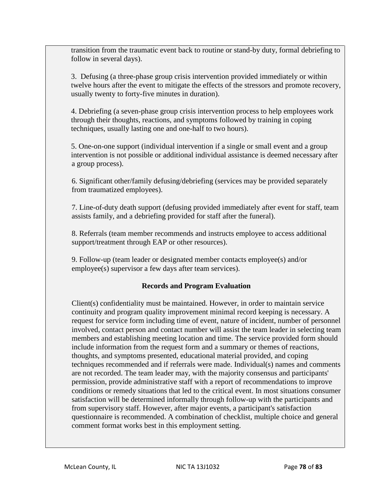transition from the traumatic event back to routine or stand-by duty, formal debriefing to follow in several days).

3. Defusing (a three-phase group crisis intervention provided immediately or within twelve hours after the event to mitigate the effects of the stressors and promote recovery, usually twenty to forty-five minutes in duration).

4. Debriefing (a seven-phase group crisis intervention process to help employees work through their thoughts, reactions, and symptoms followed by training in coping techniques, usually lasting one and one-half to two hours).

5. One-on-one support (individual intervention if a single or small event and a group intervention is not possible or additional individual assistance is deemed necessary after a group process).

6. Significant other/family defusing/debriefing (services may be provided separately from traumatized employees).

7. Line-of-duty death support (defusing provided immediately after event for staff, team assists family, and a debriefing provided for staff after the funeral).

8. Referrals (team member recommends and instructs employee to access additional support/treatment through EAP or other resources).

9. Follow-up (team leader or designated member contacts employee(s) and/or employee(s) supervisor a few days after team services).

## **Records and Program Evaluation**

Client(s) confidentiality must be maintained. However, in order to maintain service continuity and program quality improvement minimal record keeping is necessary. A request for service form including time of event, nature of incident, number of personnel involved, contact person and contact number will assist the team leader in selecting team members and establishing meeting location and time. The service provided form should include information from the request form and a summary or themes of reactions, thoughts, and symptoms presented, educational material provided, and coping techniques recommended and if referrals were made. Individual(s) names and comments are not recorded. The team leader may, with the majority consensus and participants' permission, provide administrative staff with a report of recommendations to improve conditions or remedy situations that led to the critical event. In most situations consumer satisfaction will be determined informally through follow-up with the participants and from supervisory staff. However, after major events, a participant's satisfaction questionnaire is recommended. A combination of checklist, multiple choice and general comment format works best in this employment setting.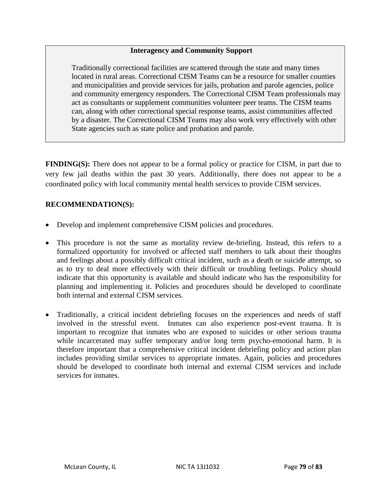#### **Interagency and Community Support**

Traditionally correctional facilities are scattered through the state and many times located in rural areas. Correctional CISM Teams can be a resource for smaller counties and municipalities and provide services for jails, probation and parole agencies, police and community emergency responders. The Correctional CISM Team professionals may act as consultants or supplement communities volunteer peer teams. The CISM teams can, along with other correctional special response teams, assist communities affected by a disaster. The Correctional CISM Teams may also work very effectively with other State agencies such as state police and probation and parole.

**FINDING(S):** There does not appear to be a formal policy or practice for CISM, in part due to very few jail deaths within the past 30 years. Additionally, there does not appear to be a coordinated policy with local community mental health services to provide CISM services.

### **RECOMMENDATION(S):**

- Develop and implement comprehensive CISM policies and procedures.
- This procedure is not the same as mortality review de-briefing. Instead, this refers to a formalized opportunity for involved or affected staff members to talk about their thoughts and feelings about a possibly difficult critical incident, such as a death or suicide attempt, so as to try to deal more effectively with their difficult or troubling feelings. Policy should indicate that this opportunity is available and should indicate who has the responsibility for planning and implementing it. Policies and procedures should be developed to coordinate both internal and external CISM services.
- Traditionally, a critical incident debriefing focuses on the experiences and needs of staff involved in the stressful event. Inmates can also experience post-event trauma. It is important to recognize that inmates who are exposed to suicides or other serious trauma while incarcerated may suffer temporary and/or long term psycho-emotional harm. It is therefore important that a comprehensive critical incident debriefing policy and action plan includes providing similar services to appropriate inmates. Again, policies and procedures should be developed to coordinate both internal and external CISM services and include services for inmates.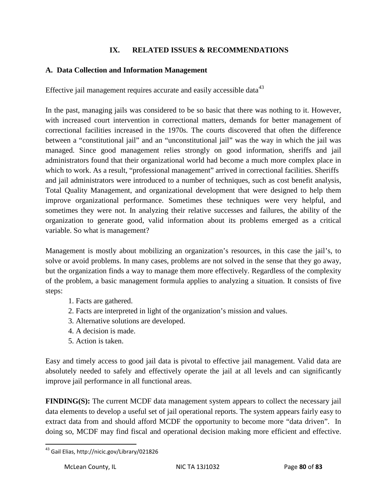### **IX. RELATED ISSUES & RECOMMENDATIONS**

### **A. Data Collection and Information Management**

Effective jail management requires accurate and easily accessible data $43$ 

In the past, managing jails was considered to be so basic that there was nothing to it. However, with increased court intervention in correctional matters, demands for better management of correctional facilities increased in the 1970s. The courts discovered that often the difference between a "constitutional jail" and an "unconstitutional jail" was the way in which the jail was managed. Since good management relies strongly on good information, sheriffs and jail administrators found that their organizational world had become a much more complex place in which to work. As a result, "professional management" arrived in correctional facilities. Sheriffs and jail administrators were introduced to a number of techniques, such as cost benefit analysis, Total Quality Management, and organizational development that were designed to help them improve organizational performance. Sometimes these techniques were very helpful, and sometimes they were not. In analyzing their relative successes and failures, the ability of the organization to generate good, valid information about its problems emerged as a critical variable. So what is management?

Management is mostly about mobilizing an organization's resources, in this case the jail's, to solve or avoid problems. In many cases, problems are not solved in the sense that they go away, but the organization finds a way to manage them more effectively. Regardless of the complexity of the problem, a basic management formula applies to analyzing a situation. It consists of five steps:

- 1. Facts are gathered.
- 2. Facts are interpreted in light of the organization's mission and values.
- 3. Alternative solutions are developed.
- 4. A decision is made.
- 5. Action is taken.

Easy and timely access to good jail data is pivotal to effective jail management. Valid data are absolutely needed to safely and effectively operate the jail at all levels and can significantly improve jail performance in all functional areas.

**FINDING(S):** The current MCDF data management system appears to collect the necessary jail data elements to develop a useful set of jail operational reports. The system appears fairly easy to extract data from and should afford MCDF the opportunity to become more "data driven". In doing so, MCDF may find fiscal and operational decision making more efficient and effective.

<span id="page-80-0"></span> <sup>43</sup> Gail Elias, http://nicic.gov/Library/021826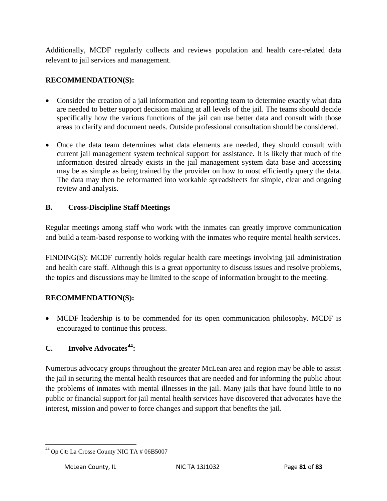Additionally, MCDF regularly collects and reviews population and health care-related data relevant to jail services and management.

## **RECOMMENDATION(S):**

- Consider the creation of a jail information and reporting team to determine exactly what data are needed to better support decision making at all levels of the jail. The teams should decide specifically how the various functions of the jail can use better data and consult with those areas to clarify and document needs. Outside professional consultation should be considered.
- Once the data team determines what data elements are needed, they should consult with current jail management system technical support for assistance. It is likely that much of the information desired already exists in the jail management system data base and accessing may be as simple as being trained by the provider on how to most efficiently query the data. The data may then be reformatted into workable spreadsheets for simple, clear and ongoing review and analysis.

# **B. Cross-Discipline Staff Meetings**

Regular meetings among staff who work with the inmates can greatly improve communication and build a team-based response to working with the inmates who require mental health services.

FINDING(S): MCDF currently holds regular health care meetings involving jail administration and health care staff. Although this is a great opportunity to discuss issues and resolve problems, the topics and discussions may be limited to the scope of information brought to the meeting.

## **RECOMMENDATION(S):**

• MCDF leadership is to be commended for its open communication philosophy. MCDF is encouraged to continue this process.

# **C. Involve Advocates[44](#page-80-0):**

Numerous advocacy groups throughout the greater McLean area and region may be able to assist the jail in securing the mental health resources that are needed and for informing the public about the problems of inmates with mental illnesses in the jail. Many jails that have found little to no public or financial support for jail mental health services have discovered that advocates have the interest, mission and power to force changes and support that benefits the jail.

 $44$  Op Cit: La Crosse County NIC TA # 06B5007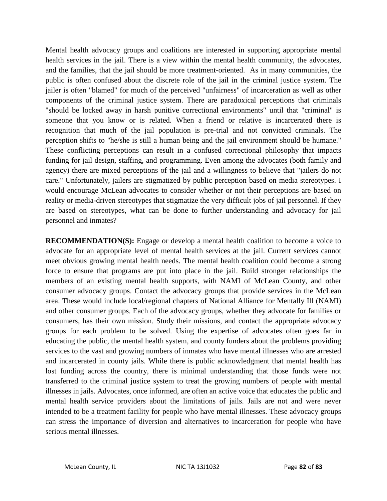Mental health advocacy groups and coalitions are interested in supporting appropriate mental health services in the jail. There is a view within the mental health community, the advocates, and the families, that the jail should be more treatment-oriented. As in many communities, the public is often confused about the discrete role of the jail in the criminal justice system. The jailer is often "blamed" for much of the perceived "unfairness" of incarceration as well as other components of the criminal justice system. There are paradoxical perceptions that criminals "should be locked away in harsh punitive correctional environments" until that "criminal" is someone that you know or is related. When a friend or relative is incarcerated there is recognition that much of the jail population is pre-trial and not convicted criminals. The perception shifts to "he/she is still a human being and the jail environment should be humane." These conflicting perceptions can result in a confused correctional philosophy that impacts funding for jail design, staffing, and programming. Even among the advocates (both family and agency) there are mixed perceptions of the jail and a willingness to believe that "jailers do not care." Unfortunately, jailers are stigmatized by public perception based on media stereotypes. I would encourage McLean advocates to consider whether or not their perceptions are based on reality or media-driven stereotypes that stigmatize the very difficult jobs of jail personnel. If they are based on stereotypes, what can be done to further understanding and advocacy for jail personnel and inmates?

**RECOMMENDATION(S):** Engage or develop a mental health coalition to become a voice to advocate for an appropriate level of mental health services at the jail. Current services cannot meet obvious growing mental health needs. The mental health coalition could become a strong force to ensure that programs are put into place in the jail. Build stronger relationships the members of an existing mental health supports, with NAMI of McLean County, and other consumer advocacy groups. Contact the advocacy groups that provide services in the McLean area. These would include local/regional chapters of National Alliance for Mentally Ill (NAMI) and other consumer groups. Each of the advocacy groups, whether they advocate for families or consumers, has their own mission. Study their missions, and contact the appropriate advocacy groups for each problem to be solved. Using the expertise of advocates often goes far in educating the public, the mental health system, and county funders about the problems providing services to the vast and growing numbers of inmates who have mental illnesses who are arrested and incarcerated in county jails. While there is public acknowledgment that mental health has lost funding across the country, there is minimal understanding that those funds were not transferred to the criminal justice system to treat the growing numbers of people with mental illnesses in jails. Advocates, once informed, are often an active voice that educates the public and mental health service providers about the limitations of jails. Jails are not and were never intended to be a treatment facility for people who have mental illnesses. These advocacy groups can stress the importance of diversion and alternatives to incarceration for people who have serious mental illnesses.